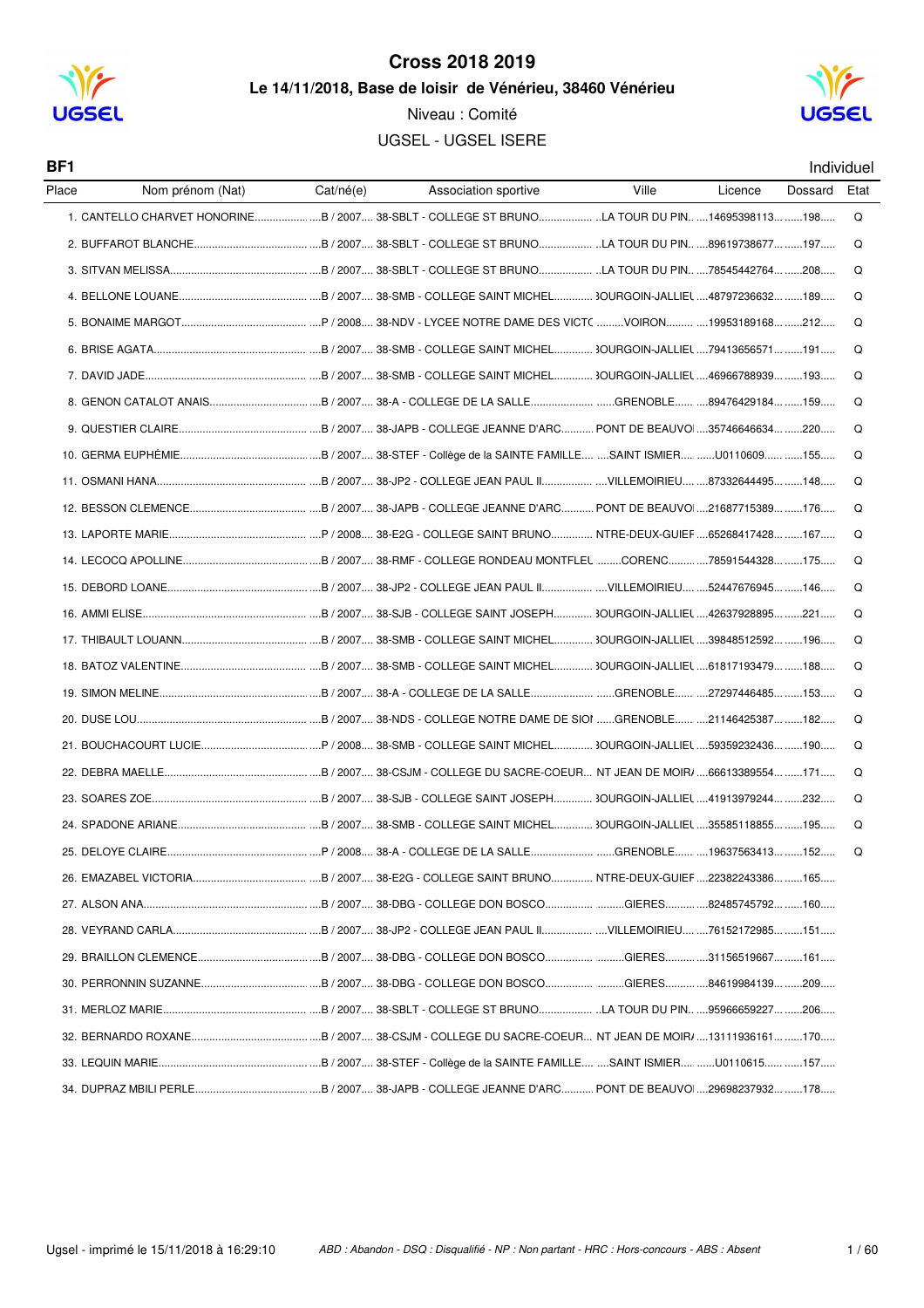

BF<sub>1</sub>

#### Cross 2018 2019 Le 14/11/2018. Base de loisir de Vénérieu, 38460 Vénérieu

Niveau: Comité

UGSEL - UGSEL ISERE



Individuel

Place Nom prénom (Nat) Cat/né(e) Ville Licence Etat Association sportive Dossard 1. CANTELLO CHARVET HONORINE..................... B/2007.... 38-SBLT - COLLEGE ST BRUNO.....................LA TOUR DU PIN.. ....14695398113... ...... 198.....  $\Omega$ Q 3 SITVAN MELISSA ...... ...B / 2007.... 38-SBLT - COLLEGE ST BRUNO................... ..LA TOUR DU PIN.. ....78545442764... ......208....  $\Omega$  $\Omega$  $\Omega$ 6 BRISE AGATA  $\Omega$ 7 DAVID JADE  $\Omega$  $\Omega$  $\Omega$  $\Omega$  $\Omega$ B / 2007 38-JAPB - COLLEGE JEANNE D'ARC PONT DE BEALIVO 21687715389 176 12 BESSON CLEMENCE  $\Omega$  $\Omega$  $\Omega$ Q 16 AMMI FLISE ...............................B / 2007.... 38-SJB - COLLEGE SAINT JOSEPH.............. 3OURGOIN-JALLIEL ....42637928895... ......221.... ∩ Q Q 19 SIMON MELINE  $\Omega$  $\Omega$  $\Omega$ 22 DEBRA MAELLE CONTROLLER COLLEGE DU SACRE-COEUR NT JEAN DE MOIR 66613389554 171  $\Omega$ 23 SOARES ZOE  $\Omega$  $\Omega$  $\Omega$ 27 ALSON ANA 2000 B / 2007 38-DBG - COLLEGE DON BOSCO GIFRES 82485745792 160 28 VEYRAND CARLA R / 2007 38-JP2 - COLLEGE JEAN PAUL II VILLEMOIRIEU 76152172985 151 30 PERRONNIN SHZANNE 31 MERIOZ MARIE 2006 B / 2007 38-SBLT - COLLEGE ST BRUNO LA TOUR DUPIN 95966659227 206 32 BERNARDO ROXANE 33. LEQUIN MARIE. .......................B / 2007.... 38-STEF - Collège de la SAINTE FAMILLE.... ....SAINT ISMIER.... .......U0110615...... .......157.....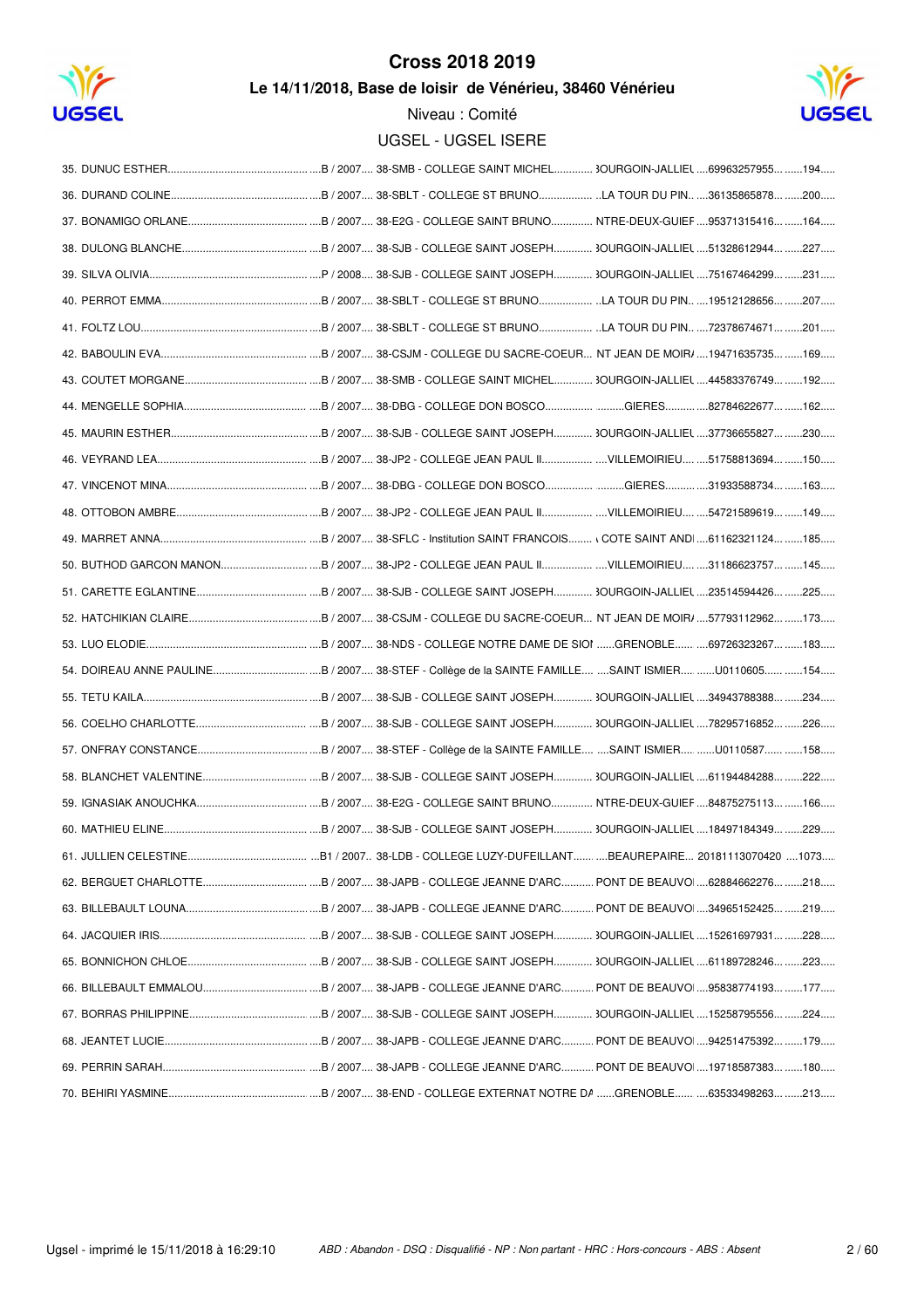

Le 14/11/2018, Base de loisir de Vénérieu, 38460 Vénérieu

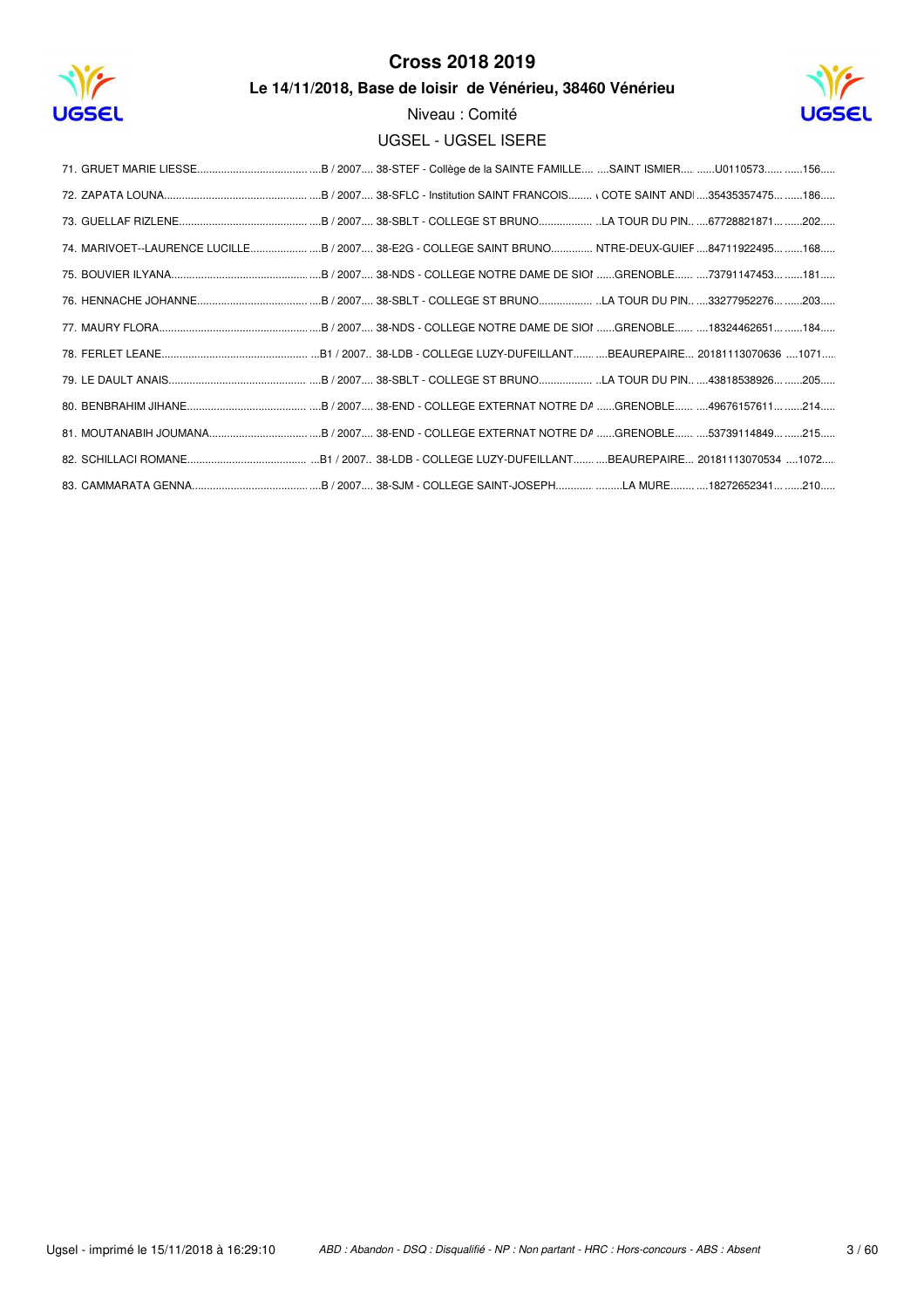

Le 14/11/2018, Base de loisir de Vénérieu, 38460 Vénérieu



| 74. MARIVOET--LAURENCE LUCILLEB / 2007 38-E2G - COLLEGE SAINT BRUNO NTRE-DEUX-GUIEF 84711922495 168 |
|-----------------------------------------------------------------------------------------------------|
|                                                                                                     |
|                                                                                                     |
|                                                                                                     |
|                                                                                                     |
|                                                                                                     |
|                                                                                                     |
|                                                                                                     |
|                                                                                                     |
|                                                                                                     |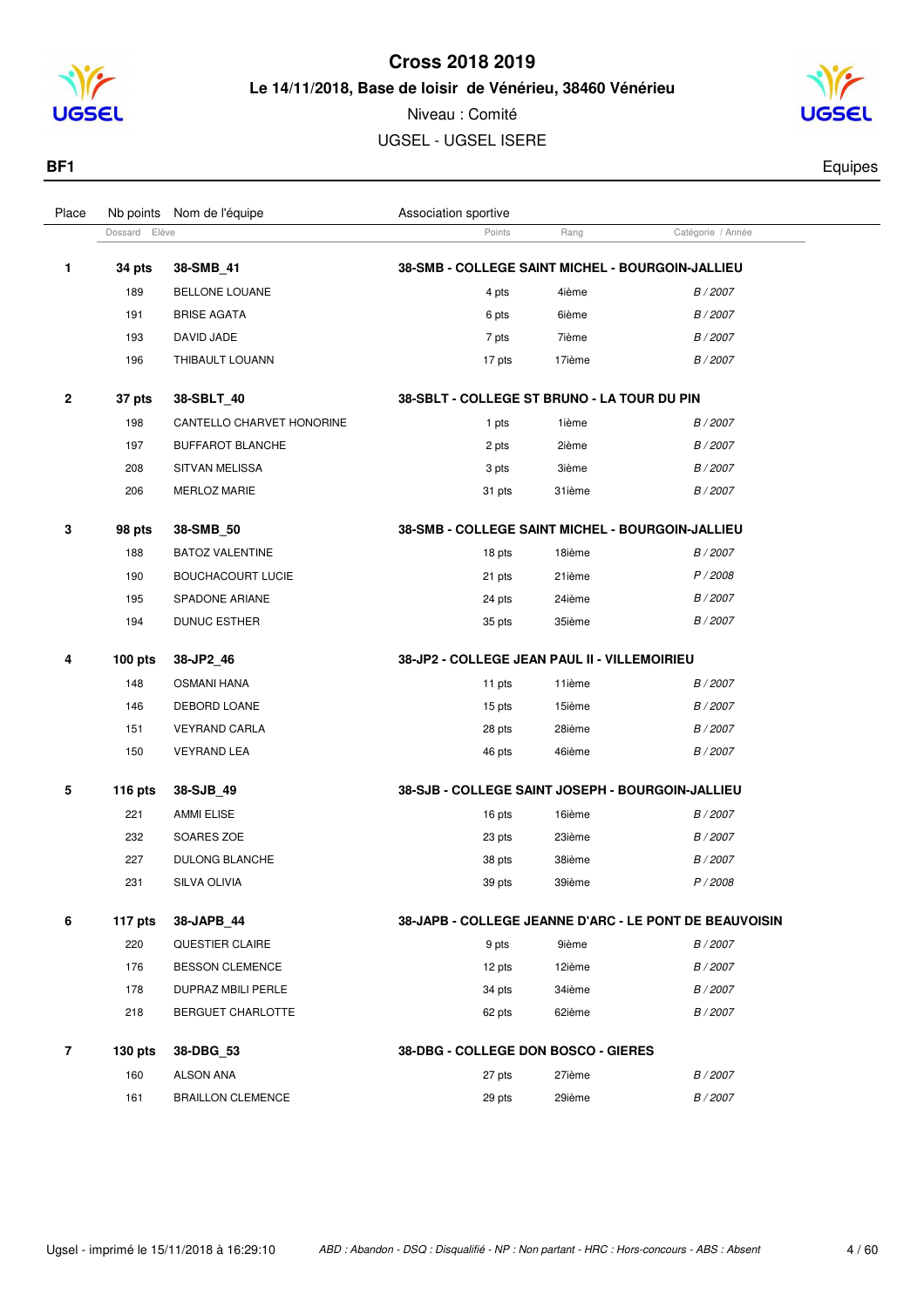



| BF <sub>1</sub> | Equipes |
|-----------------|---------|
|                 |         |

| Place          |               | Nb points Nom de l'équipe | Association sportive                             |        |                                                        |  |
|----------------|---------------|---------------------------|--------------------------------------------------|--------|--------------------------------------------------------|--|
|                | Dossard Elève |                           | Points                                           | Rang   | Catégorie / Année                                      |  |
| 1              | 34 pts        | 38-SMB_41                 | 38-SMB - COLLEGE SAINT MICHEL - BOURGOIN-JALLIEU |        |                                                        |  |
|                | 189           | <b>BELLONE LOUANE</b>     | 4 pts                                            | 4ième  | B / 2007                                               |  |
|                | 191           | <b>BRISE AGATA</b>        | 6 pts                                            | 6ième  | B / 2007                                               |  |
|                | 193           | DAVID JADE                | 7 pts                                            | 7ième  | B / 2007                                               |  |
|                | 196           | THIBAULT LOUANN           | 17 pts                                           | 17ième | B / 2007                                               |  |
| $\mathbf{2}$   | 37 pts        | 38-SBLT_40                | 38-SBLT - COLLEGE ST BRUNO - LA TOUR DU PIN      |        |                                                        |  |
|                | 198           | CANTELLO CHARVET HONORINE | 1 pts                                            | 1ième  | B/2007                                                 |  |
|                | 197           | <b>BUFFAROT BLANCHE</b>   | 2 pts                                            | 2ième  | B / 2007                                               |  |
|                | 208           | <b>SITVAN MELISSA</b>     | 3 pts                                            | 3ième  | B / 2007                                               |  |
|                | 206           | <b>MERLOZ MARIE</b>       | 31 pts                                           | 31ième | B / 2007                                               |  |
| 3              | 98 pts        | 38-SMB_50                 | 38-SMB - COLLEGE SAINT MICHEL - BOURGOIN-JALLIEU |        |                                                        |  |
|                | 188           | <b>BATOZ VALENTINE</b>    | 18 pts                                           | 18ième | B / 2007                                               |  |
|                | 190           | <b>BOUCHACOURT LUCIE</b>  | 21 pts                                           | 21ième | P / 2008                                               |  |
|                | 195           | SPADONE ARIANE            | 24 pts                                           | 24ième | B / 2007                                               |  |
|                | 194           | <b>DUNUC ESTHER</b>       | 35 pts                                           | 35ième | B / 2007                                               |  |
| 4              | $100$ pts     | 38-JP2_46                 | 38-JP2 - COLLEGE JEAN PAUL II - VILLEMOIRIEU     |        |                                                        |  |
|                | 148           | <b>OSMANI HANA</b>        | 11 pts                                           | 11ième | B / 2007                                               |  |
|                | 146           | DEBORD LOANE              | 15 pts                                           | 15ième | B / 2007                                               |  |
|                | 151           | <b>VEYRAND CARLA</b>      | 28 pts                                           | 28ième | B / 2007                                               |  |
|                | 150           | <b>VEYRAND LEA</b>        | 46 pts                                           | 46ième | B / 2007                                               |  |
| 5              | 116 pts       | 38-SJB_49                 | 38-SJB - COLLEGE SAINT JOSEPH - BOURGOIN-JALLIEU |        |                                                        |  |
|                | 221           | <b>AMMI ELISE</b>         | 16 pts                                           | 16ième | B/2007                                                 |  |
|                | 232           | SOARES ZOE                | 23 pts                                           | 23ième | B / 2007                                               |  |
|                | 227           | <b>DULONG BLANCHE</b>     | 38 pts                                           | 38ième | B / 2007                                               |  |
|                | 231           | <b>SILVA OLIVIA</b>       | 39 pts                                           | 39ième | P / 2008                                               |  |
| 6              | 117 pts       | 38-JAPB_44                |                                                  |        | 38-JAPB - COLLEGE JEANNE D'ARC - LE PONT DE BEAUVOISIN |  |
|                | 220           | QUESTIER CLAIRE           | 9 pts                                            | 9ième  | B / 2007                                               |  |
|                | 176           | <b>BESSON CLEMENCE</b>    | 12 pts                                           | 12ième | B / 2007                                               |  |
|                | 178           | DUPRAZ MBILI PERLE        | 34 pts                                           | 34ième | B / 2007                                               |  |
|                | 218           | BERGUET CHARLOTTE         | 62 pts                                           | 62ième | B / 2007                                               |  |
| $\overline{7}$ | $130$ pts     | 38-DBG_53                 | 38-DBG - COLLEGE DON BOSCO - GIERES              |        |                                                        |  |
|                | 160           | <b>ALSON ANA</b>          | 27 pts                                           | 27ième | B / 2007                                               |  |
|                | 161           | <b>BRAILLON CLEMENCE</b>  | 29 pts                                           | 29ième | B / 2007                                               |  |
|                |               |                           |                                                  |        |                                                        |  |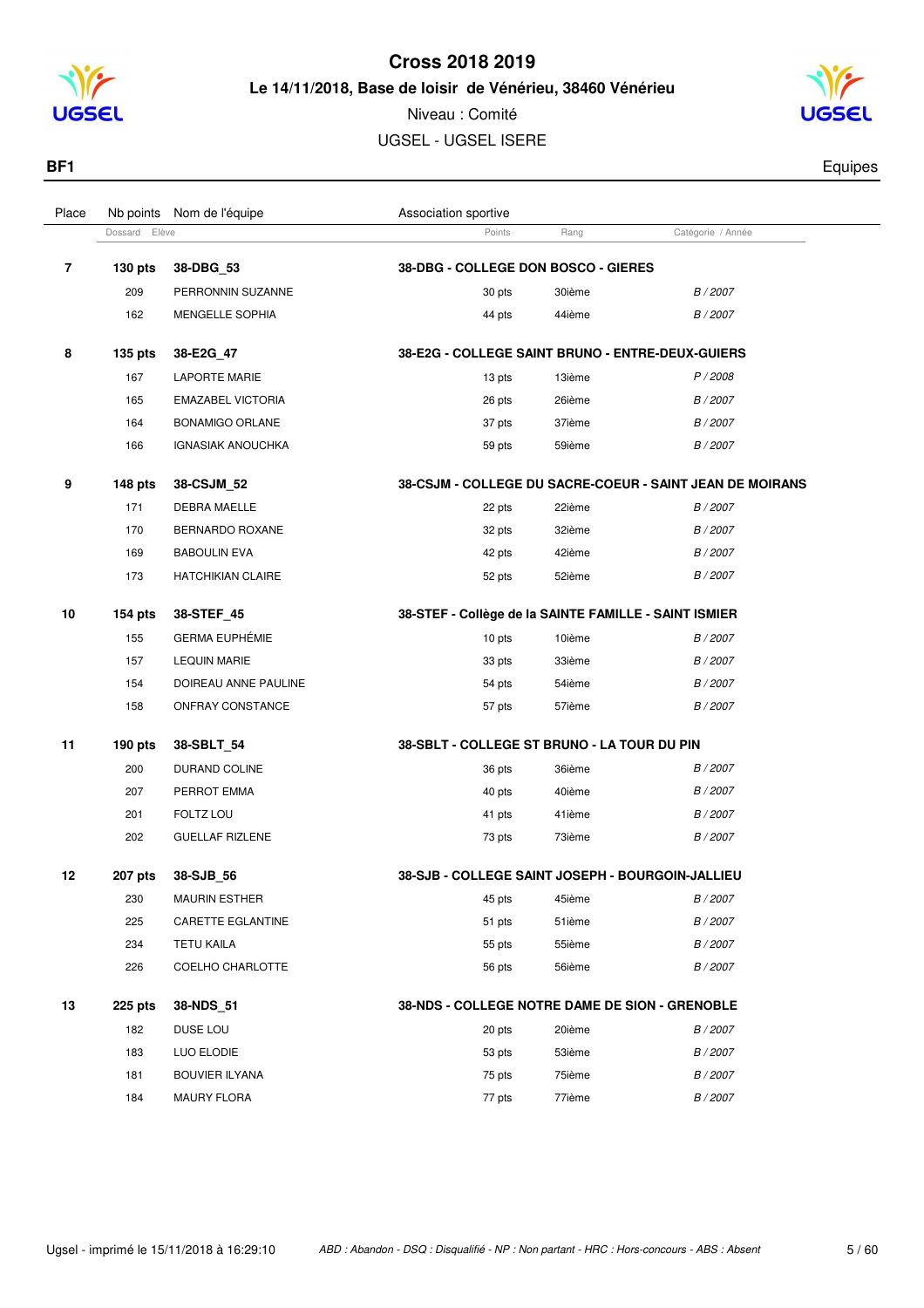

Niveau : Comité

UGSEL - UGSEL ISERE



**BF1** Equipes

| Place |                  | Nb points Nom de l'équipe | Association sportive                                  |        |                                                          |  |
|-------|------------------|---------------------------|-------------------------------------------------------|--------|----------------------------------------------------------|--|
|       | Dossard<br>Elève |                           | Points                                                | Rang   | Catégorie / Année                                        |  |
| 7     | 130 pts          | 38-DBG_53                 | 38-DBG - COLLEGE DON BOSCO - GIERES                   |        |                                                          |  |
|       | 209              | PERRONNIN SUZANNE         | 30 pts                                                | 30ième | B / 2007                                                 |  |
|       | 162              | MENGELLE SOPHIA           | 44 pts                                                | 44ième | B / 2007                                                 |  |
| 8     | 135 pts          | 38-E2G_47                 | 38-E2G - COLLEGE SAINT BRUNO - ENTRE-DEUX-GUIERS      |        |                                                          |  |
|       | 167              | <b>LAPORTE MARIE</b>      | 13 pts                                                | 13ième | P/2008                                                   |  |
|       | 165              | <b>EMAZABEL VICTORIA</b>  | 26 pts                                                | 26ième | B/2007                                                   |  |
|       | 164              | <b>BONAMIGO ORLANE</b>    | 37 pts                                                | 37ième | B / 2007                                                 |  |
|       | 166              | <b>IGNASIAK ANOUCHKA</b>  | 59 pts                                                | 59ième | B / 2007                                                 |  |
| 9     | 148 pts          | 38-CSJM_52                |                                                       |        | 38-CSJM - COLLEGE DU SACRE-COEUR - SAINT JEAN DE MOIRANS |  |
|       | 171              | <b>DEBRA MAELLE</b>       | 22 pts                                                | 22ième | B / 2007                                                 |  |
|       | 170              | BERNARDO ROXANE           | 32 pts                                                | 32ième | B / 2007                                                 |  |
|       | 169              | <b>BABOULIN EVA</b>       | 42 pts                                                | 42ième | B / 2007                                                 |  |
|       | 173              | HATCHIKIAN CLAIRE         | 52 pts                                                | 52ième | B / 2007                                                 |  |
| 10    | 154 pts          | 38-STEF_45                | 38-STEF - Collège de la SAINTE FAMILLE - SAINT ISMIER |        |                                                          |  |
|       | 155              | <b>GERMA EUPHÉMIE</b>     | 10 pts                                                | 10ième | B / 2007                                                 |  |
|       | 157              | <b>LEQUIN MARIE</b>       | 33 pts                                                | 33ième | B / 2007                                                 |  |
|       | 154              | DOIREAU ANNE PAULINE      | 54 pts                                                | 54ième | B / 2007                                                 |  |
|       | 158              | ONFRAY CONSTANCE          | 57 pts                                                | 57ième | B / 2007                                                 |  |
| 11    | $190$ pts        | 38-SBLT_54                | 38-SBLT - COLLEGE ST BRUNO - LA TOUR DU PIN           |        |                                                          |  |
|       | 200              | DURAND COLINE             | 36 pts                                                | 36ième | B / 2007                                                 |  |
|       | 207              | PERROT EMMA               | 40 pts                                                | 40ième | B / 2007                                                 |  |
|       | 201              | FOLTZ LOU                 | 41 pts                                                | 41ième | B / 2007                                                 |  |
|       | 202              | <b>GUELLAF RIZLENE</b>    | 73 pts                                                | 73ième | B / 2007                                                 |  |
| 12    | <b>207 pts</b>   | 38-SJB_56                 | 38-SJB - COLLEGE SAINT JOSEPH - BOURGOIN-JALLIEU      |        |                                                          |  |
|       | 230              | MAURIN ESTHER             | 45 pts                                                | 45ième | B/2007                                                   |  |
|       | 225              | CARETTE EGLANTINE         | 51 pts                                                | 51ième | B / 2007                                                 |  |
|       | 234              | <b>TETU KAILA</b>         | 55 pts                                                | 55ième | B / 2007                                                 |  |
|       | 226              | COELHO CHARLOTTE          | 56 pts                                                | 56ième | B / 2007                                                 |  |
| 13    | 225 pts          | 38-NDS_51                 | 38-NDS - COLLEGE NOTRE DAME DE SION - GRENOBLE        |        |                                                          |  |
|       | 182              | DUSE LOU                  | 20 pts                                                | 20ième | B / 2007                                                 |  |
|       | 183              | LUO ELODIE                | 53 pts                                                | 53ième | B / 2007                                                 |  |
|       | 181              | BOUVIER ILYANA            | 75 pts                                                | 75ième | B / 2007                                                 |  |
|       | 184              | <b>MAURY FLORA</b>        | 77 pts                                                | 77ième | B / 2007                                                 |  |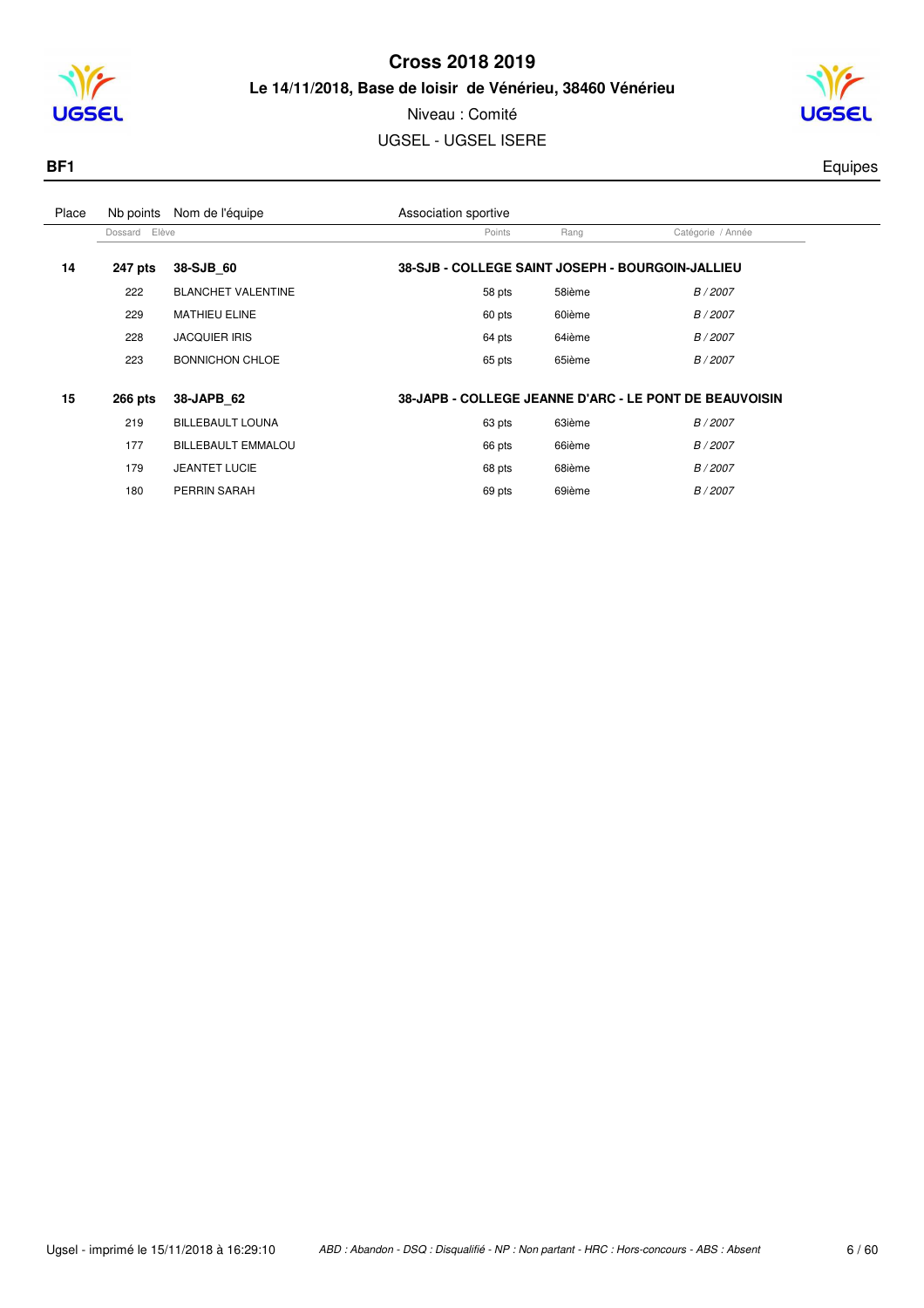

Niveau : Comité

UGSEL - UGSEL ISERE



**BF1** Equipes

| Place |               | Nb points Nom de l'équipe | Association sportive |        |                                                        |                   |
|-------|---------------|---------------------------|----------------------|--------|--------------------------------------------------------|-------------------|
|       | Dossard Elève |                           |                      | Points | Rang                                                   | Catégorie / Année |
| 14    | 247 pts       | 38-SJB 60                 |                      |        | 38-SJB - COLLEGE SAINT JOSEPH - BOURGOIN-JALLIEU       |                   |
|       | 222           | <b>BLANCHET VALENTINE</b> |                      | 58 pts | 58ième                                                 | B/2007            |
|       | 229           | <b>MATHIEU ELINE</b>      |                      | 60 pts | 60ième                                                 | B/2007            |
|       | 228           | <b>JACQUIER IRIS</b>      |                      | 64 pts | 64ième                                                 | B/2007            |
|       | 223           | <b>BONNICHON CHLOE</b>    |                      | 65 pts | 65ième                                                 | B/2007            |
| 15    | 266 pts       | 38-JAPB 62                |                      |        | 38-JAPB - COLLEGE JEANNE D'ARC - LE PONT DE BEAUVOISIN |                   |
|       | 219           | <b>BILLEBAULT LOUNA</b>   |                      | 63 pts | 63ième                                                 | B/2007            |
|       | 177           | <b>BILLEBAULT EMMALOU</b> |                      | 66 pts | 66ième                                                 | B / 2007          |
|       | 179           | <b>JEANTET LUCIE</b>      |                      | 68 pts | 68ième                                                 | B / 2007          |
|       | 180           | <b>PERRIN SARAH</b>       |                      | 69 pts | 69ième                                                 | B / 2007          |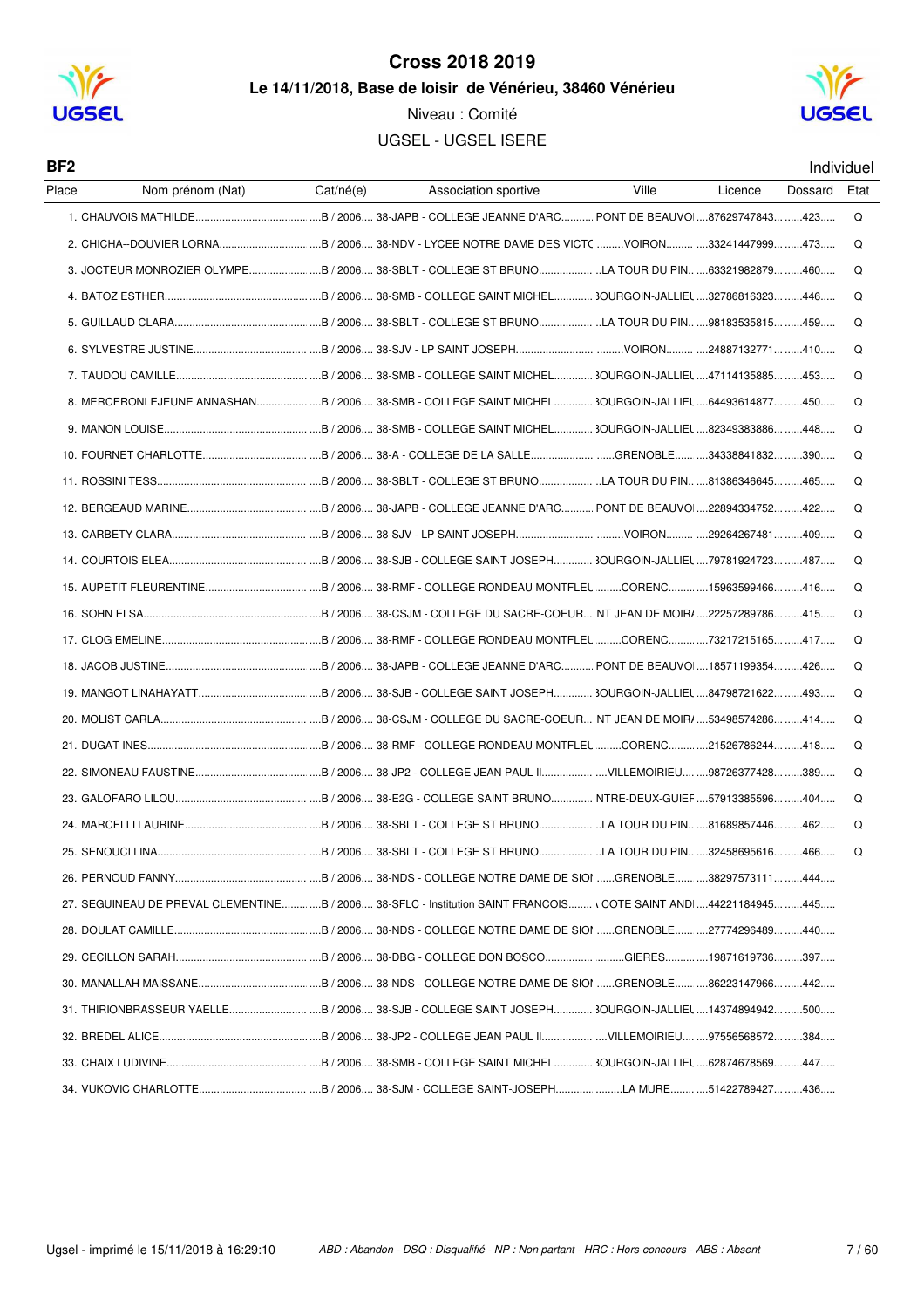

Niveau : Comité

UGSEL - UGSEL ISERE



Individuel

| BF <sub>2</sub>                                                                                                   |           |                                                                                                    |       |         | Individue |     |
|-------------------------------------------------------------------------------------------------------------------|-----------|----------------------------------------------------------------------------------------------------|-------|---------|-----------|-----|
| Nom prénom (Nat)<br>Place                                                                                         | Cat/né(e) | Association sportive                                                                               | Ville | Licence | Dossard   | Eta |
|                                                                                                                   |           |                                                                                                    |       |         |           | Q   |
|                                                                                                                   |           |                                                                                                    |       |         |           | Q   |
|                                                                                                                   |           | 3. JOCTEUR MONROZIER OLYMPE B / 2006 38-SBLT - COLLEGE ST BRUNO LA TOUR DU PIN 63321982879 460     |       |         |           | Q   |
|                                                                                                                   |           |                                                                                                    |       |         |           | Q   |
|                                                                                                                   |           |                                                                                                    |       |         |           | Q   |
|                                                                                                                   |           |                                                                                                    |       |         |           | Q   |
|                                                                                                                   |           |                                                                                                    |       |         |           | Q   |
|                                                                                                                   |           | 8. MERCERONLEJEUNE ANNASHANB / 2006 38-SMB - COLLEGE SAINT MICHEL 3OURGOIN-JALLIEL 64493614877 450 |       |         |           | Q   |
|                                                                                                                   |           |                                                                                                    |       |         |           | Q   |
|                                                                                                                   |           |                                                                                                    |       |         |           | Q   |
|                                                                                                                   |           |                                                                                                    |       |         |           | Q   |
|                                                                                                                   |           |                                                                                                    |       |         |           | Q   |
|                                                                                                                   |           |                                                                                                    |       |         |           | Q   |
|                                                                                                                   |           |                                                                                                    |       |         |           | Q   |
|                                                                                                                   |           |                                                                                                    |       |         |           | Q   |
|                                                                                                                   |           |                                                                                                    |       |         |           | Q   |
|                                                                                                                   |           |                                                                                                    |       |         |           | Q   |
|                                                                                                                   |           |                                                                                                    |       |         |           | Q   |
|                                                                                                                   |           |                                                                                                    |       |         |           | Q   |
|                                                                                                                   |           |                                                                                                    |       |         |           | Q   |
|                                                                                                                   |           |                                                                                                    |       |         |           | Q   |
|                                                                                                                   |           |                                                                                                    |       |         |           | Q   |
|                                                                                                                   |           |                                                                                                    |       |         |           | Q   |
|                                                                                                                   |           |                                                                                                    |       |         |           | Q   |
| 25. SENOUCI LINA.                                                                                                 |           |                                                                                                    |       |         |           | Q   |
|                                                                                                                   |           |                                                                                                    |       |         |           |     |
| 27. SEGUINEAU DE PREVAL CLEMENTINE B / 2006 38-SFLC - Institution SAINT FRANCOIS \ COTE SAINT AND 44221184945 445 |           |                                                                                                    |       |         |           |     |
|                                                                                                                   |           |                                                                                                    |       |         |           |     |
|                                                                                                                   |           |                                                                                                    |       |         |           |     |
|                                                                                                                   |           |                                                                                                    |       |         |           |     |
| 31. THIRIONBRASSEUR YAELLEB / 2006 38-SJB - COLLEGE SAINT JOSEPH 30URGOIN-JALLIEL 14374894942 500                 |           |                                                                                                    |       |         |           |     |
|                                                                                                                   |           |                                                                                                    |       |         |           |     |
|                                                                                                                   |           |                                                                                                    |       |         |           |     |
|                                                                                                                   |           |                                                                                                    |       |         |           |     |
|                                                                                                                   |           |                                                                                                    |       |         |           |     |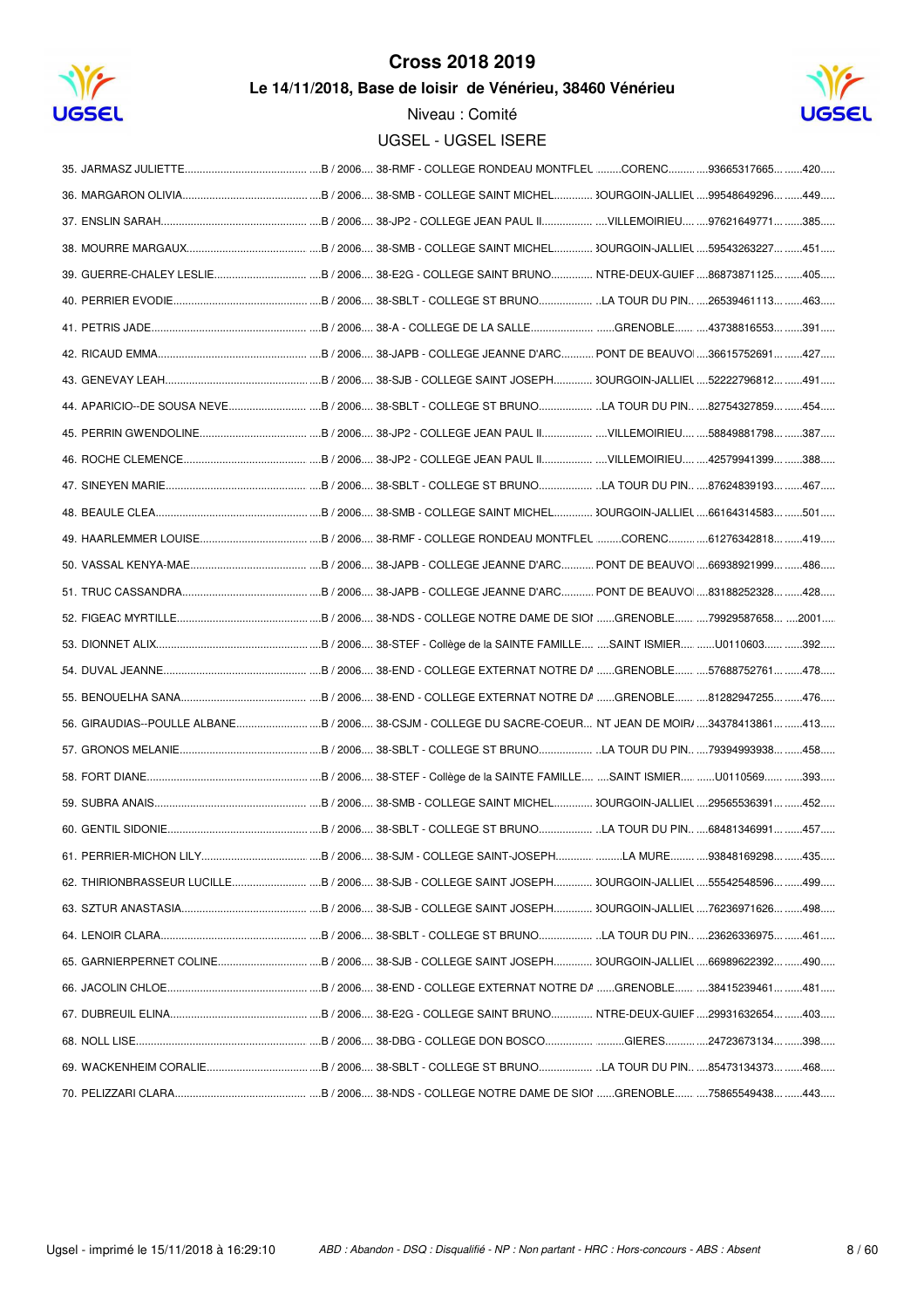

Le 14/11/2018, Base de loisir de Vénérieu, 38460 Vénérieu



| 56. GIRAUDIAS--POULLE ALBANEB / 2006 38-CSJM - COLLEGE DU SACRE-COEUR NT JEAN DE MOIR/ 34378413861 413 |
|--------------------------------------------------------------------------------------------------------|
|                                                                                                        |
|                                                                                                        |
|                                                                                                        |
|                                                                                                        |
|                                                                                                        |
| 62. THIRIONBRASSEUR LUCILLEB / 2006 38-SJB - COLLEGE SAINT JOSEPH 3OURGOIN-JALLIEL 55542548596 499     |
|                                                                                                        |
|                                                                                                        |
|                                                                                                        |
|                                                                                                        |
|                                                                                                        |
|                                                                                                        |
|                                                                                                        |
|                                                                                                        |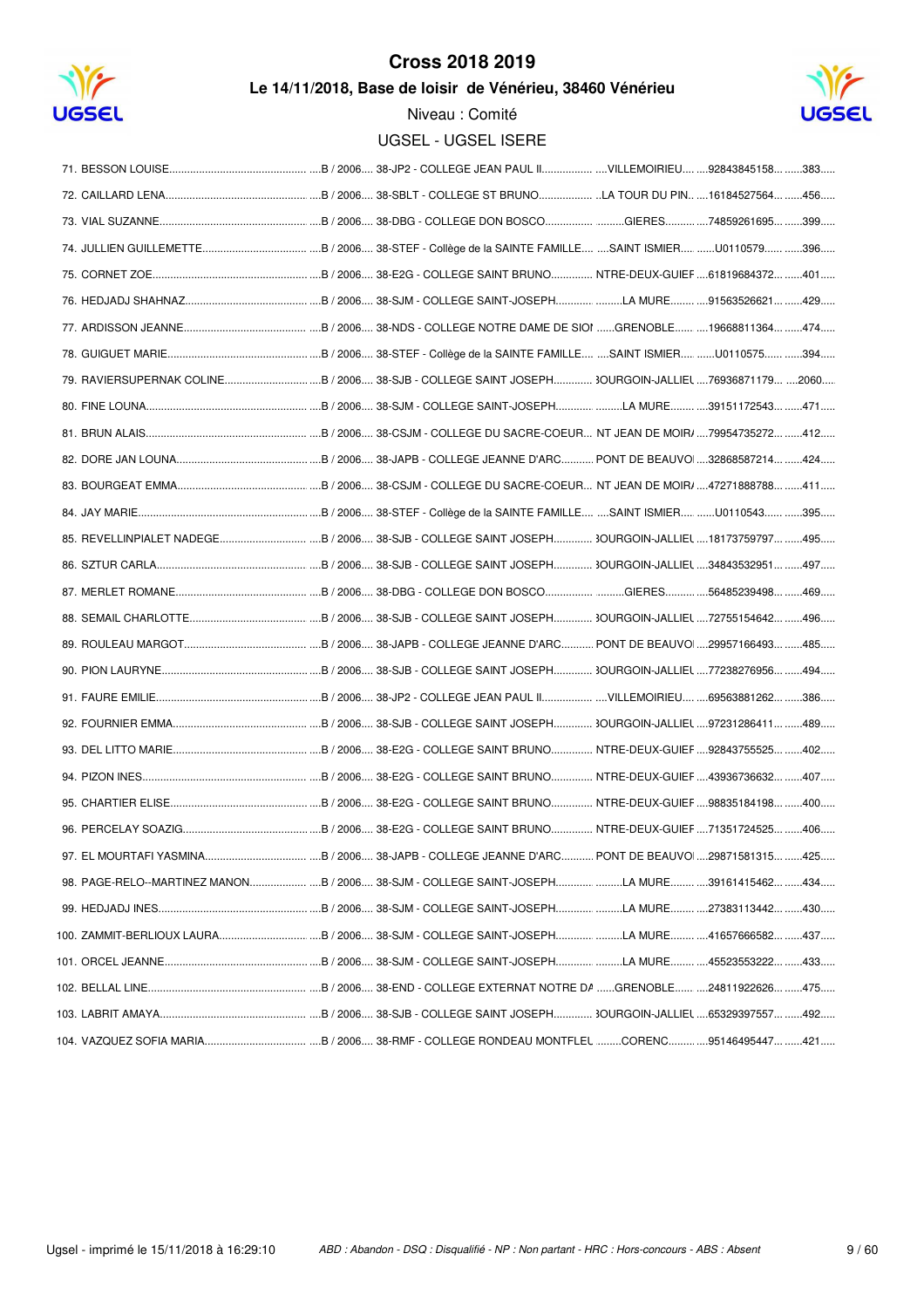

Le 14/11/2018, Base de loisir de Vénérieu, 38460 Vénérieu



| 98. PAGE-RELO--MARTINEZ MANONB / 2006 38-SJM - COLLEGE SAINT-JOSEPHLA MURE39161415462 434 |
|-------------------------------------------------------------------------------------------|
|                                                                                           |
|                                                                                           |
|                                                                                           |
|                                                                                           |
|                                                                                           |
|                                                                                           |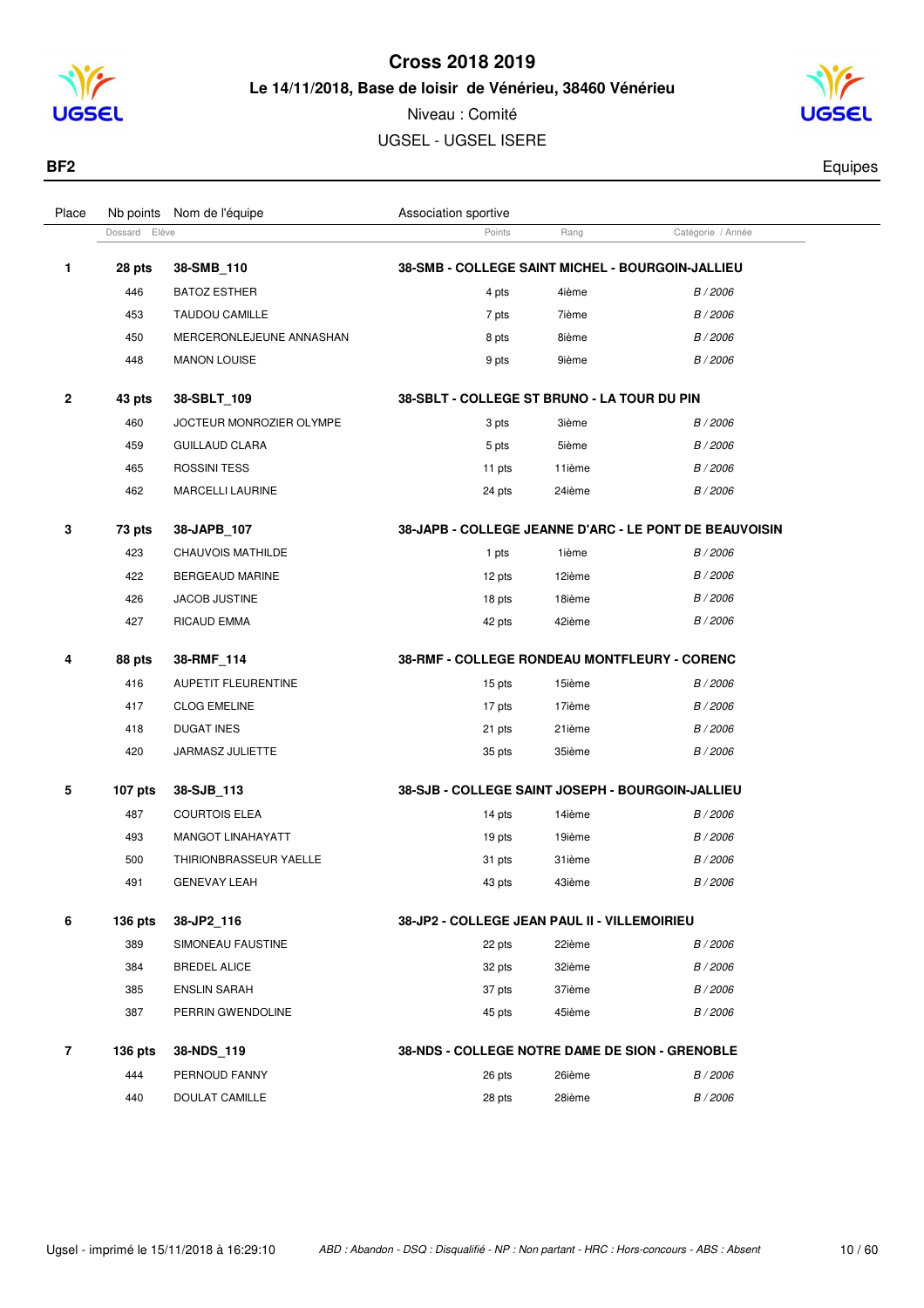

Niveau : Comité

UGSEL - UGSEL ISERE

Dossard Elève **Catégorie / Année** Points Rang Catégorie / Année

**28 pts 38-SMB\_110 38-SMB - COLLEGE SAINT MICHEL - BOURGOIN-JALLIEU**

Place Nb points Nom de l'équipe  $\blacksquare$  Association sportive



**BF2** Equipes

|              | 446            | BATOZ ESTHER             | B / 2006<br>4 pts<br>4ième                             |
|--------------|----------------|--------------------------|--------------------------------------------------------|
|              | 453            | <b>TAUDOU CAMILLE</b>    | B / 2006<br>7 pts<br>7ième                             |
|              | 450            | MERCERONLEJEUNE ANNASHAN | B / 2006<br>8ième<br>8 pts                             |
|              | 448            | <b>MANON LOUISE</b>      | 9ième<br>B / 2006<br>9 pts                             |
| $\mathbf{2}$ | 43 pts         | 38-SBLT 109              | 38-SBLT - COLLEGE ST BRUNO - LA TOUR DU PIN            |
|              | 460            | JOCTEUR MONROZIER OLYMPE | B / 2006<br>3 pts<br>3ième                             |
|              | 459            | <b>GUILLAUD CLARA</b>    | B / 2006<br>5 pts<br>5ième                             |
|              | 465            | <b>ROSSINI TESS</b>      | B / 2006<br>11ième<br>11 pts                           |
|              | 462            | <b>MARCELLI LAURINE</b>  | B / 2006<br>24 pts<br>24ième                           |
| 3            | 73 pts         | 38-JAPB 107              | 38-JAPB - COLLEGE JEANNE D'ARC - LE PONT DE BEAUVOISIN |
|              | 423            | <b>CHAUVOIS MATHILDE</b> | B / 2006<br>1 pts<br>1ième                             |
|              | 422            | BERGEAUD MARINE          | 12ième<br>B / 2006<br>12 pts                           |
|              | 426            | <b>JACOB JUSTINE</b>     | 18ième<br>18 pts<br>B / 2006                           |
|              | 427            | <b>RICAUD EMMA</b>       | B / 2006<br>42 pts<br>42ième                           |
| 4            | 88 pts         | 38-RMF 114               | <b>38-RMF - COLLEGE RONDEAU MONTFLEURY - CORENC</b>    |
|              | 416            | AUPETIT FLEURENTINE      | 15 pts<br>15ième<br>B / 2006                           |
|              | 417            | <b>CLOG EMELINE</b>      | 17 pts<br>17ième<br>B / 2006                           |
|              | 418            | <b>DUGAT INES</b>        | B / 2006<br>21ième<br>21 pts                           |
|              | 420            | JARMASZ JULIETTE         | B / 2006<br>35 pts<br>35ième                           |
| 5            | $107$ pts      | 38-SJB_113               | 38-SJB - COLLEGE SAINT JOSEPH - BOURGOIN-JALLIEU       |
|              | 487            | <b>COURTOIS ELEA</b>     | 14 pts<br>14ième<br>B / 2006                           |
|              | 493            | <b>MANGOT LINAHAYATT</b> | 19ième<br>B / 2006<br>19 pts                           |
|              | 500            | THIRIONBRASSEUR YAELLE   | B / 2006<br>31ième<br>31 pts                           |
|              | 491            | <b>GENEVAY LEAH</b>      | B / 2006<br>43ième<br>43 pts                           |
| 6            | $136$ pts      | 38-JP2 116               | 38-JP2 - COLLEGE JEAN PAUL II - VILLEMOIRIEU           |
|              | 389            | SIMONEAU FAUSTINE        | 22 pts<br>22ième<br>B / 2006                           |
|              | 384            | <b>BREDEL ALICE</b>      | 32ième<br>B / 2006<br>32 pts                           |
|              | 385            | <b>ENSLIN SARAH</b>      | 37 pts<br>37ième<br>B / 2006                           |
|              | 387            | PERRIN GWENDOLINE        | B / 2006<br>45 pts<br>45ième                           |
| 7            | <b>136 pts</b> | 38-NDS 119               | <b>38-NDS - COLLEGE NOTRE DAME DE SION - GRENOBLE</b>  |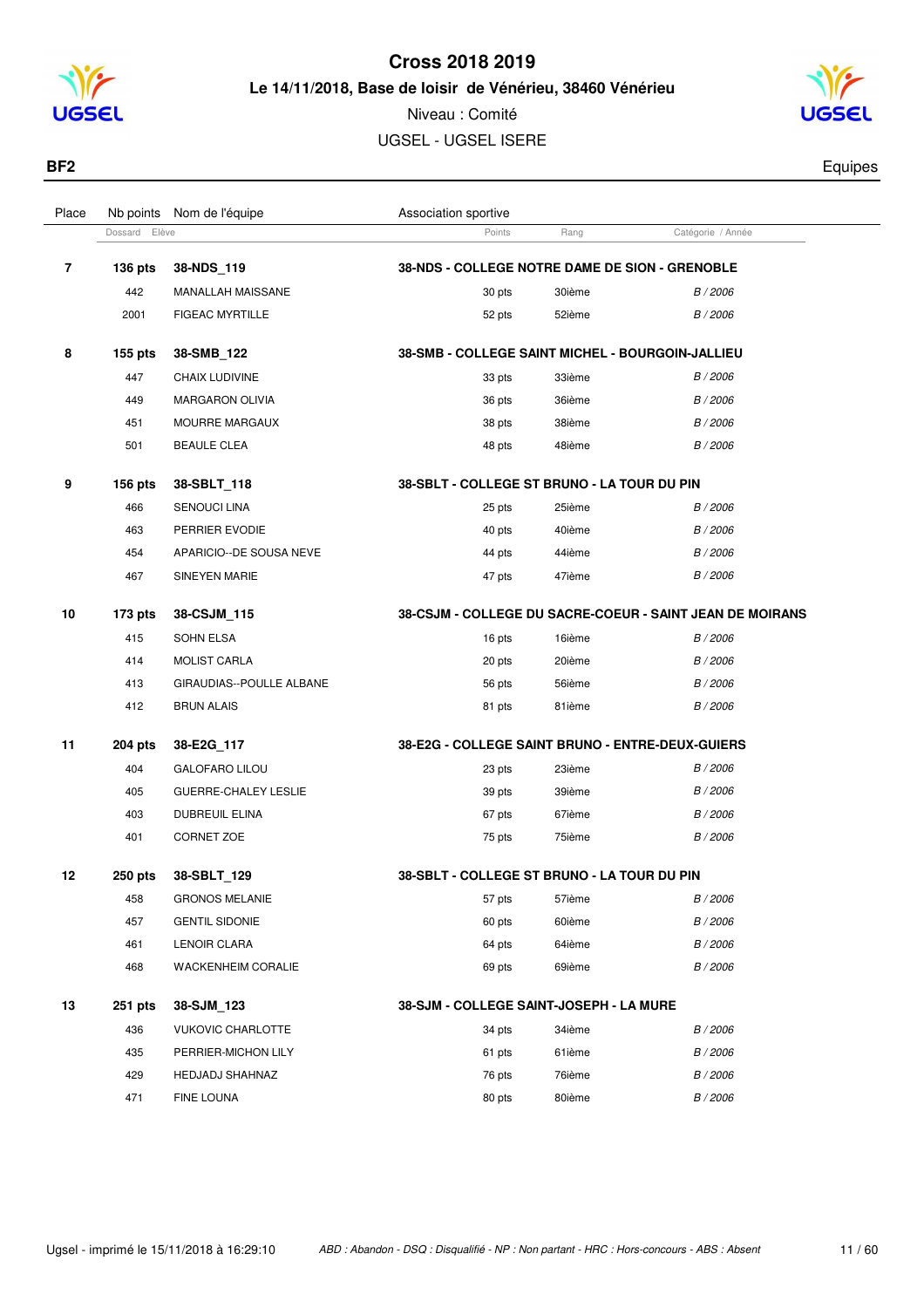

Niveau : Comité

UGSEL - UGSEL ISERE

Dossard Elève **Catégorie / Année** Points Rang Catégorie / Année

**136 pts 38-NDS\_119 38-NDS - COLLEGE NOTRE DAME DE SION - GRENOBLE**

Place Nb points Nom de l'équipe  $\blacksquare$  Association sportive



**BF2** Equipes

|    | 442            | MANALLAH MAISSANE           | 30 pts                                           | 30ième | B / 2006                                                 |  |
|----|----------------|-----------------------------|--------------------------------------------------|--------|----------------------------------------------------------|--|
|    | 2001           | <b>FIGEAC MYRTILLE</b>      | 52 pts                                           | 52ième | B / 2006                                                 |  |
|    |                |                             |                                                  |        |                                                          |  |
| 8  | $155$ pts      | 38-SMB 122                  | 38-SMB - COLLEGE SAINT MICHEL - BOURGOIN-JALLIEU |        |                                                          |  |
|    | 447            | CHAIX LUDIVINE              | 33 pts                                           | 33ième | B / 2006                                                 |  |
|    | 449            | <b>MARGARON OLIVIA</b>      | 36 pts                                           | 36ième | B / 2006                                                 |  |
|    | 451            | MOURRE MARGAUX              | 38 pts                                           | 38ième | B / 2006                                                 |  |
|    | 501            | <b>BEAULE CLEA</b>          | 48 pts                                           | 48ième | B / 2006                                                 |  |
| 9  | <b>156 pts</b> | 38-SBLT_118                 | 38-SBLT - COLLEGE ST BRUNO - LA TOUR DU PIN      |        |                                                          |  |
|    | 466            | <b>SENOUCI LINA</b>         | 25 pts                                           | 25ième | B / 2006                                                 |  |
|    | 463            | PERRIER EVODIE              | 40 pts                                           | 40ième | B / 2006                                                 |  |
|    | 454            | APARICIO--DE SOUSA NEVE     | 44 pts                                           | 44ième | B / 2006                                                 |  |
|    | 467            | <b>SINEYEN MARIE</b>        | 47 pts                                           | 47ième | B / 2006                                                 |  |
| 10 | 173 pts        | 38-CSJM_115                 |                                                  |        | 38-CSJM - COLLEGE DU SACRE-COEUR - SAINT JEAN DE MOIRANS |  |
|    | 415            | <b>SOHN ELSA</b>            | 16 pts                                           | 16ième | B / 2006                                                 |  |
|    | 414            | <b>MOLIST CARLA</b>         | 20 pts                                           | 20ième | B / 2006                                                 |  |
|    | 413            | GIRAUDIAS--POULLE ALBANE    | 56 pts                                           | 56ième | B / 2006                                                 |  |
|    | 412            | <b>BRUN ALAIS</b>           | 81 pts                                           | 81ième | B / 2006                                                 |  |
| 11 | 204 pts        | 38-E2G_117                  | 38-E2G - COLLEGE SAINT BRUNO - ENTRE-DEUX-GUIERS |        |                                                          |  |
|    | 404            | <b>GALOFARO LILOU</b>       | 23 pts                                           | 23ième | B/2006                                                   |  |
|    | 405            | <b>GUERRE-CHALEY LESLIE</b> | 39 pts                                           | 39ième | B / 2006                                                 |  |
|    | 403            | <b>DUBREUIL ELINA</b>       | 67 pts                                           | 67ième | B / 2006                                                 |  |
|    | 401            | <b>CORNET ZOE</b>           | 75 pts                                           | 75ième | B / 2006                                                 |  |
| 12 | 250 pts        | 38-SBLT 129                 | 38-SBLT - COLLEGE ST BRUNO - LA TOUR DU PIN      |        |                                                          |  |
|    | 458            | <b>GRONOS MELANIE</b>       | 57 pts                                           | 57ième | B / 2006                                                 |  |
|    | 457            | <b>GENTIL SIDONIE</b>       | 60 pts                                           | 60ième | B / 2006                                                 |  |
|    | 461            | <b>LENOIR CLARA</b>         | 64 pts                                           | 64ième | B / 2006                                                 |  |
|    | 468            | <b>WACKENHEIM CORALIE</b>   | 69 pts                                           | 69ième | B / 2006                                                 |  |
| 13 | 251 pts        | 38-SJM_123                  | 38-SJM - COLLEGE SAINT-JOSEPH - LA MURE          |        |                                                          |  |
|    | 436            | <b>VUKOVIC CHARLOTTE</b>    | 34 pts                                           | 34ième | B / 2006                                                 |  |
|    | 435            | PERRIER-MICHON LILY         | 61 pts                                           | 61ième | B / 2006                                                 |  |
|    | 429            | <b>HEDJADJ SHAHNAZ</b>      | 76 pts                                           | 76ième | B / 2006                                                 |  |
|    |                |                             |                                                  |        |                                                          |  |

471 FINE LOUNA **80 pts** 80 pts 80ième B / 2006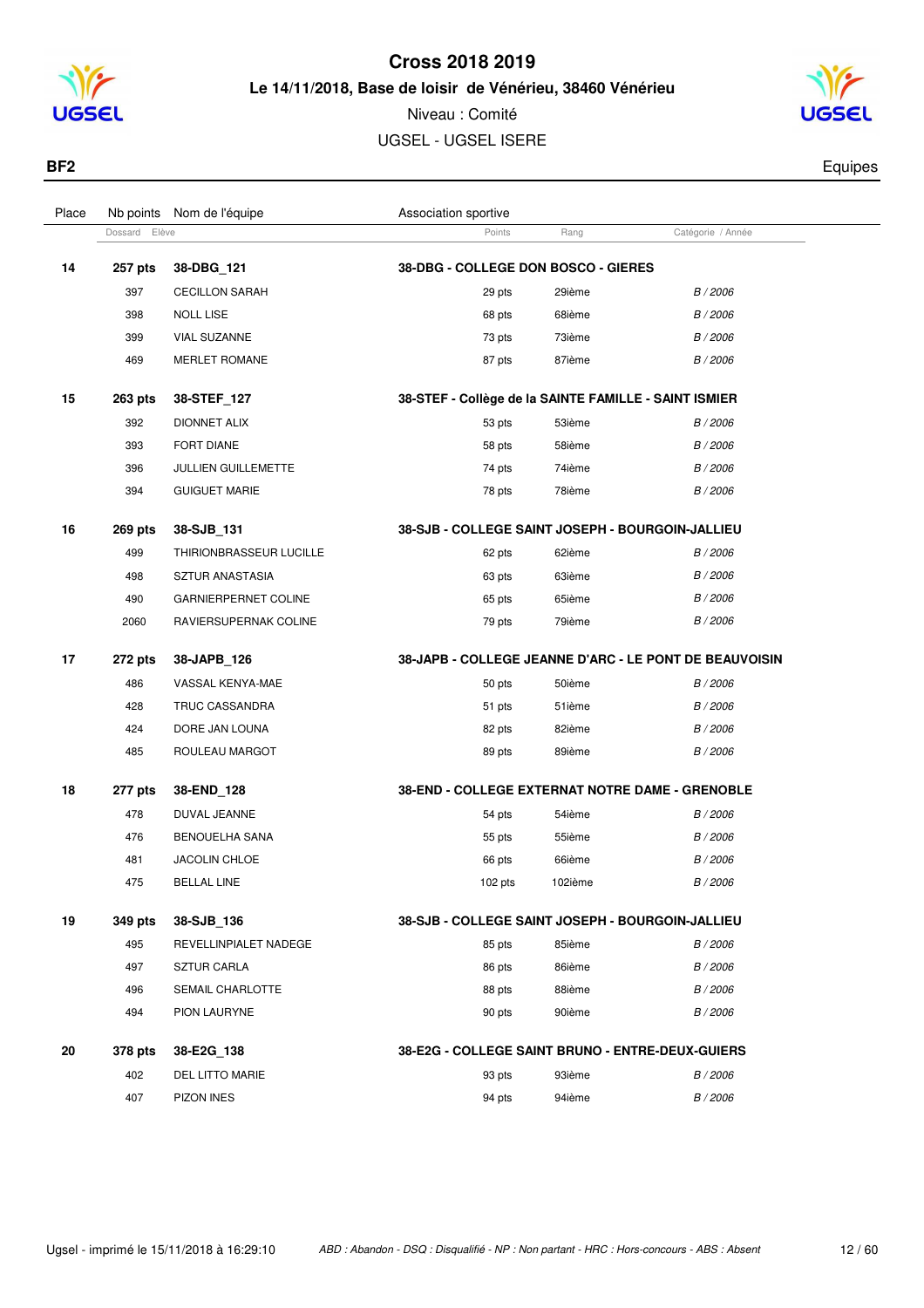

Niveau : Comité





**BF2** Equipes

| Place | Nb points        | Nom de l'équipe             | Association sportive                                  |         |                                                        |  |
|-------|------------------|-----------------------------|-------------------------------------------------------|---------|--------------------------------------------------------|--|
|       | Elève<br>Dossard |                             | Points                                                | Rang    | Catégorie / Année                                      |  |
| 14    | 257 pts          | 38-DBG_121                  | 38-DBG - COLLEGE DON BOSCO - GIERES                   |         |                                                        |  |
|       | 397              | <b>CECILLON SARAH</b>       | 29 pts                                                | 29ième  | B / 2006                                               |  |
|       | 398              | <b>NOLL LISE</b>            | 68 pts                                                | 68ième  | B / 2006                                               |  |
|       | 399              | <b>VIAL SUZANNE</b>         | 73 pts                                                | 73ième  | B / 2006                                               |  |
|       | 469              | <b>MERLET ROMANE</b>        | 87 pts                                                | 87ième  | B / 2006                                               |  |
| 15    | 263 pts          | 38-STEF_127                 | 38-STEF - Collège de la SAINTE FAMILLE - SAINT ISMIER |         |                                                        |  |
|       | 392              | <b>DIONNET ALIX</b>         | 53 pts                                                | 53ième  | B/2006                                                 |  |
|       | 393              | <b>FORT DIANE</b>           | 58 pts                                                | 58ième  | B / 2006                                               |  |
|       | 396              | JULLIEN GUILLEMETTE         | 74 pts                                                | 74ième  | B / 2006                                               |  |
|       | 394              | <b>GUIGUET MARIE</b>        | 78 pts                                                | 78ième  | B / 2006                                               |  |
| 16    | 269 pts          | 38-SJB_131                  | 38-SJB - COLLEGE SAINT JOSEPH - BOURGOIN-JALLIEU      |         |                                                        |  |
|       | 499              | THIRIONBRASSEUR LUCILLE     | 62 pts                                                | 62ième  | B / 2006                                               |  |
|       | 498              | SZTUR ANASTASIA             | 63 pts                                                | 63ième  | B / 2006                                               |  |
|       | 490              | <b>GARNIERPERNET COLINE</b> | 65 pts                                                | 65ième  | B / 2006                                               |  |
|       | 2060             | RAVIERSUPERNAK COLINE       | 79 pts                                                | 79ième  | B / 2006                                               |  |
| 17    | <b>272 pts</b>   | 38-JAPB 126                 |                                                       |         | 38-JAPB - COLLEGE JEANNE D'ARC - LE PONT DE BEAUVOISIN |  |
|       | 486              | VASSAL KENYA-MAE            | 50 pts                                                | 50ième  | B / 2006                                               |  |
|       | 428              | TRUC CASSANDRA              | 51 pts                                                | 51ième  | B / 2006                                               |  |
|       | 424              | DORE JAN LOUNA              | 82 pts                                                | 82ième  | B / 2006                                               |  |
|       | 485              | ROULEAU MARGOT              | 89 pts                                                | 89ième  | B / 2006                                               |  |
| 18    | 277 pts          | 38-END_128                  | 38-END - COLLEGE EXTERNAT NOTRE DAME - GRENOBLE       |         |                                                        |  |
|       | 478              | DUVAL JEANNE                | 54 pts                                                | 54ième  | B/2006                                                 |  |
|       | 476              | <b>BENOUELHA SANA</b>       | 55 pts                                                | 55ième  | B / 2006                                               |  |
|       | 481              | <b>JACOLIN CHLOE</b>        | 66 pts                                                | 66ième  | B / 2006                                               |  |
|       | 475              | <b>BELLAL LINE</b>          | $102$ pts                                             | 102ième | B / 2006                                               |  |
| 19    | 349 pts          | 38-SJB_136                  | 38-SJB - COLLEGE SAINT JOSEPH - BOURGOIN-JALLIEU      |         |                                                        |  |
|       | 495              | REVELLINPIALET NADEGE       | 85 pts                                                | 85ième  | B / 2006                                               |  |
|       | 497              | <b>SZTUR CARLA</b>          | 86 pts                                                | 86ième  | B / 2006                                               |  |
|       | 496              | SEMAIL CHARLOTTE            | 88 pts                                                | 88ième  | B / 2006                                               |  |
|       | 494              | PION LAURYNE                | 90 pts                                                | 90ième  | B / 2006                                               |  |
| 20    | 378 pts          | 38-E2G_138                  | 38-E2G - COLLEGE SAINT BRUNO - ENTRE-DEUX-GUIERS      |         |                                                        |  |
|       | 402              | DEL LITTO MARIE             | 93 pts                                                | 93ième  | B / 2006                                               |  |
|       | 407              | PIZON INES                  | 94 pts                                                | 94ième  | B / 2006                                               |  |
|       |                  |                             |                                                       |         |                                                        |  |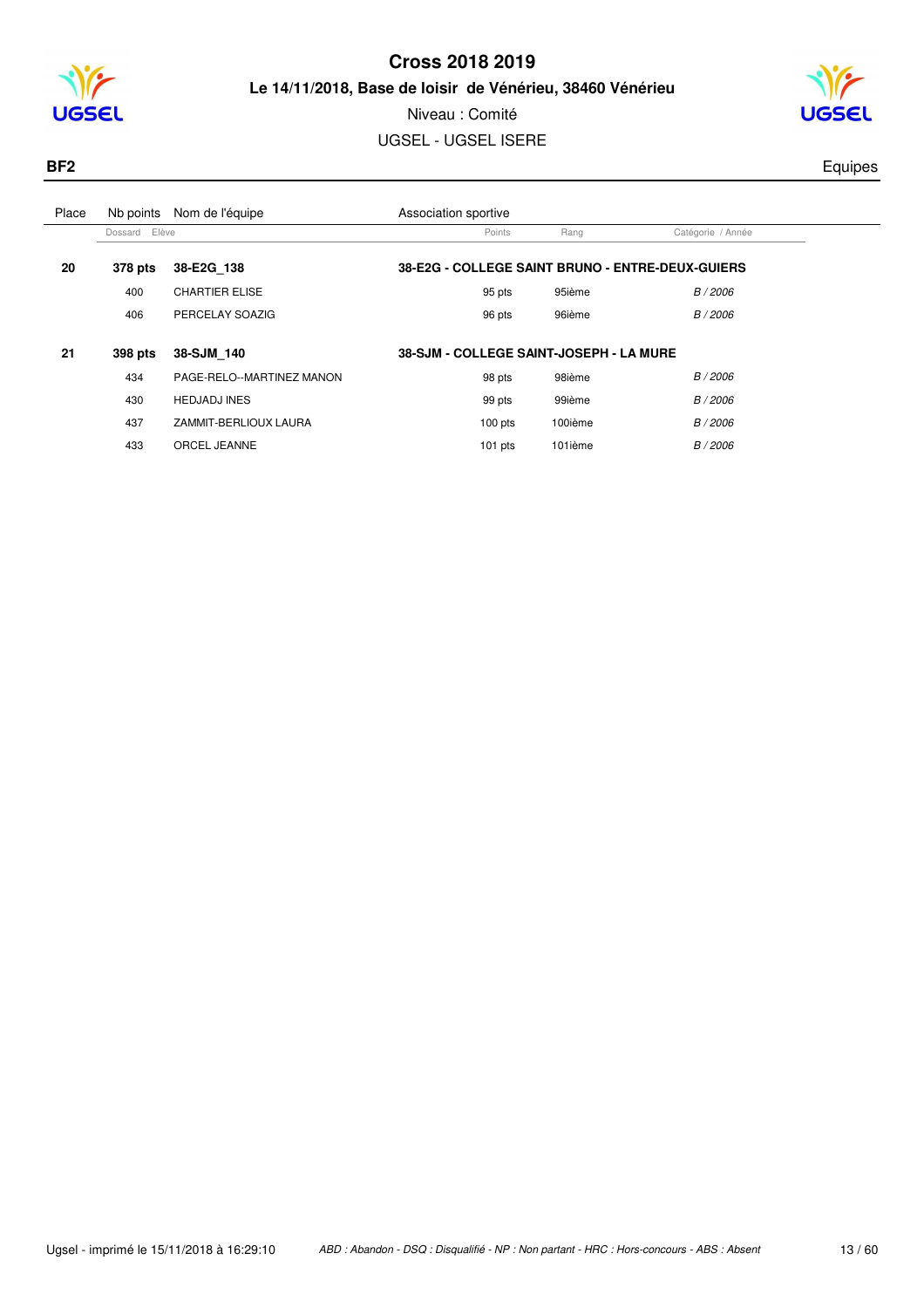

Niveau : Comité

UGSEL - UGSEL ISERE



**BF2** Equipes

| Place | Nb points     | Nom de l'équipe           | Association sportive |           |                                                  |                   |
|-------|---------------|---------------------------|----------------------|-----------|--------------------------------------------------|-------------------|
|       | Dossard Elève |                           |                      | Points    | Rang                                             | Catégorie / Année |
| 20    | 378 pts       | 38-E2G 138                |                      |           | 38-E2G - COLLEGE SAINT BRUNO - ENTRE-DEUX-GUIERS |                   |
|       | 400           | <b>CHARTIER ELISE</b>     |                      | 95 pts    | 95ième                                           | B / 2006          |
|       | 406           | PERCELAY SOAZIG           |                      | 96 pts    | 96ième                                           | B / 2006          |
| 21    | 398 pts       | 38-SJM 140                |                      |           | 38-SJM - COLLEGE SAINT-JOSEPH - LA MURE          |                   |
|       | 434           | PAGE-RELO--MARTINEZ MANON |                      | 98 pts    | 98ième                                           | B/2006            |
|       | 430           | <b>HEDJADJ INES</b>       |                      | 99 pts    | 99ième                                           | B / 2006          |
|       | 437           | ZAMMIT-BERLIOUX LAURA     |                      | $100$ pts | 100ième                                          | B / 2006          |
|       | 433           | ORCEL JEANNE              |                      | $101$ pts | 101ième                                          | B / 2006          |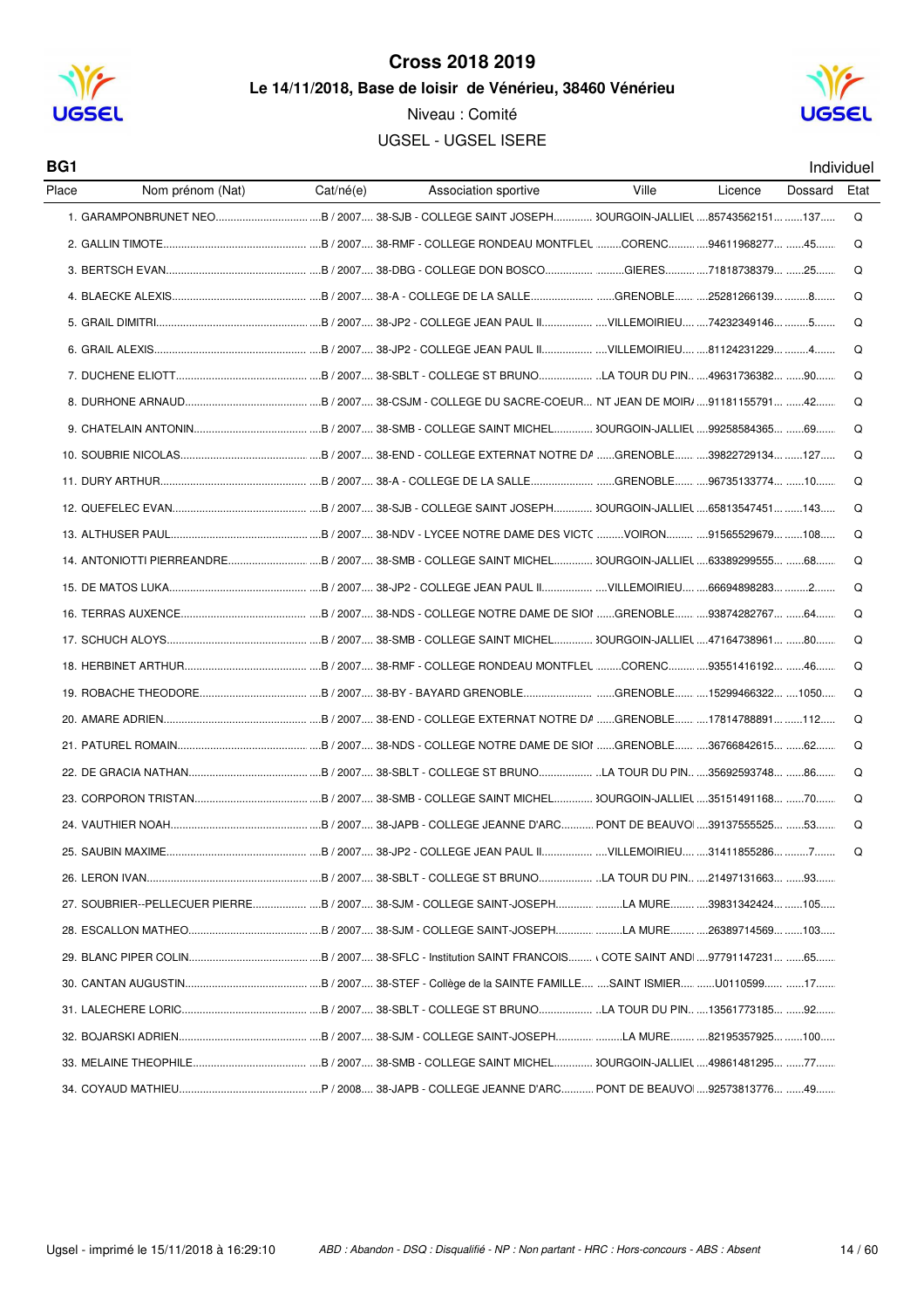

Niveau : Comité

UGSEL - UGSEL ISERE



Individuel

| <b>BG1</b>                                                                                  |           |                      |       |         |         | Individue |
|---------------------------------------------------------------------------------------------|-----------|----------------------|-------|---------|---------|-----------|
| Nom prénom (Nat)<br>Place                                                                   | Cat/né(e) | Association sportive | Ville | Licence | Dossard | Eta       |
|                                                                                             |           |                      |       |         |         | Q         |
|                                                                                             |           |                      |       |         |         | Q         |
|                                                                                             |           |                      |       |         |         | Q         |
|                                                                                             |           |                      |       |         |         | Q         |
|                                                                                             |           |                      |       |         |         | Q         |
|                                                                                             |           |                      |       |         |         | Q         |
|                                                                                             |           |                      |       |         |         | Q         |
|                                                                                             |           |                      |       |         |         | Q         |
|                                                                                             |           |                      |       |         |         | Q         |
|                                                                                             |           |                      |       |         |         | Q         |
|                                                                                             |           |                      |       |         |         | Q         |
|                                                                                             |           |                      |       |         |         | Q         |
|                                                                                             |           |                      |       |         |         | Q         |
|                                                                                             |           |                      |       |         |         | Q         |
|                                                                                             |           |                      |       |         |         | Q         |
|                                                                                             |           |                      |       |         |         | Q         |
|                                                                                             |           |                      |       |         |         | Q         |
|                                                                                             |           |                      |       |         |         | Q         |
|                                                                                             |           |                      |       |         |         | Q         |
|                                                                                             |           |                      |       |         |         | Q         |
|                                                                                             |           |                      |       |         |         | Q         |
|                                                                                             |           |                      |       |         |         | Q         |
|                                                                                             |           |                      |       |         |         | Q         |
|                                                                                             |           |                      |       |         |         | Q         |
| 25. SAUBIN MAXIME.                                                                          |           |                      |       |         | 7       | $\Omega$  |
|                                                                                             |           |                      |       |         |         |           |
| 27. SOUBRIER--PELLECUER PIERRE B / 2007 38-SJM - COLLEGE SAINT-JOSEPHLA MURE39831342424 105 |           |                      |       |         |         |           |
|                                                                                             |           |                      |       |         |         |           |
|                                                                                             |           |                      |       |         |         |           |
|                                                                                             |           |                      |       |         |         |           |
|                                                                                             |           |                      |       |         |         |           |
|                                                                                             |           |                      |       |         |         |           |
|                                                                                             |           |                      |       |         |         |           |
|                                                                                             |           |                      |       |         |         |           |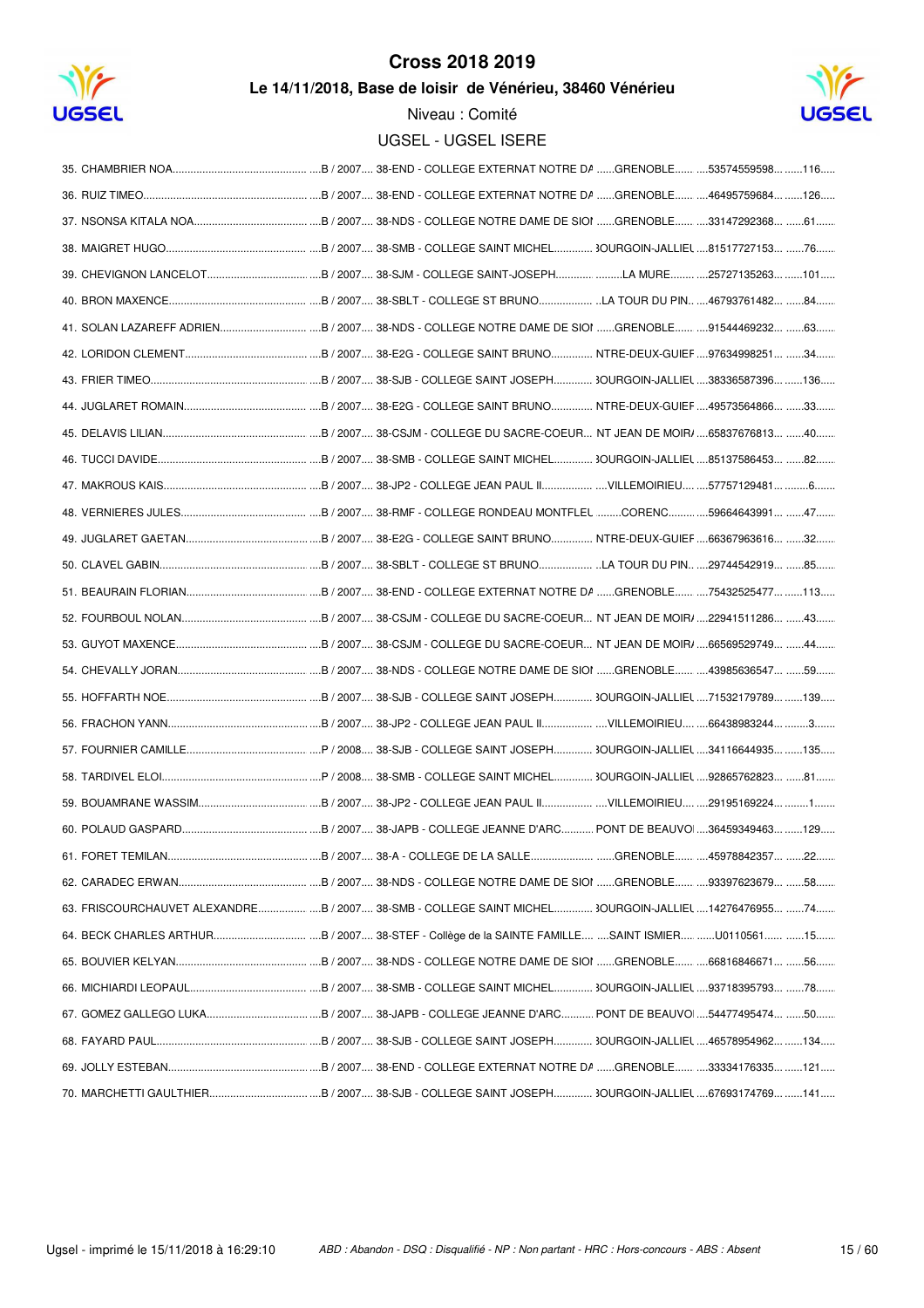

Le 14/11/2018, Base de loisir de Vénérieu, 38460 Vénérieu

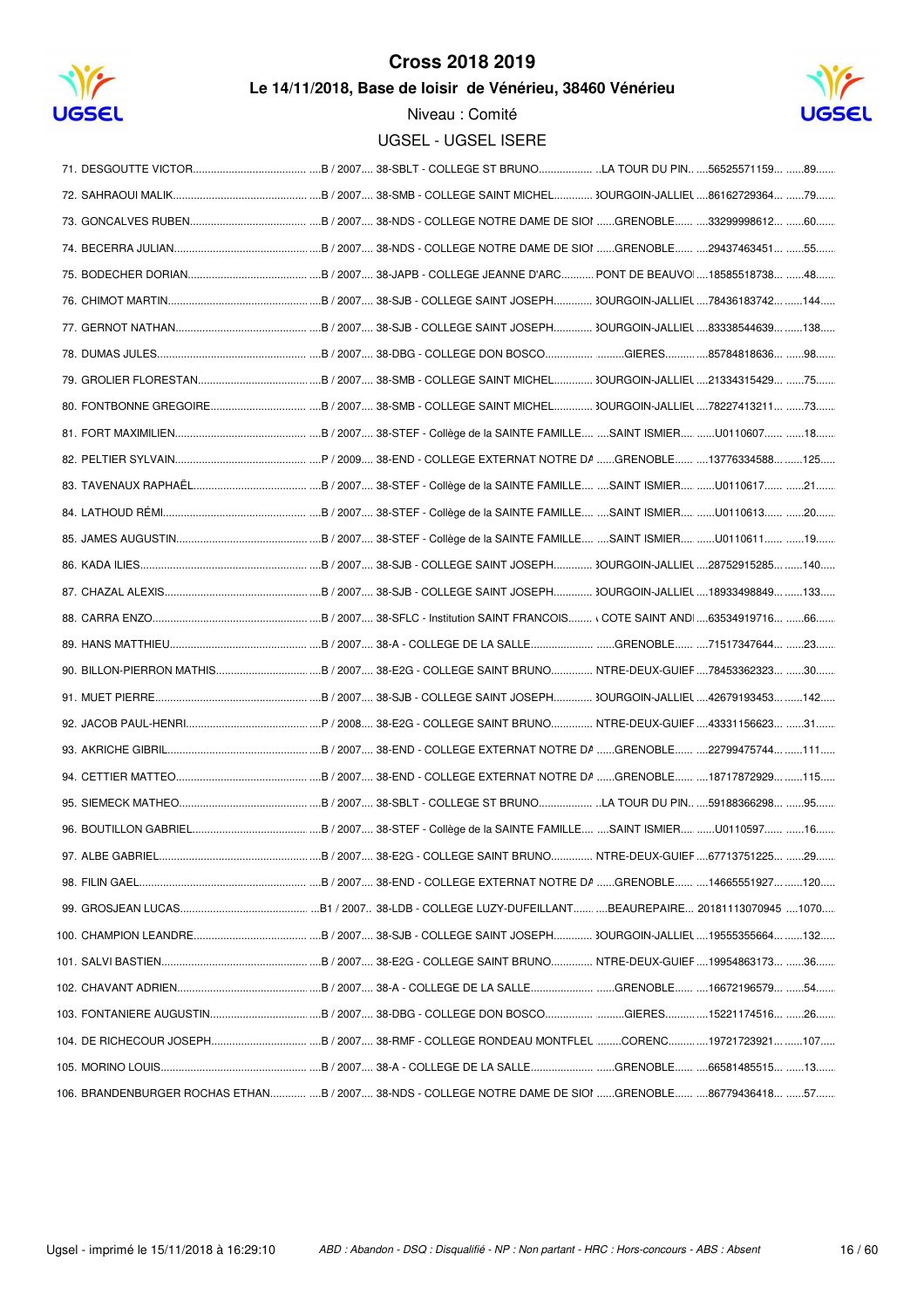

Le 14/11/2018, Base de loisir de Vénérieu, 38460 Vénérieu

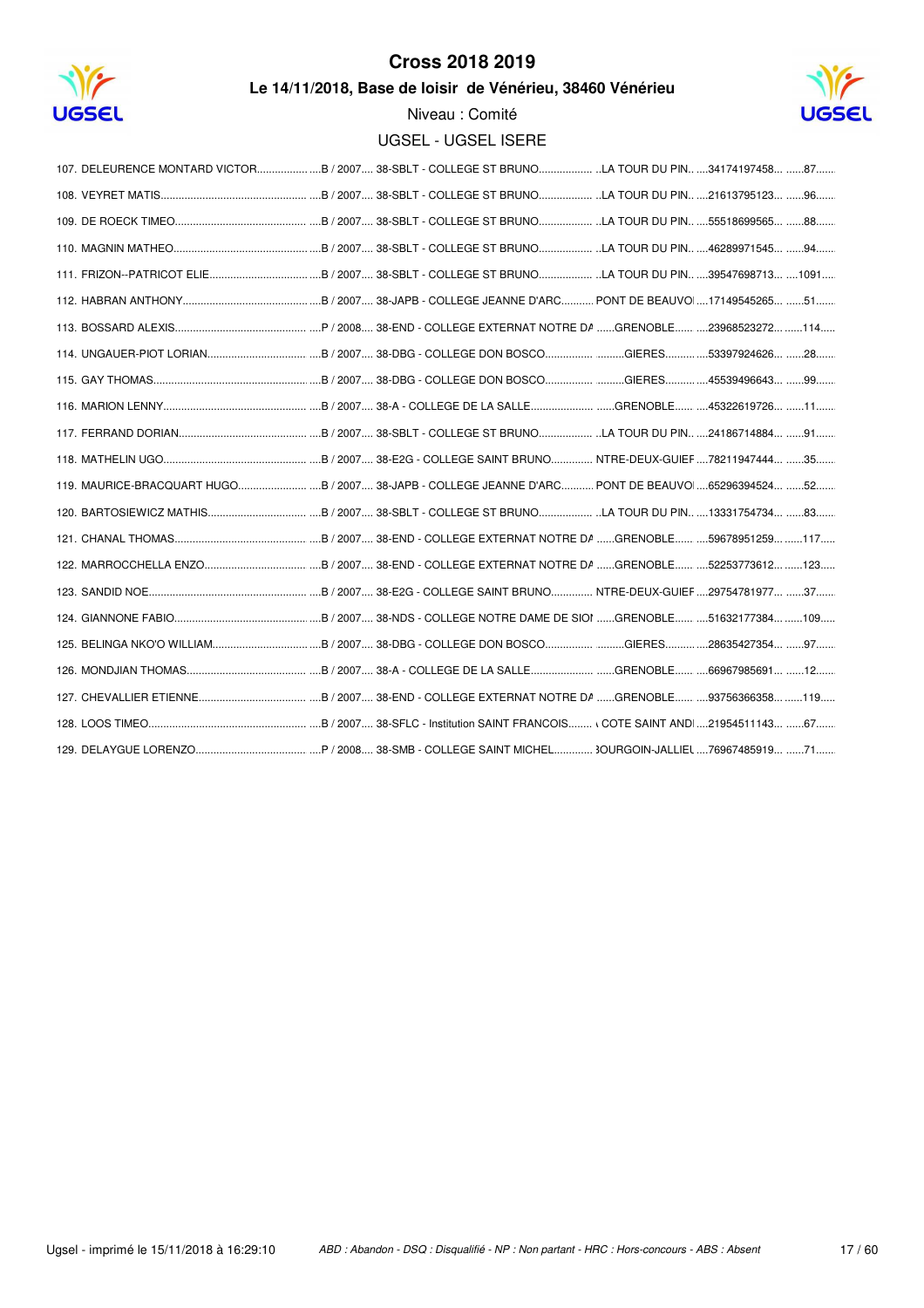

Le 14/11/2018, Base de loisir de Vénérieu, 38460 Vénérieu



| 107. DELEURENCE MONTARD VICTORB / 2007 38-SBLT - COLLEGE ST BRUNO LA TOUR DU PIN 34174197458 87  |
|--------------------------------------------------------------------------------------------------|
|                                                                                                  |
|                                                                                                  |
|                                                                                                  |
|                                                                                                  |
|                                                                                                  |
|                                                                                                  |
|                                                                                                  |
|                                                                                                  |
|                                                                                                  |
|                                                                                                  |
|                                                                                                  |
| 119. MAURICE-BRACQUART HUGOB / 2007 38-JAPB - COLLEGE JEANNE D'ARC PONT DE BEAUVO 65296394524 52 |
|                                                                                                  |
|                                                                                                  |
|                                                                                                  |
|                                                                                                  |
|                                                                                                  |
|                                                                                                  |
|                                                                                                  |
|                                                                                                  |
|                                                                                                  |
|                                                                                                  |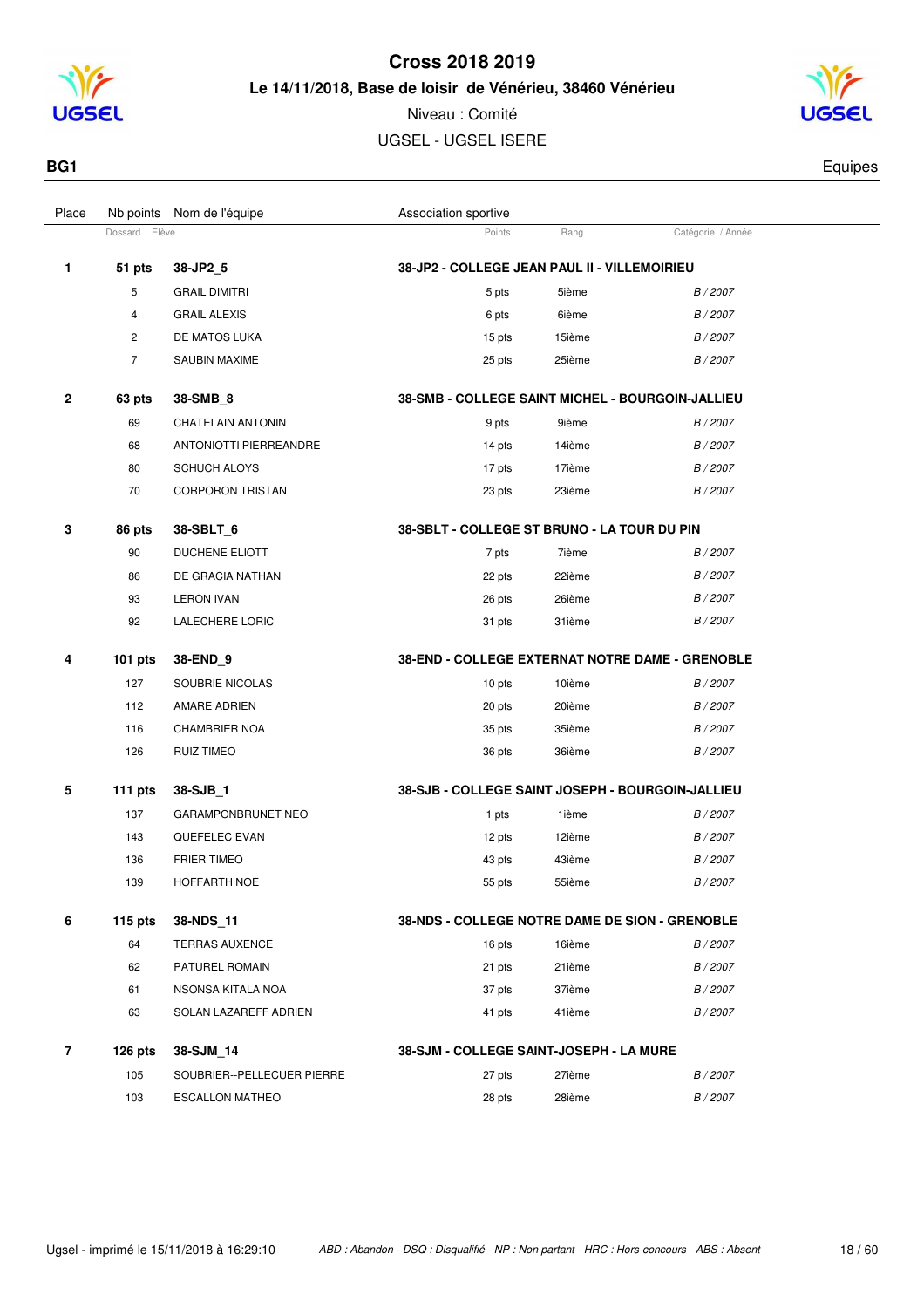

Niveau : Comité

Dossard Elève **Catégorie / Année**<br>
Points Rang Catégorie / Année

**51 pts 38-JP2\_5 38-JP2 - COLLEGE JEAN PAUL II - VILLEMOIRIEU**

Place Nb points Nom de l'équipe  $\blacksquare$  Association sportive





**BG1** Equipes

|   | 64             | <b>TERRAS AUXENCE</b>         | 16 pts                                           | 16ième | B / 2007 |
|---|----------------|-------------------------------|--------------------------------------------------|--------|----------|
| 6 | $115$ pts      | 38-NDS 11                     | 38-NDS - COLLEGE NOTRE DAME DE SION - GRENOBLE   |        |          |
|   | 139            | HOFFARTH NOE                  | 55 pts                                           | 55ième | B / 2007 |
|   | 136            | <b>FRIER TIMEO</b>            | 43 pts                                           | 43ième | B / 2007 |
|   | 143            | QUEFELEC EVAN                 | 12 pts                                           | 12ième | B / 2007 |
|   | 137            | <b>GARAMPONBRUNET NEO</b>     | 1 pts                                            | 1ième  | B / 2007 |
| 5 | 111 pts        | 38-SJB 1                      | 38-SJB - COLLEGE SAINT JOSEPH - BOURGOIN-JALLIEU |        |          |
|   |                |                               |                                                  |        |          |
|   | 126            | <b>RUIZ TIMEO</b>             | 36 pts                                           | 36ième | B / 2007 |
|   | 116            | <b>CHAMBRIER NOA</b>          | 35 pts                                           | 35ième | B / 2007 |
|   | 112            | AMARE ADRIEN                  | 20 pts                                           | 20ième | B / 2007 |
|   | 127            | SOUBRIE NICOLAS               | 10 pts                                           | 10ième | B / 2007 |
| 4 | <b>101 pts</b> | 38-END 9                      | 38-END - COLLEGE EXTERNAT NOTRE DAME - GRENOBLE  |        |          |
|   | 92             | LALECHERE LORIC               | 31 pts                                           | 31ième | B / 2007 |
|   | 93             | <b>LERON IVAN</b>             | 26 pts                                           | 26ième | B / 2007 |
|   | 86             | DE GRACIA NATHAN              | 22 pts                                           | 22ième | B / 2007 |
|   | 90             | <b>DUCHENE ELIOTT</b>         | 7 pts                                            | 7ième  | B/2007   |
| 3 | 86 pts         | 38-SBLT 6                     | 38-SBLT - COLLEGE ST BRUNO - LA TOUR DU PIN      |        |          |
|   | 70             | <b>CORPORON TRISTAN</b>       | 23 pts                                           | 23ième | B / 2007 |
|   | 80             | <b>SCHUCH ALOYS</b>           | 17 pts                                           | 17ième | B / 2007 |
|   | 68             | <b>ANTONIOTTI PIERREANDRE</b> | 14 pts                                           | 14ième | B / 2007 |
|   | 69             | <b>CHATELAIN ANTONIN</b>      | 9 pts                                            | 9ième  | B/2007   |
| 2 | 63 pts         | 38-SMB 8                      | 38-SMB - COLLEGE SAINT MICHEL - BOURGOIN-JALLIEU |        |          |
|   | $\overline{7}$ | <b>SAUBIN MAXIME</b>          | 25 pts                                           | 25ième | B / 2007 |
|   | $\overline{c}$ | DE MATOS LUKA                 | 15 pts                                           | 15ième | B/2007   |
|   | $\overline{4}$ | <b>GRAIL ALEXIS</b>           | 6 pts                                            | 6ième  | B / 2007 |
|   | 5              | <b>GRAIL DIMITRI</b>          | 5 pts                                            | 5ième  | B/2007   |

| 126 $p$ ts | 38-SJM 14             | <b>38-SJM - COLLEGE SAINT-JOSEPH - LA MURE</b> |        |        |
|------------|-----------------------|------------------------------------------------|--------|--------|
| 63         | SOLAN LAZAREFF ADRIEN | 41 pts                                         | 41ième | B/2007 |
| 61         | NSONSA KITALA NOA     | 37 pts                                         | 37ième | B/2007 |
| 62         | <b>PATUREL ROMAIN</b> | 21 pts                                         | 21ième | B/2007 |

| 105 | SOUBRIER--PELLECUER PIERRE | 27 pts | 27ième | B/2007 |
|-----|----------------------------|--------|--------|--------|
| 103 | ESCALLON MATHEO            | 28 pts | 28ième | B/2007 |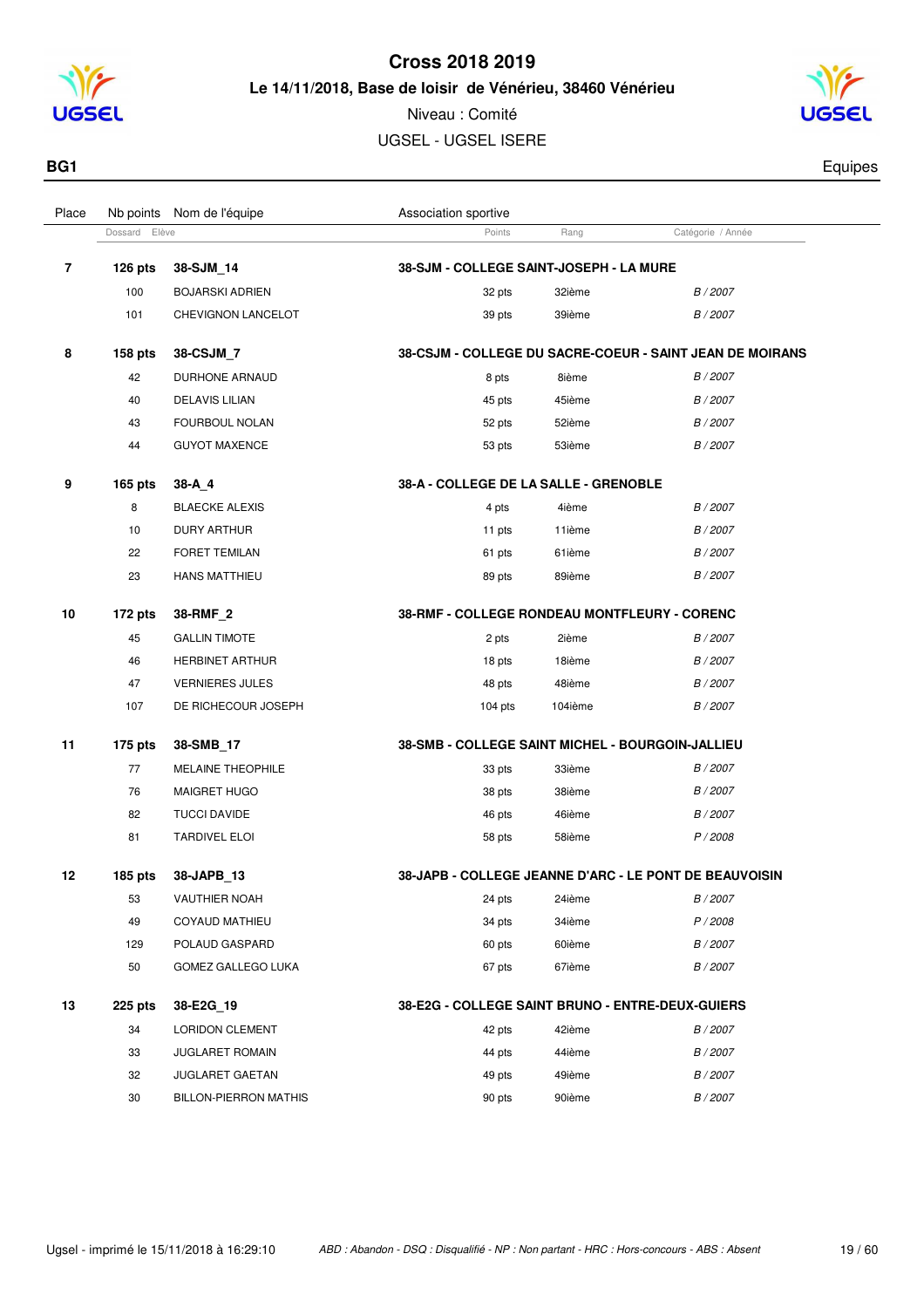

Niveau : Comité

UGSEL - UGSEL ISERE



| Place | Nb points        | Nom de l'équipe              | Association sportive                             |         |                                                          |  |
|-------|------------------|------------------------------|--------------------------------------------------|---------|----------------------------------------------------------|--|
|       | Elève<br>Dossard |                              | Points                                           | Rang    | Catégorie / Année                                        |  |
| 7     | 126 pts          | 38-SJM_14                    | <b>38-SJM - COLLEGE SAINT-JOSEPH - LA MURE</b>   |         |                                                          |  |
|       | 100              | <b>BOJARSKI ADRIEN</b>       | 32 pts                                           | 32ième  | B/2007                                                   |  |
|       | 101              | CHEVIGNON LANCELOT           | 39 pts                                           | 39ième  | B / 2007                                                 |  |
| 8     | 158 pts          | 38-CSJM_7                    |                                                  |         | 38-CSJM - COLLEGE DU SACRE-COEUR - SAINT JEAN DE MOIRANS |  |
|       | 42               | DURHONE ARNAUD               | 8 pts                                            | 8ième   | B / 2007                                                 |  |
|       | 40               | <b>DELAVIS LILIAN</b>        | 45 pts                                           | 45ième  | B / 2007                                                 |  |
|       | 43               | FOURBOUL NOLAN               | 52 pts                                           | 52ième  | B / 2007                                                 |  |
|       | 44               | <b>GUYOT MAXENCE</b>         | 53 pts                                           | 53ième  | B / 2007                                                 |  |
| 9     | 165 pts          | $38 - A_4$                   | 38-A - COLLEGE DE LA SALLE - GRENOBLE            |         |                                                          |  |
|       | 8                | <b>BLAECKE ALEXIS</b>        | 4 pts                                            | 4ième   | B / 2007                                                 |  |
|       | 10               | <b>DURY ARTHUR</b>           | 11 pts                                           | 11ième  | B / 2007                                                 |  |
|       | 22               | <b>FORET TEMILAN</b>         | 61 pts                                           | 61ième  | B / 2007                                                 |  |
|       | 23               | <b>HANS MATTHIEU</b>         | 89 pts                                           | 89ième  | B / 2007                                                 |  |
| 10    | 172 pts          | 38-RMF_2                     | 38-RMF - COLLEGE RONDEAU MONTFLEURY - CORENC     |         |                                                          |  |
|       | 45               | <b>GALLIN TIMOTE</b>         | 2 pts                                            | 2ième   | B / 2007                                                 |  |
|       | 46               | HERBINET ARTHUR              | 18 pts                                           | 18ième  | B / 2007                                                 |  |
|       | 47               | <b>VERNIERES JULES</b>       | 48 pts                                           | 48ième  | B / 2007                                                 |  |
|       | 107              | DE RICHECOUR JOSEPH          | $104$ pts                                        | 104ième | B / 2007                                                 |  |
| 11    | 175 pts          | 38-SMB_17                    | 38-SMB - COLLEGE SAINT MICHEL - BOURGOIN-JALLIEU |         |                                                          |  |
|       | 77               | MELAINE THEOPHILE            | 33 pts                                           | 33ième  | B / 2007                                                 |  |
|       | 76               | MAIGRET HUGO                 | 38 pts                                           | 38ième  | B / 2007                                                 |  |
|       | 82               | <b>TUCCI DAVIDE</b>          | 46 pts                                           | 46ième  | B / 2007                                                 |  |
|       | 81               | <b>TARDIVEL ELOI</b>         | 58 pts                                           | 58ième  | P / 2008                                                 |  |
| 12    | 185 pts          | 38-JAPB_13                   |                                                  |         | 38-JAPB - COLLEGE JEANNE D'ARC - LE PONT DE BEAUVOISIN   |  |
|       | 53               | <b>VAUTHIER NOAH</b>         | 24 pts                                           | 24ième  | B/2007                                                   |  |
|       | 49               | <b>COYAUD MATHIEU</b>        | 34 pts                                           | 34ième  | P / 2008                                                 |  |
|       | 129              | POLAUD GASPARD               | 60 pts                                           | 60ième  | B / 2007                                                 |  |
|       | 50               | <b>GOMEZ GALLEGO LUKA</b>    | 67 pts                                           | 67ième  | B / 2007                                                 |  |
| 13    | 225 pts          | 38-E2G_19                    | 38-E2G - COLLEGE SAINT BRUNO - ENTRE-DEUX-GUIERS |         |                                                          |  |
|       | 34               | <b>LORIDON CLEMENT</b>       | 42 pts                                           | 42ième  | B / 2007                                                 |  |
|       | 33               | <b>JUGLARET ROMAIN</b>       | 44 pts                                           | 44ième  | B / 2007                                                 |  |
|       | 32               | <b>JUGLARET GAETAN</b>       | 49 pts                                           | 49ième  | B / 2007                                                 |  |
|       | 30               | <b>BILLON-PIERRON MATHIS</b> | 90 pts                                           | 90ième  | B / 2007                                                 |  |
|       |                  |                              |                                                  |         |                                                          |  |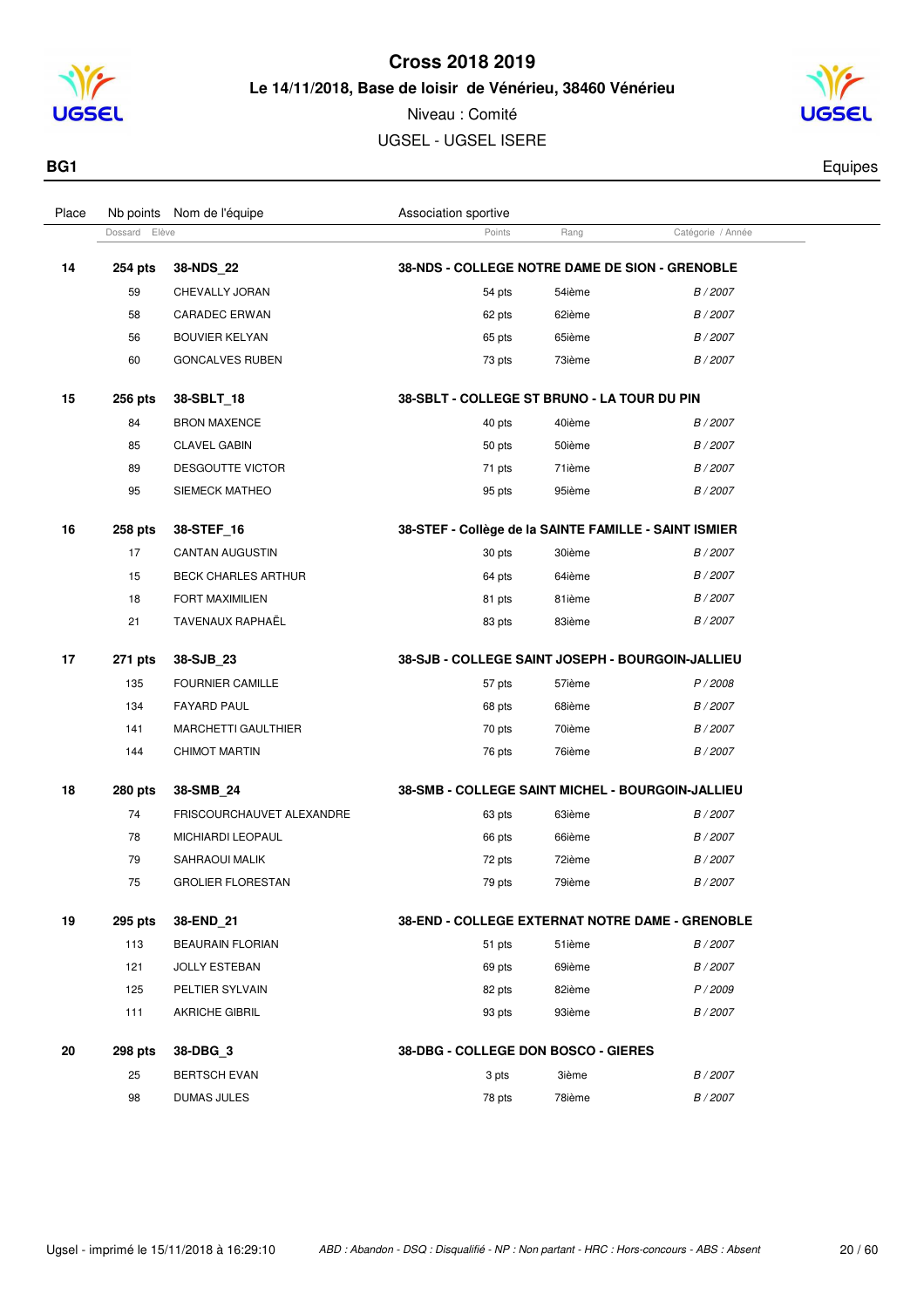

Niveau : Comité

UGSEL - UGSEL ISERE

Dossard Elève **Catégorie / Année** Points Rang Catégorie / Année

**254 pts 38-NDS\_22 38-NDS - COLLEGE NOTRE DAME DE SION - GRENOBLE**

Place Nb points Nom de l'équipe  $\blacksquare$  Association sportive



**BG1** Equipes

| 121<br>125<br>111 | <b>JOLLY ESTEBAN</b><br>PELTIER SYLVAIN<br><b>AKRICHE GIBRIL</b> | P / 2009<br>82 pts<br>82ième<br>93ième<br>B/2007<br>93 pts                                                                                                                                             |
|-------------------|------------------------------------------------------------------|--------------------------------------------------------------------------------------------------------------------------------------------------------------------------------------------------------|
|                   |                                                                  |                                                                                                                                                                                                        |
|                   |                                                                  |                                                                                                                                                                                                        |
|                   |                                                                  | B/2007<br>69 pts<br>69ième                                                                                                                                                                             |
| 113               | <b>BEAURAIN FLORIAN</b>                                          | B / 2007<br>51 pts<br>51ième                                                                                                                                                                           |
| 295 pts           | 38-END 21                                                        | 38-END - COLLEGE EXTERNAT NOTRE DAME - GRENOBLE                                                                                                                                                        |
| 75                | <b>GROLIER FLORESTAN</b>                                         | B / 2007<br>79ième<br>79 pts                                                                                                                                                                           |
| 79                | SAHRAOUI MALIK                                                   | B / 2007<br>72ième<br>72 pts                                                                                                                                                                           |
| 78                | MICHIARDI LEOPAUL                                                | 66ième<br>B / 2007<br>66 pts                                                                                                                                                                           |
| 74                | FRISCOURCHAUVET ALEXANDRE                                        | 63ième<br>B / 2007<br>63 pts                                                                                                                                                                           |
| 280 pts           | 38-SMB_24                                                        | 38-SMB - COLLEGE SAINT MICHEL - BOURGOIN-JALLIEU                                                                                                                                                       |
|                   |                                                                  | B / 2007<br>76 pts<br>76ième                                                                                                                                                                           |
|                   |                                                                  | B / 2007<br>70 pts<br>70ième                                                                                                                                                                           |
|                   |                                                                  | B / 2007<br>68 pts<br>68ième                                                                                                                                                                           |
|                   |                                                                  | 57ième<br>P/2008<br>57 pts                                                                                                                                                                             |
|                   |                                                                  | 38-SJB - COLLEGE SAINT JOSEPH - BOURGOIN-JALLIEU                                                                                                                                                       |
|                   |                                                                  |                                                                                                                                                                                                        |
| 21                | TAVENAUX RAPHAËL                                                 | B / 2007<br>83 pts<br>83ième                                                                                                                                                                           |
| 18                | FORT MAXIMILIEN                                                  | 81 pts<br>81ième<br>B / 2007                                                                                                                                                                           |
| 15                | <b>BECK CHARLES ARTHUR</b>                                       | B / 2007<br>64 pts<br>64ième                                                                                                                                                                           |
| 17                | <b>CANTAN AUGUSTIN</b>                                           | B/2007<br>30 pts<br>30ième                                                                                                                                                                             |
| 258 pts           | 38-STEF_16                                                       | 38-STEF - Collège de la SAINTE FAMILLE - SAINT ISMIER                                                                                                                                                  |
| 95                | <b>SIEMECK MATHEO</b>                                            | B / 2007<br>95 pts<br>95ième                                                                                                                                                                           |
| 89                | <b>DESGOUTTE VICTOR</b>                                          | B / 2007<br>71ième<br>71 pts                                                                                                                                                                           |
| 85                | <b>CLAVEL GABIN</b>                                              | B / 2007<br>50 pts<br>50ième                                                                                                                                                                           |
| 84                | <b>BRON MAXENCE</b>                                              | B/2007<br>40ième<br>40 pts                                                                                                                                                                             |
| 256 pts           | 38-SBLT_18                                                       | 38-SBLT - COLLEGE ST BRUNO - LA TOUR DU PIN                                                                                                                                                            |
|                   |                                                                  | 73ième<br>B / 2007<br>73 pts                                                                                                                                                                           |
|                   |                                                                  | B/2007<br>65 pts<br>65ième                                                                                                                                                                             |
|                   |                                                                  | B / 2007<br>62 pts<br>62ième                                                                                                                                                                           |
|                   |                                                                  | B/2007<br>54 pts<br>54ième                                                                                                                                                                             |
|                   | 59<br>58<br>56<br>60<br>271 pts<br>135<br>134<br>141<br>144      | CHEVALLY JORAN<br><b>CARADEC ERWAN</b><br><b>BOUVIER KELYAN</b><br><b>GONCALVES RUBEN</b><br>38-SJB 23<br><b>FOURNIER CAMILLE</b><br><b>FAYARD PAUL</b><br>MARCHETTI GAULTHIER<br><b>CHIMOT MARTIN</b> |

25 BERTSCH EVAN 2007 3 pts 3ième B / 2007 98 DUMAS JULES **198 PHOTO ASSESSED AT A 2007** 78 pts 78 pts 78ième B / 2007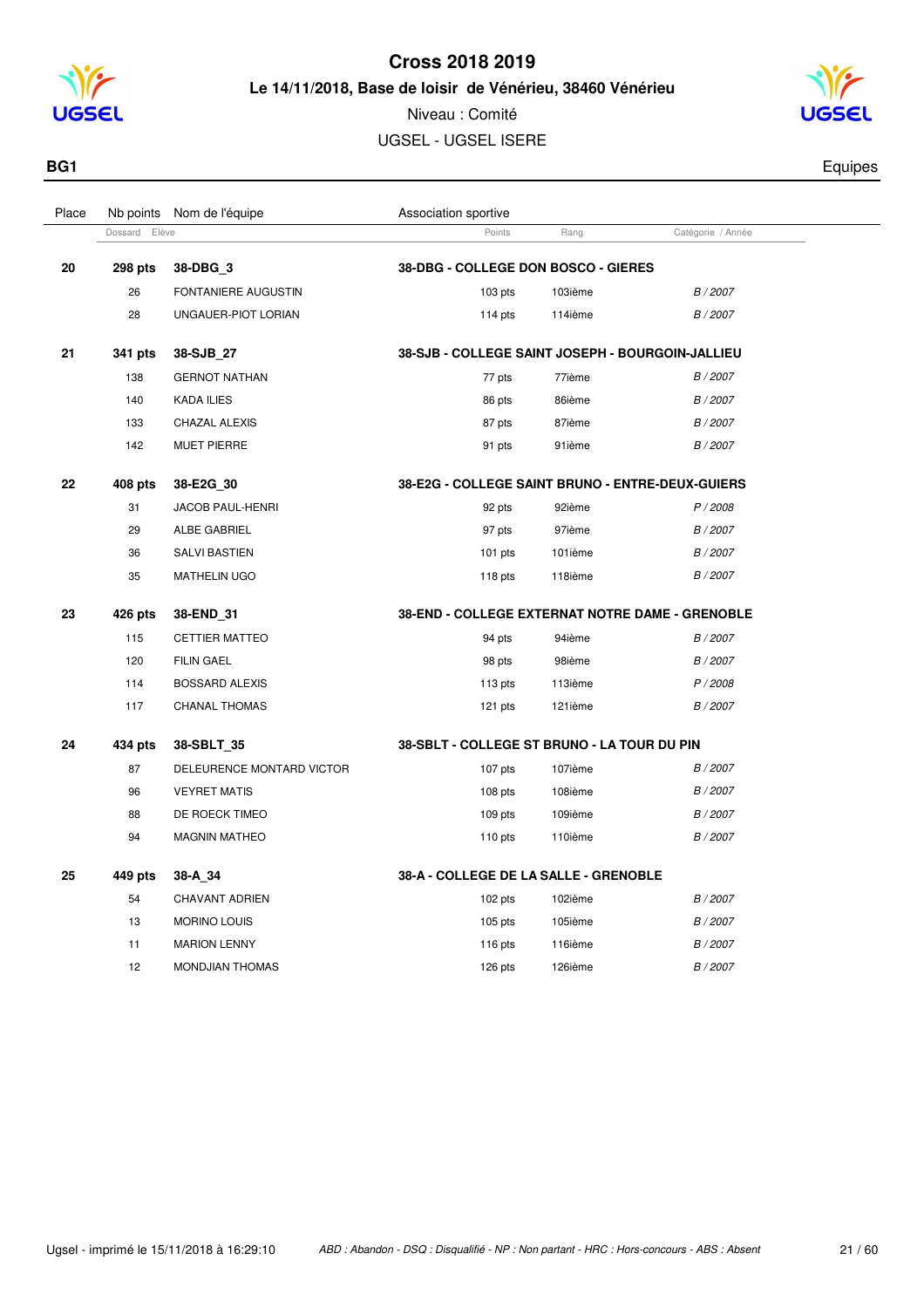

Niveau : Comité

UGSEL - UGSEL ISERE



| BG1 |  | 711 H I |
|-----|--|---------|
|     |  |         |

| Place | Nb points     | Nom de l'équipe           | Association sportive                             |         |                   |  |
|-------|---------------|---------------------------|--------------------------------------------------|---------|-------------------|--|
|       | Dossard Elève |                           | Points                                           | Rang    | Catégorie / Année |  |
| 20    | 298 pts       | 38-DBG_3                  | 38-DBG - COLLEGE DON BOSCO - GIERES              |         |                   |  |
|       | 26            | FONTANIERE AUGUSTIN       | $103$ pts                                        | 103ième | B / 2007          |  |
|       | 28            | UNGAUER-PIOT LORIAN       | 114 $pts$                                        | 114ième | B/2007            |  |
| 21    | 341 pts       | 38-SJB_27                 | 38-SJB - COLLEGE SAINT JOSEPH - BOURGOIN-JALLIEU |         |                   |  |
|       | 138           | <b>GERNOT NATHAN</b>      | 77 pts                                           | 77ième  | B / 2007          |  |
|       | 140           | KADA ILIES                | 86 pts                                           | 86ième  | B/2007            |  |
|       | 133           | CHAZAL ALEXIS             | 87 pts                                           | 87ième  | B / 2007          |  |
|       | 142           | <b>MUET PIERRE</b>        | 91 pts                                           | 91ième  | B / 2007          |  |
| 22    | 408 pts       | 38-E2G_30                 | 38-E2G - COLLEGE SAINT BRUNO - ENTRE-DEUX-GUIERS |         |                   |  |
|       | 31            | JACOB PAUL-HENRI          | 92 pts                                           | 92ième  | P/2008            |  |
|       | 29            | ALBE GABRIEL              | 97 pts                                           | 97ième  | B / 2007          |  |
|       | 36            | <b>SALVI BASTIEN</b>      | $101$ pts                                        | 101ième | B/2007            |  |
|       | 35            | <b>MATHELIN UGO</b>       | 118 pts                                          | 118ième | B / 2007          |  |
| 23    | 426 pts       | 38-END 31                 | 38-END - COLLEGE EXTERNAT NOTRE DAME - GRENOBLE  |         |                   |  |
|       | 115           | <b>CETTIER MATTEO</b>     | 94 pts                                           | 94ième  | B/2007            |  |
|       | 120           | FILIN GAEL                | 98 pts                                           | 98ième  | B / 2007          |  |
|       | 114           | <b>BOSSARD ALEXIS</b>     | 113 pts                                          | 113ième | P / 2008          |  |
|       | 117           | <b>CHANAL THOMAS</b>      | $121$ pts                                        | 121ième | B / 2007          |  |
| 24    | 434 pts       | 38-SBLT_35                | 38-SBLT - COLLEGE ST BRUNO - LA TOUR DU PIN      |         |                   |  |
|       | 87            | DELEURENCE MONTARD VICTOR | 107 pts                                          | 107ième | B/2007            |  |
|       | 96            | <b>VEYRET MATIS</b>       | 108 pts                                          | 108ième | B / 2007          |  |
|       | 88            | DE ROECK TIMEO            | $109$ pts                                        | 109ième | B/2007            |  |
|       | 94            | <b>MAGNIN MATHEO</b>      | $110$ pts                                        | 110ième | B / 2007          |  |
| 25    | 449 pts       | 38-A 34                   | 38-A - COLLEGE DE LA SALLE - GRENOBLE            |         |                   |  |
|       | 54            | CHAVANT ADRIEN            | $102$ pts                                        | 102ième | B/2007            |  |
|       | 13            | <b>MORINO LOUIS</b>       | $105$ pts                                        | 105ième | B / 2007          |  |
|       | 11            | <b>MARION LENNY</b>       | 116 pts                                          | 116ième | B / 2007          |  |
|       | 12            | <b>MONDJIAN THOMAS</b>    | 126 pts                                          | 126ième | B / 2007          |  |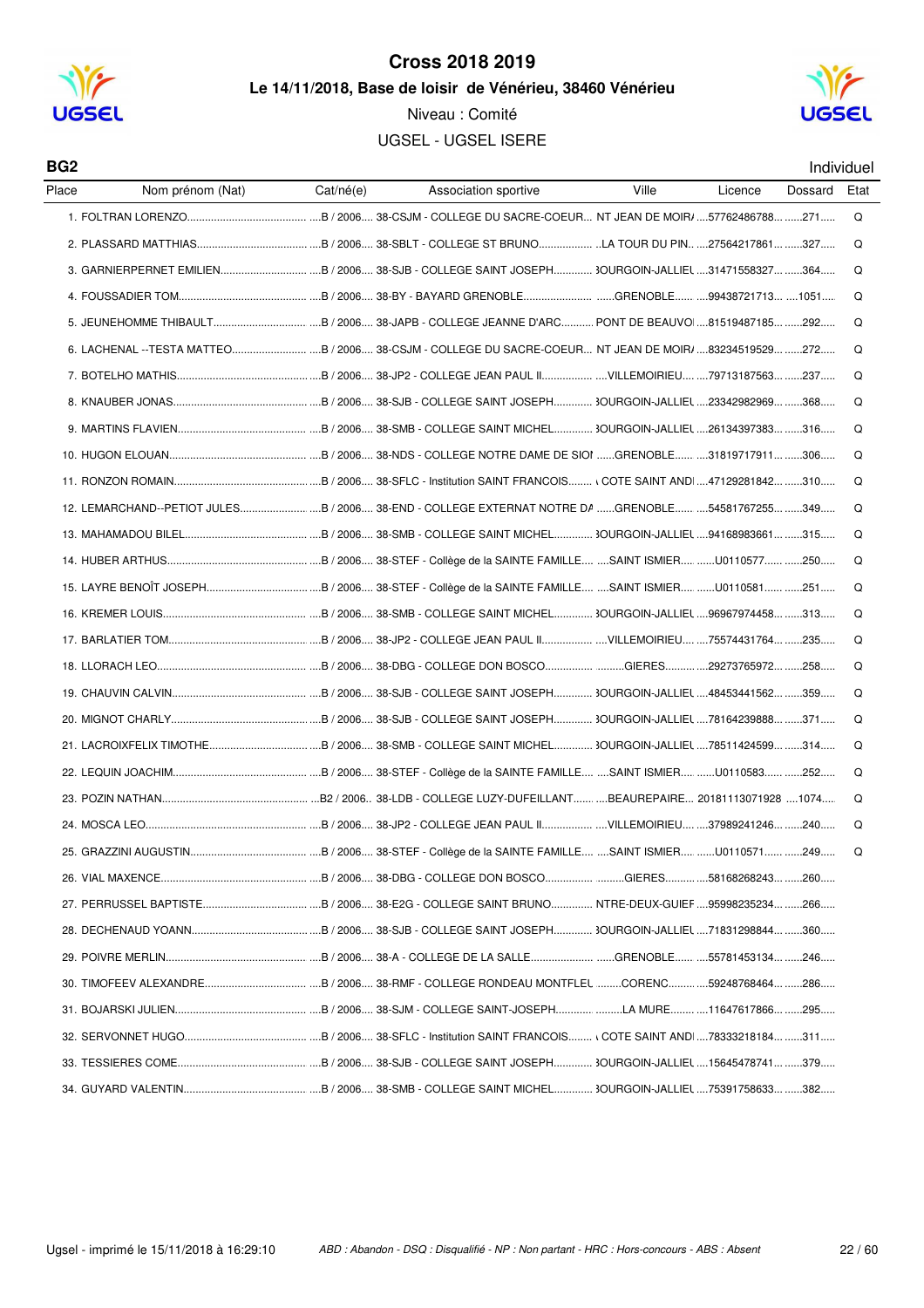

Niveau : Comité

**UGSEL - UGSEL ISERE** 



Individuel

| BG <sub>2</sub>                                                                                       |           |                                                              |       |           | Individue |      |
|-------------------------------------------------------------------------------------------------------|-----------|--------------------------------------------------------------|-------|-----------|-----------|------|
| Place<br>Nom prénom (Nat)                                                                             | Cat/né(e) | Association sportive                                         | Ville | Licence   | Dossard   | Etat |
|                                                                                                       |           |                                                              |       |           |           | Q    |
|                                                                                                       |           |                                                              |       |           |           | Q    |
|                                                                                                       |           |                                                              |       |           |           | Q    |
|                                                                                                       |           |                                                              |       |           |           | Q    |
|                                                                                                       |           |                                                              |       |           |           | Q    |
| 6. LACHENAL --TESTA MATTEO B / 2006 38-CSJM - COLLEGE DU SACRE-COEUR NT JEAN DE MOIR/ 83234519529 272 |           |                                                              |       |           |           | Q    |
|                                                                                                       |           |                                                              |       |           |           | Q    |
|                                                                                                       |           |                                                              |       |           |           | Q    |
|                                                                                                       |           |                                                              |       |           |           | Q    |
|                                                                                                       |           |                                                              |       |           |           | Q    |
|                                                                                                       |           |                                                              |       |           |           | Q    |
| 12. LEMARCHAND--PETIOT JULES B / 2006 38-END - COLLEGE EXTERNAT NOTRE DA GRENOBLE 54581767255 349     |           |                                                              |       |           |           | Q    |
|                                                                                                       |           |                                                              |       |           |           | Q    |
|                                                                                                       |           |                                                              |       |           |           | Q    |
|                                                                                                       |           |                                                              |       |           |           | Q    |
|                                                                                                       |           |                                                              |       |           |           | Q    |
|                                                                                                       |           |                                                              |       |           |           | Q    |
|                                                                                                       |           |                                                              |       |           |           | Q    |
|                                                                                                       |           |                                                              |       |           |           | Q    |
|                                                                                                       |           |                                                              |       |           |           | Q    |
|                                                                                                       |           |                                                              |       |           |           | Q    |
|                                                                                                       |           |                                                              |       |           |           | Q    |
|                                                                                                       |           |                                                              |       |           |           | Q    |
|                                                                                                       |           |                                                              |       |           |           | Q    |
| 25. GRAZZINI AUGUSTIN.                                                                                |           | B / 2006 38-STEF - Collège de la SAINTE FAMILLE SAINT ISMIER |       | .U0110571 | 249       | ∩    |
|                                                                                                       |           |                                                              |       |           |           |      |
|                                                                                                       |           |                                                              |       |           |           |      |
|                                                                                                       |           |                                                              |       |           |           |      |
|                                                                                                       |           |                                                              |       |           |           |      |
|                                                                                                       |           |                                                              |       |           |           |      |
|                                                                                                       |           |                                                              |       |           |           |      |
|                                                                                                       |           |                                                              |       |           |           |      |
|                                                                                                       |           |                                                              |       |           |           |      |
|                                                                                                       |           |                                                              |       |           |           |      |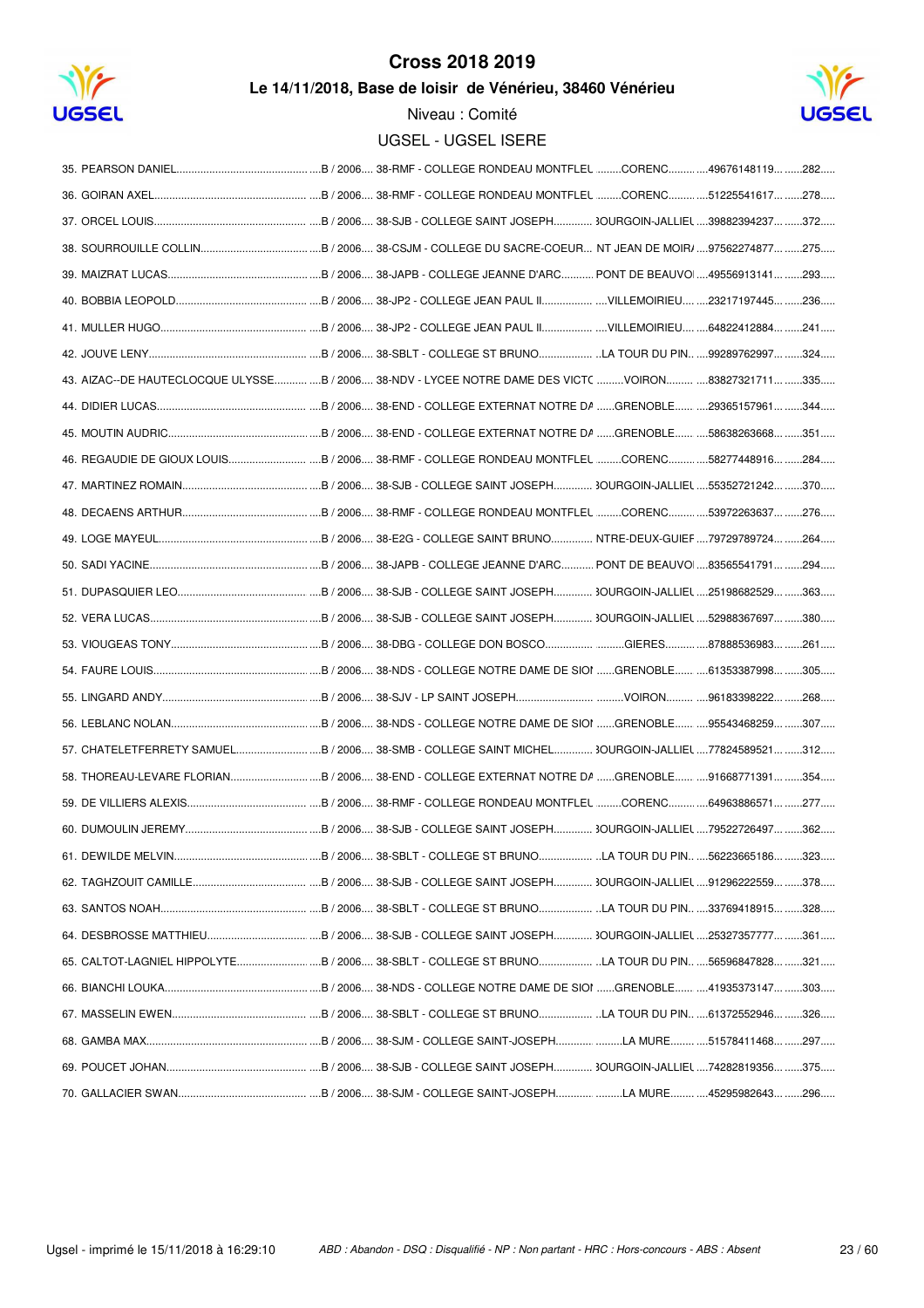

Le 14/11/2018, Base de loisir de Vénérieu, 38460 Vénérieu



| 43. AIZAC--DE HAUTECLOCQUE ULYSSE B / 2006 38-NDV - LYCEE NOTRE DAME DES VICT(  VOIRON 33827321711 335 |
|--------------------------------------------------------------------------------------------------------|
|                                                                                                        |
|                                                                                                        |
|                                                                                                        |
|                                                                                                        |
|                                                                                                        |
|                                                                                                        |
|                                                                                                        |
|                                                                                                        |
|                                                                                                        |
|                                                                                                        |
|                                                                                                        |
|                                                                                                        |
|                                                                                                        |
| 57. CHATELETFERRETY SAMUELB / 2006 38-SMB - COLLEGE SAINT MICHEL 30URGOIN-JALLIEL 77824589521 312      |
|                                                                                                        |
|                                                                                                        |
|                                                                                                        |
|                                                                                                        |
|                                                                                                        |
|                                                                                                        |
|                                                                                                        |
| 65. CALTOT-LAGNIEL HIPPOLYTE B / 2006 38-SBLT - COLLEGE ST BRUNO LA TOUR DU PIN 56596847828 321        |
|                                                                                                        |
|                                                                                                        |
|                                                                                                        |
|                                                                                                        |
|                                                                                                        |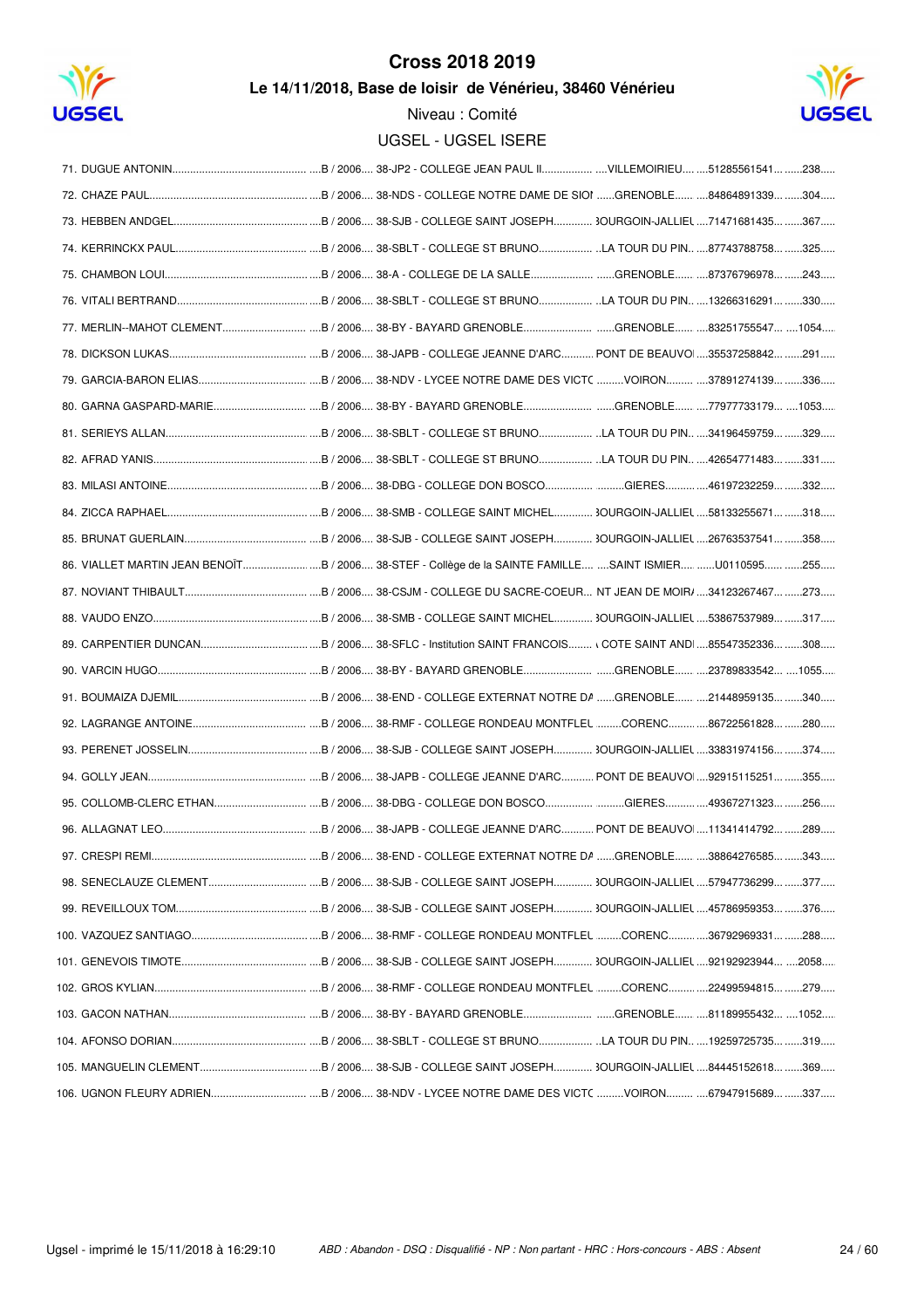

Le 14/11/2018, Base de loisir de Vénérieu, 38460 Vénérieu



| 86. VIALLET MARTIN JEAN BENOÎT B / 2006 38-STEF - Collège de la SAINTE FAMILLE SAINT ISMIER U0110595 255 |  |  |
|----------------------------------------------------------------------------------------------------------|--|--|
|                                                                                                          |  |  |
|                                                                                                          |  |  |
|                                                                                                          |  |  |
|                                                                                                          |  |  |
|                                                                                                          |  |  |
|                                                                                                          |  |  |
|                                                                                                          |  |  |
|                                                                                                          |  |  |
|                                                                                                          |  |  |
|                                                                                                          |  |  |
|                                                                                                          |  |  |
|                                                                                                          |  |  |
|                                                                                                          |  |  |
|                                                                                                          |  |  |
|                                                                                                          |  |  |
|                                                                                                          |  |  |
|                                                                                                          |  |  |
|                                                                                                          |  |  |
|                                                                                                          |  |  |
|                                                                                                          |  |  |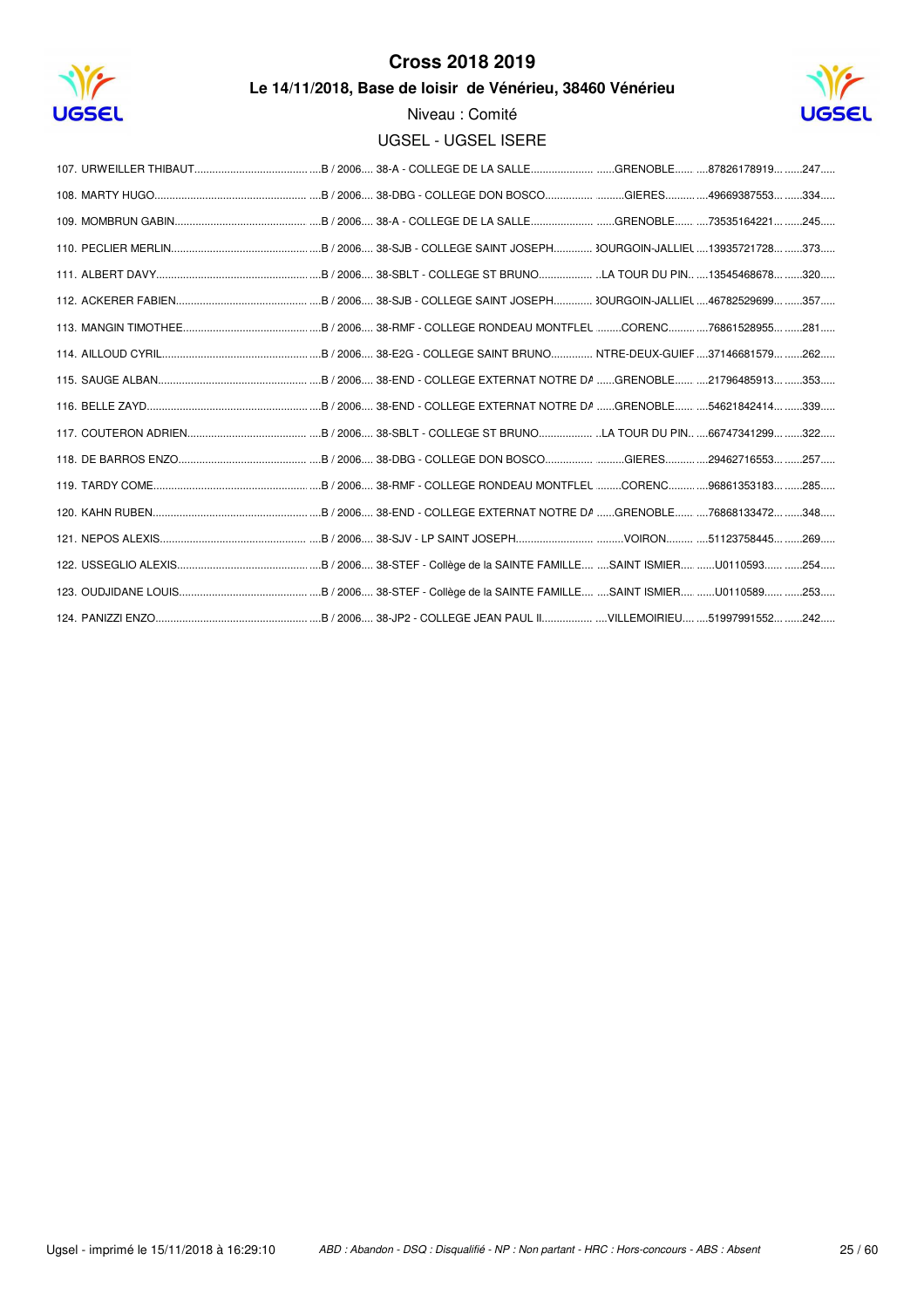

Le 14/11/2018, Base de loisir de Vénérieu, 38460 Vénérieu

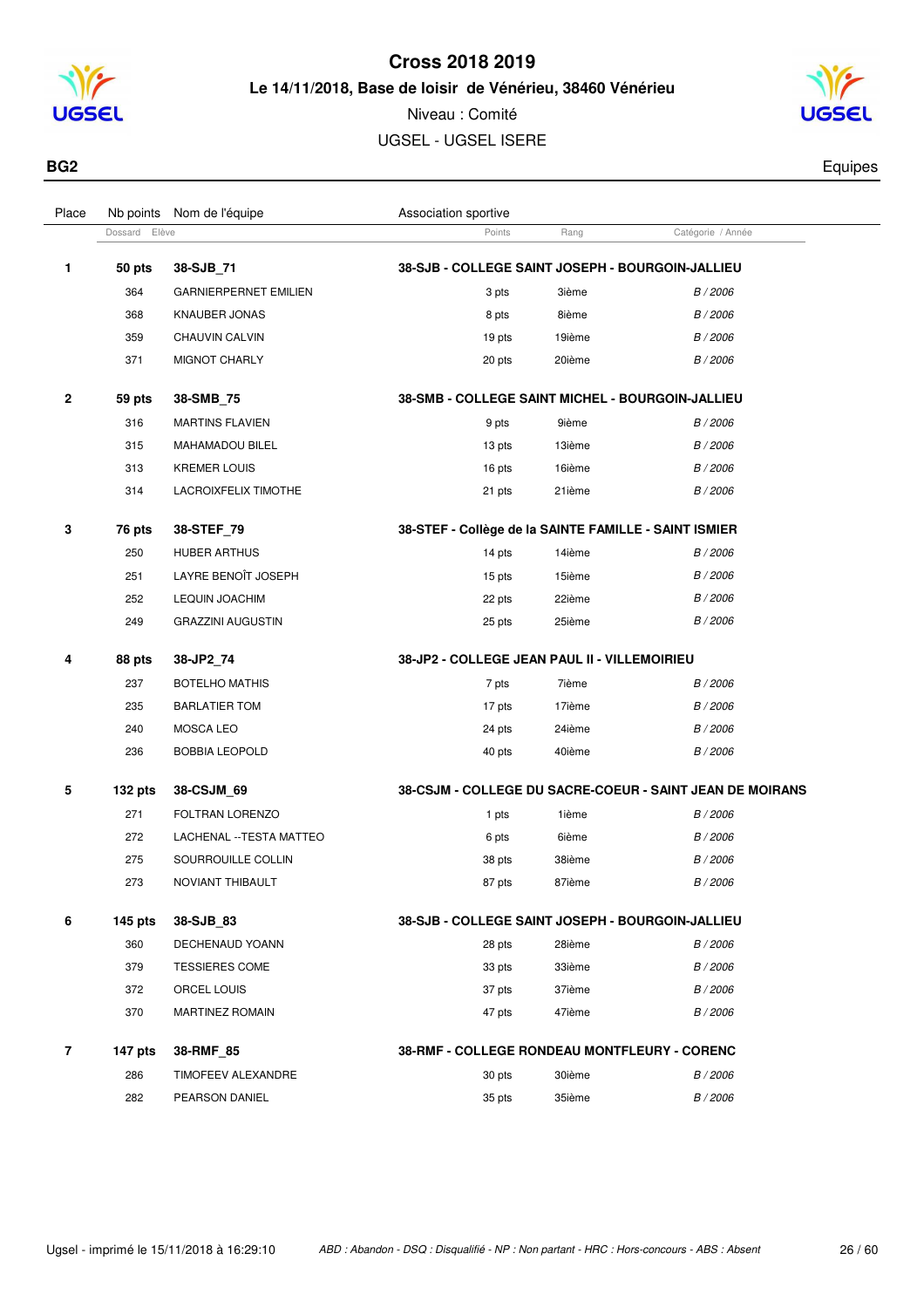

Niveau : Comité



Dossard Elève **Points** Rang Catégorie / Année

Place Nb points Nom de l'équipe  $\blacksquare$  Association sportive



**BG2** Equipes

| 1           | 50 pts  | 38-SJB 71                    | 38-SJB - COLLEGE SAINT JOSEPH - BOURGOIN-JALLIEU      |        |                                                          |
|-------------|---------|------------------------------|-------------------------------------------------------|--------|----------------------------------------------------------|
|             | 364     | <b>GARNIERPERNET EMILIEN</b> | 3 pts                                                 | 3ième  | B / 2006                                                 |
|             | 368     | <b>KNAUBER JONAS</b>         | 8 pts                                                 | 8ième  | B / 2006                                                 |
|             | 359     | CHAUVIN CALVIN               | 19 pts                                                | 19ième | B / 2006                                                 |
|             | 371     | MIGNOT CHARLY                | 20 pts                                                | 20ième | B / 2006                                                 |
| 2           | 59 pts  | 38-SMB_75                    | 38-SMB - COLLEGE SAINT MICHEL - BOURGOIN-JALLIEU      |        |                                                          |
|             | 316     | <b>MARTINS FLAVIEN</b>       | 9 pts                                                 | 9ième  | B / 2006                                                 |
|             | 315     | MAHAMADOU BILEL              | 13 pts                                                | 13ième | B / 2006                                                 |
|             | 313     | <b>KREMER LOUIS</b>          | 16 pts                                                | 16ième | B / 2006                                                 |
|             | 314     | LACROIXFELIX TIMOTHE         | 21 pts                                                | 21ième | B / 2006                                                 |
| 3           | 76 pts  | 38-STEF_79                   | 38-STEF - Collège de la SAINTE FAMILLE - SAINT ISMIER |        |                                                          |
|             | 250     | <b>HUBER ARTHUS</b>          | 14 pts                                                | 14ième | B / 2006                                                 |
|             | 251     | LAYRE BENOIT JOSEPH          | 15 pts                                                | 15ième | B / 2006                                                 |
|             | 252     | <b>LEQUIN JOACHIM</b>        | 22 pts                                                | 22ième | B / 2006                                                 |
|             | 249     | <b>GRAZZINI AUGUSTIN</b>     | 25 pts                                                | 25ième | B / 2006                                                 |
| 4<br>88 pts |         | 38-JP2_74                    | 38-JP2 - COLLEGE JEAN PAUL II - VILLEMOIRIEU          |        |                                                          |
|             | 237     | <b>BOTELHO MATHIS</b>        | 7 pts                                                 | 7ième  | B/2006                                                   |
|             | 235     | <b>BARLATIER TOM</b>         | 17 pts                                                | 17ième | B / 2006                                                 |
|             | 240     | <b>MOSCA LEO</b>             | 24 pts                                                | 24ième | B / 2006                                                 |
|             | 236     | <b>BOBBIA LEOPOLD</b>        | 40 pts                                                | 40ième | B / 2006                                                 |
| 5           | 132 pts | 38-CSJM_69                   |                                                       |        | 38-CSJM - COLLEGE DU SACRE-COEUR - SAINT JEAN DE MOIRANS |
|             | 271     | FOLTRAN LORENZO              | 1 pts                                                 | 1ième  | B / 2006                                                 |
|             | 272     | LACHENAL -- TESTA MATTEO     | 6 pts                                                 | 6ième  | B / 2006                                                 |
|             | 275     | SOURROUILLE COLLIN           | 38 pts                                                | 38ième | B / 2006                                                 |
|             | 273     | NOVIANT THIBAULT             | 87 pts                                                | 87ième | B / 2006                                                 |
| 6           | 145 pts | 38-SJB_83                    | 38-SJB - COLLEGE SAINT JOSEPH - BOURGOIN-JALLIEU      |        |                                                          |
|             | 360     | DECHENAUD YOANN              | 28 pts                                                | 28ième | B / 2006                                                 |
|             | 379     | <b>TESSIERES COME</b>        | 33 pts                                                | 33ième | B / 2006                                                 |
|             | 372     | ORCEL LOUIS                  | 37 pts                                                | 37ième | B / 2006                                                 |

#### **147 pts 38-RMF\_85 38-RMF - COLLEGE RONDEAU MONTFLEURY - CORENC** 286 TIMOFEEV ALEXANDRE 286 TIMOFEEV ALEXANDRE

282 PEARSON DANIEL 2006 CHARGON DANIEL 35 pts 35ième B / 2006

370 MARTINEZ ROMAIN **1989 12006** 47 pts 47ième B / 2006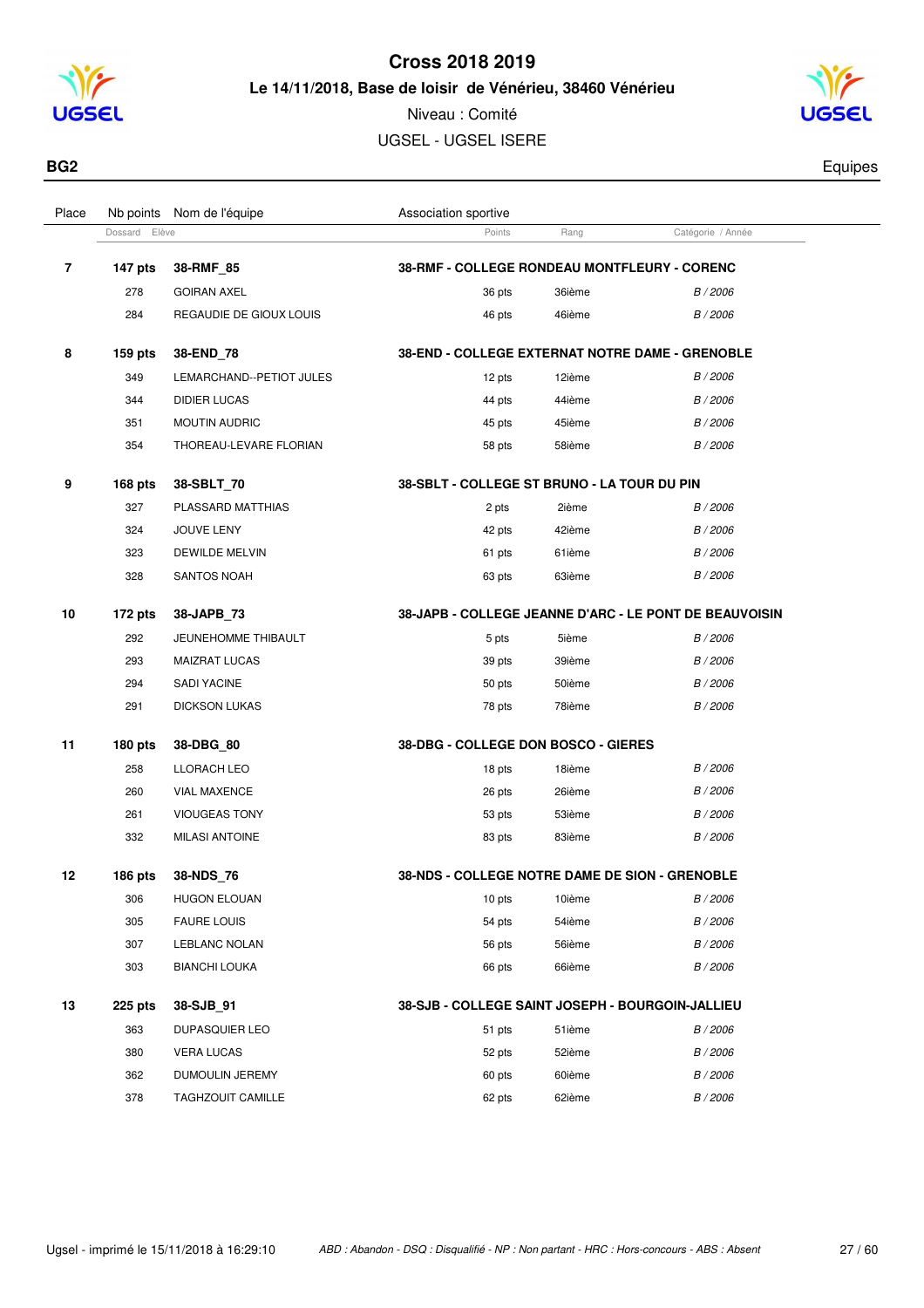

Niveau : Comité

UGSEL - UGSEL ISERE

Dossard Elève **Catégorie / Année** Points Rang Catégorie / Année

**147 pts 38-RMF\_85 38-RMF - COLLEGE RONDEAU MONTFLEURY - CORENC**

Place Nb points Nom de l'équipe  $\blacksquare$  Association sportive



**BG2** Equipes

|    | 278       | <b>GOIRAN AXEL</b>       | 36 pts                                          | 36ième | B / 2006                                               |  |
|----|-----------|--------------------------|-------------------------------------------------|--------|--------------------------------------------------------|--|
|    | 284       | REGAUDIE DE GIOUX LOUIS  | 46 pts                                          | 46ième | B / 2006                                               |  |
|    |           |                          |                                                 |        |                                                        |  |
| 8  | $159$ pts | 38-END_78                | 38-END - COLLEGE EXTERNAT NOTRE DAME - GRENOBLE |        |                                                        |  |
|    | 349       | LEMARCHAND--PETIOT JULES | 12 pts                                          | 12ième | B / 2006                                               |  |
|    | 344       | <b>DIDIER LUCAS</b>      | 44 pts                                          | 44ième | B / 2006                                               |  |
|    | 351       | <b>MOUTIN AUDRIC</b>     | 45 pts                                          | 45ième | B / 2006                                               |  |
|    | 354       | THOREAU-LEVARE FLORIAN   | 58 pts                                          | 58ième | B / 2006                                               |  |
| 9  | 168 pts   | 38-SBLT_70               | 38-SBLT - COLLEGE ST BRUNO - LA TOUR DU PIN     |        |                                                        |  |
|    | 327       | PLASSARD MATTHIAS        | 2 pts                                           | 2ième  | B / 2006                                               |  |
|    | 324       | JOUVE LENY               | 42 pts                                          | 42ième | B / 2006                                               |  |
|    | 323       | DEWILDE MELVIN           | 61 pts                                          | 61ième | B / 2006                                               |  |
|    | 328       | <b>SANTOS NOAH</b>       | 63 pts                                          | 63ième | B / 2006                                               |  |
| 10 | 172 pts   | 38-JAPB_73               |                                                 |        | 38-JAPB - COLLEGE JEANNE D'ARC - LE PONT DE BEAUVOISIN |  |
|    | 292       | JEUNEHOMME THIBAULT      | 5 pts                                           | 5ième  | B / 2006                                               |  |
|    | 293       | <b>MAIZRAT LUCAS</b>     | 39 pts                                          | 39ième | B / 2006                                               |  |
|    | 294       | SADI YACINE              | 50 pts                                          | 50ième | B / 2006                                               |  |
|    | 291       | <b>DICKSON LUKAS</b>     | 78 pts                                          | 78ième | B / 2006                                               |  |
| 11 | $180$ pts | 38-DBG 80                | 38-DBG - COLLEGE DON BOSCO - GIERES             |        |                                                        |  |
|    | 258       | LLORACH LEO              | 18 pts                                          | 18ième | B/2006                                                 |  |
|    | 260       | <b>VIAL MAXENCE</b>      | 26 pts                                          | 26ième | B / 2006                                               |  |
|    | 261       | <b>VIOUGEAS TONY</b>     | 53 pts                                          | 53ième | B / 2006                                               |  |
|    | 332       | <b>MILASI ANTOINE</b>    | 83 pts                                          | 83ième | B / 2006                                               |  |
| 12 | $186$ pts | 38-NDS 76                | 38-NDS - COLLEGE NOTRE DAME DE SION - GRENOBLE  |        |                                                        |  |
|    | 306       | <b>HUGON ELOUAN</b>      | 10 pts                                          | 10ième | B / 2006                                               |  |
|    | 305       | <b>FAURE LOUIS</b>       | 54 pts                                          | 54ième | B / 2006                                               |  |
|    | 307       | LEBLANC NOLAN            | 56 pts                                          | 56ième | B / 2006                                               |  |

| 13 | 225 pts | 38-SJB 91              | 38-SJB - COLLEGE SAINT JOSEPH - BOURGOIN-JALLIEU |        |                 |
|----|---------|------------------------|--------------------------------------------------|--------|-----------------|
|    | 363     | DUPASQUIER LEO         | 51 pts                                           | 51ième | <i>B</i> / 2006 |
|    | 380     | <b>VERA LUCAS</b>      | 52 pts                                           | 52ième | <i>B</i> / 2006 |
|    | 362     | <b>DUMOULIN JEREMY</b> | 60 pts                                           | 60ième | B/2006          |
|    |         |                        |                                                  |        |                 |

378 TAGHZOUIT CAMILLE **1999 12006** 62 pts 62ième 62ième B / 2006

BIANCHI LOUKA 66 pts 66ième B / 2006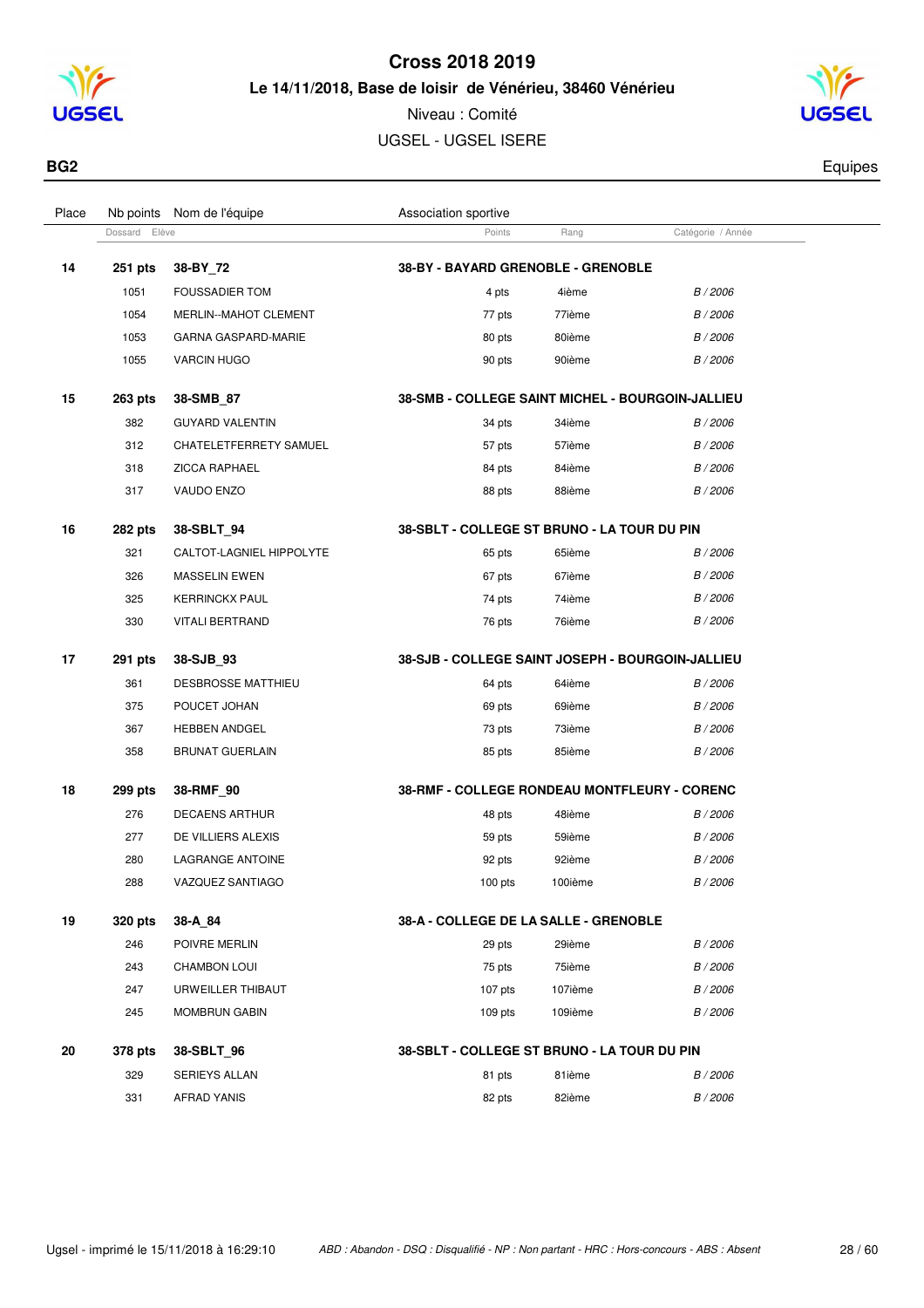

Niveau : Comité UGSEL - UGSEL ISERE



**BG2** Equipes

| Place | Nb points     | Nom de l'équipe           | Association sportive                             |         |                   |  |
|-------|---------------|---------------------------|--------------------------------------------------|---------|-------------------|--|
|       | Dossard Elève |                           | Points                                           | Rang    | Catégorie / Année |  |
| 14    | 251 pts       | 38-BY 72                  | 38-BY - BAYARD GRENOBLE - GRENOBLE               |         |                   |  |
|       | 1051          | <b>FOUSSADIER TOM</b>     | 4 pts                                            | 4ième   | B / 2006          |  |
|       | 1054          | MERLIN--MAHOT CLEMENT     | 77 pts                                           | 77ième  | B / 2006          |  |
|       | 1053          | GARNA GASPARD-MARIE       | 80 pts                                           | 80ième  | B / 2006          |  |
|       | 1055          | <b>VARCIN HUGO</b>        | 90 pts                                           | 90ième  | B / 2006          |  |
| 15    | 263 pts       | 38-SMB 87                 | 38-SMB - COLLEGE SAINT MICHEL - BOURGOIN-JALLIEU |         |                   |  |
|       | 382           | <b>GUYARD VALENTIN</b>    | 34 pts                                           | 34ième  | B / 2006          |  |
|       | 312           | CHATELETFERRETY SAMUEL    | 57 pts                                           | 57ième  | B / 2006          |  |
|       | 318           | <b>ZICCA RAPHAEL</b>      | 84 pts                                           | 84ième  | B / 2006          |  |
|       | 317           | VAUDO ENZO                | 88 pts                                           | 88ième  | B / 2006          |  |
| 16    | 282 pts       | 38-SBLT 94                | 38-SBLT - COLLEGE ST BRUNO - LA TOUR DU PIN      |         |                   |  |
|       | 321           | CALTOT-LAGNIEL HIPPOLYTE  | 65 pts                                           | 65ième  | B / 2006          |  |
|       | 326           | <b>MASSELIN EWEN</b>      | 67 pts                                           | 67ième  | B / 2006          |  |
|       | 325           | <b>KERRINCKX PAUL</b>     | 74 pts                                           | 74ième  | B / 2006          |  |
|       | 330           | <b>VITALI BERTRAND</b>    | 76 pts                                           | 76ième  | B / 2006          |  |
| 17    | 291 pts       | 38-SJB 93                 | 38-SJB - COLLEGE SAINT JOSEPH - BOURGOIN-JALLIEU |         |                   |  |
|       | 361           | <b>DESBROSSE MATTHIEU</b> | 64 pts                                           | 64ième  | B / 2006          |  |
|       | 375           | POUCET JOHAN              | 69 pts                                           | 69ième  | B / 2006          |  |
|       | 367           | <b>HEBBEN ANDGEL</b>      | 73 pts                                           | 73ième  | B / 2006          |  |
|       | 358           | <b>BRUNAT GUERLAIN</b>    | 85 pts                                           | 85ième  | B / 2006          |  |
| 18    | 299 pts       | 38-RMF_90                 | 38-RMF - COLLEGE RONDEAU MONTFLEURY - CORENC     |         |                   |  |
|       | 276           | <b>DECAENS ARTHUR</b>     | 48 pts                                           | 48ième  | B/2006            |  |
|       | 277           | DE VILLIERS ALEXIS        | 59 pts                                           | 59ième  | B / 2006          |  |
|       | 280           | LAGRANGE ANTOINE          | 92 pts                                           | 92ième  | B / 2006          |  |
|       | 288           | VAZQUEZ SANTIAGO          | $100$ pts                                        | 100ième | B / 2006          |  |
| 19    | 320 pts       | 38-A 84                   | 38-A - COLLEGE DE LA SALLE - GRENOBLE            |         |                   |  |
|       | 246           | POIVRE MERLIN             | 29 pts                                           | 29ième  | B / 2006          |  |
|       | 243           | <b>CHAMBON LOUI</b>       | 75 pts                                           | 75ième  | B / 2006          |  |
|       | 247           | URWEILLER THIBAUT         | 107 pts                                          | 107ième | B / 2006          |  |
|       | 245           | <b>MOMBRUN GABIN</b>      | 109 pts                                          | 109ième | B / 2006          |  |
| 20    | 378 pts       | 38-SBLT_96                | 38-SBLT - COLLEGE ST BRUNO - LA TOUR DU PIN      |         |                   |  |
|       | 329           | <b>SERIEYS ALLAN</b>      | 81 pts                                           | 81ième  | B / 2006          |  |
|       | 331           | AFRAD YANIS               | 82 pts                                           | 82ième  | B / 2006          |  |
|       |               |                           |                                                  |         |                   |  |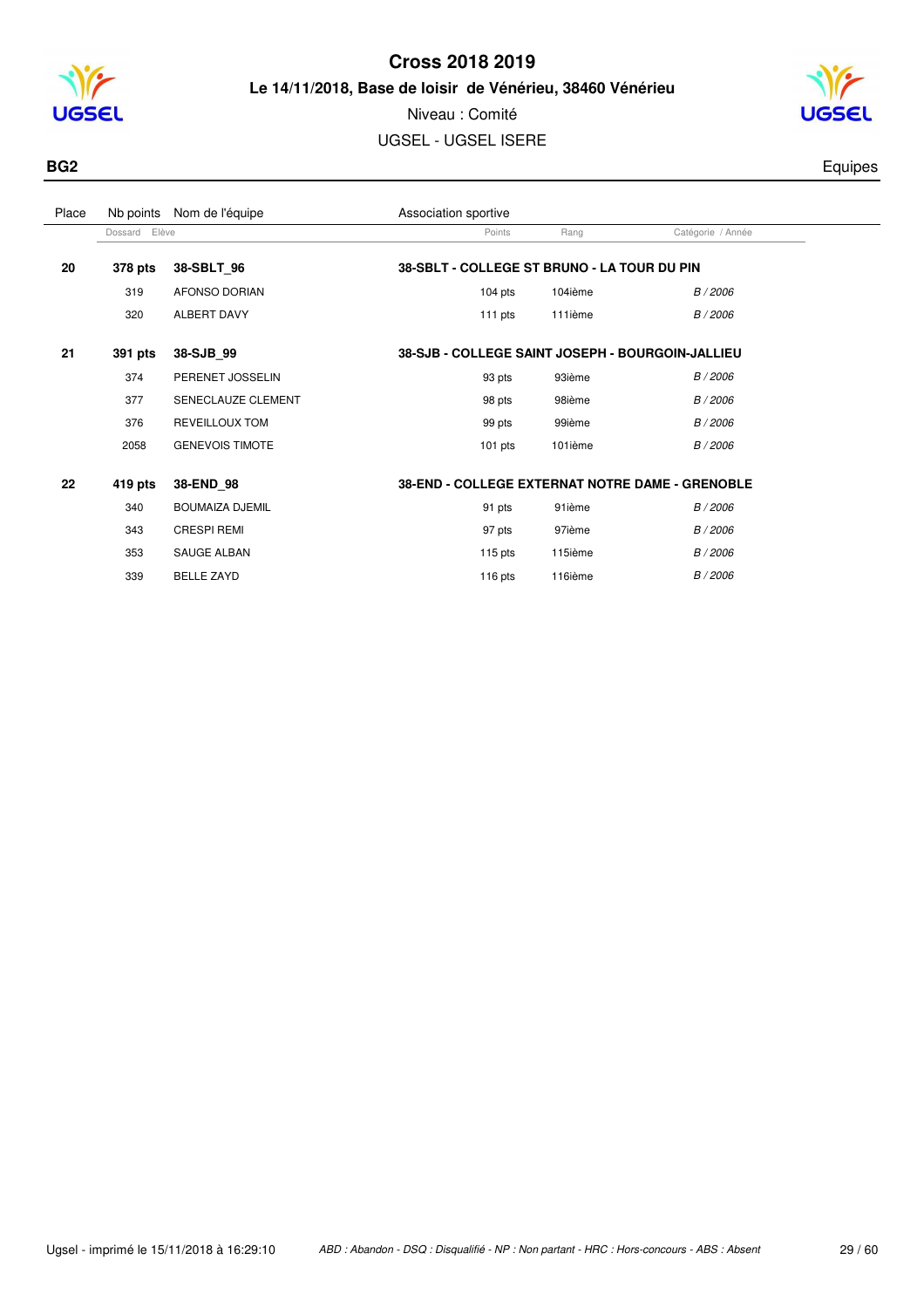

Niveau : Comité

UGSEL - UGSEL ISERE



**BG2** Equipes

| Place |                  | Nb points Nom de l'équipe | Association sportive                                   |         |                   |  |
|-------|------------------|---------------------------|--------------------------------------------------------|---------|-------------------|--|
|       | Elève<br>Dossard |                           | Points                                                 | Rang    | Catégorie / Année |  |
| 20    | 378 pts          | 38-SBLT 96                | 38-SBLT - COLLEGE ST BRUNO - LA TOUR DU PIN            |         |                   |  |
|       | 319              | AFONSO DORIAN             | $104$ pts                                              | 104ième | B / 2006          |  |
|       | 320              | ALBERT DAVY               | $111$ pts                                              | 111ième | B / 2006          |  |
|       |                  |                           |                                                        |         |                   |  |
| 21    | 391 pts          | 38-SJB 99                 | 38-SJB - COLLEGE SAINT JOSEPH - BOURGOIN-JALLIEU       |         |                   |  |
|       | 374              | PERENET JOSSELIN          | 93 pts                                                 | 93ième  | B / 2006          |  |
|       | 377              | SENECLAUZE CLEMENT        | 98 pts                                                 | 98ième  | B / 2006          |  |
|       | 376              | <b>REVEILLOUX TOM</b>     | 99 pts                                                 | 99ième  | B / 2006          |  |
|       | 2058             | <b>GENEVOIS TIMOTE</b>    | $101$ pts                                              | 101ième | B / 2006          |  |
|       |                  |                           |                                                        |         |                   |  |
| 22    | 419 pts          | 38-END 98                 | <b>38-END - COLLEGE EXTERNAT NOTRE DAME - GRENOBLE</b> |         |                   |  |
|       | 340              | <b>BOUMAIZA DJEMIL</b>    | 91 pts                                                 | 91ième  | B / 2006          |  |
|       | 343              | <b>CRESPI REMI</b>        | 97 pts                                                 | 97ième  | B / 2006          |  |
|       | 353              | SAUGE ALBAN               | $115$ pts                                              | 115ième | B / 2006          |  |
|       | 339              | <b>BELLE ZAYD</b>         | 116 pts                                                | 116ième | B / 2006          |  |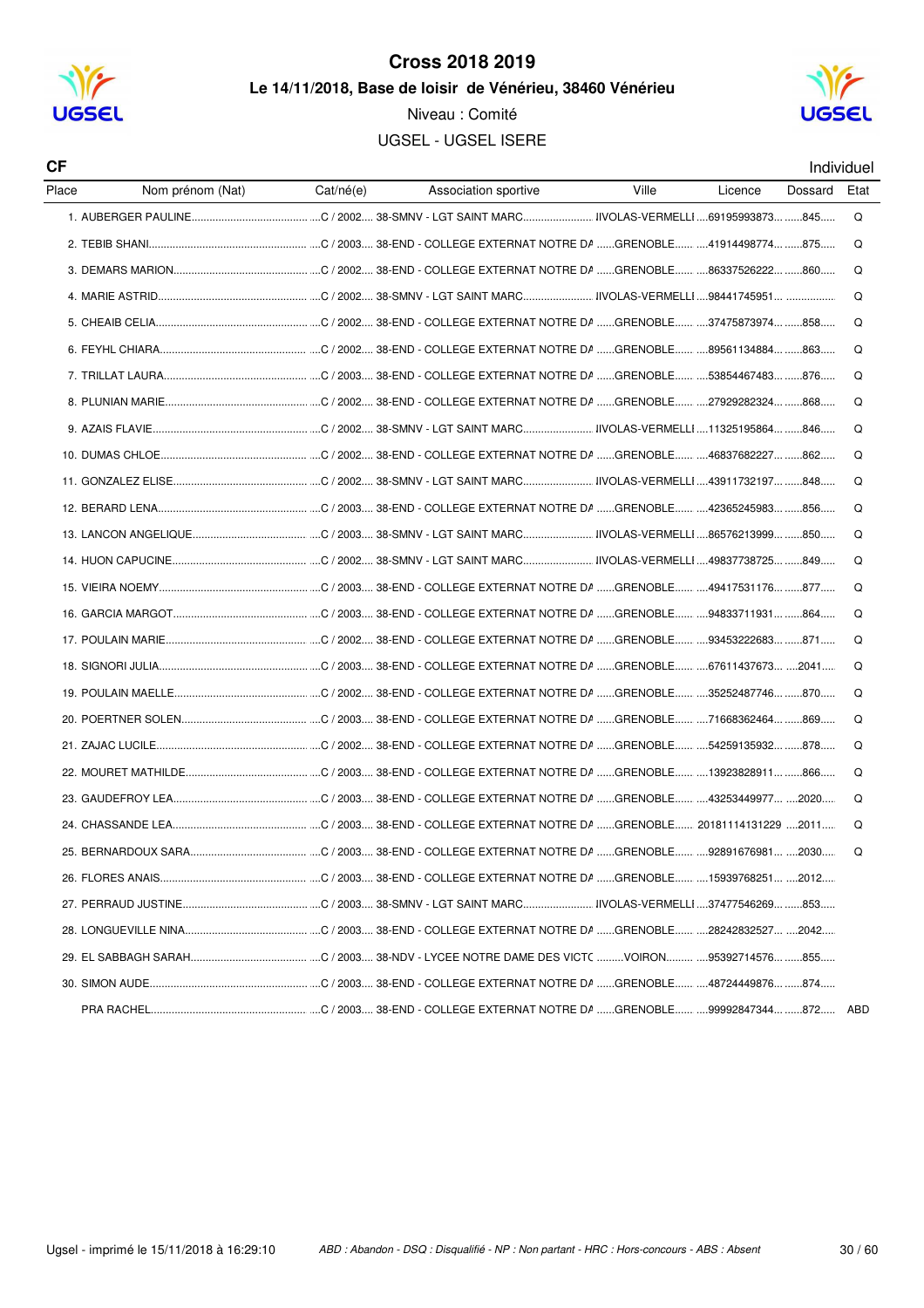

Niveau : Comité

**UGSEL - UGSEL ISERE** 



| СF    |                  |           |                      |       |         |         | Individuel |
|-------|------------------|-----------|----------------------|-------|---------|---------|------------|
| Place | Nom prénom (Nat) | Cat/né(e) | Association sportive | Ville | Licence | Dossard | Etat       |
|       |                  |           |                      |       |         |         | Q          |
|       |                  |           |                      |       |         |         | Q          |
|       |                  |           |                      |       |         |         | Q          |
|       |                  |           |                      |       |         |         | Q          |
|       |                  |           |                      |       |         |         | Q          |
|       |                  |           |                      |       |         |         | O          |
|       |                  |           |                      |       |         |         | Q          |
|       |                  |           |                      |       |         |         | Q          |
|       |                  |           |                      |       |         |         | O          |
|       |                  |           |                      |       |         |         | Q          |
|       |                  |           |                      |       |         |         | Q          |
|       |                  |           |                      |       |         |         | Q          |
|       |                  |           |                      |       |         |         | Q          |
|       |                  |           |                      |       |         |         | Q          |
|       |                  |           |                      |       |         |         | Q          |
|       |                  |           |                      |       |         |         | Q          |
|       |                  |           |                      |       |         |         | Q          |
|       |                  |           |                      |       |         |         | Q          |
|       |                  |           |                      |       |         |         | Q          |
|       |                  |           |                      |       |         |         | Q          |
|       |                  |           |                      |       |         |         | Q          |
|       |                  |           |                      |       |         |         | Q          |
|       |                  |           |                      |       |         |         | Q          |
|       |                  |           |                      |       |         |         | Q          |
|       |                  |           |                      |       |         |         |            |
|       |                  |           |                      |       |         |         |            |
|       |                  |           |                      |       |         |         |            |
|       |                  |           |                      |       |         |         |            |
|       |                  |           |                      |       |         |         |            |
|       |                  |           |                      |       |         |         |            |
|       |                  |           |                      |       |         |         |            |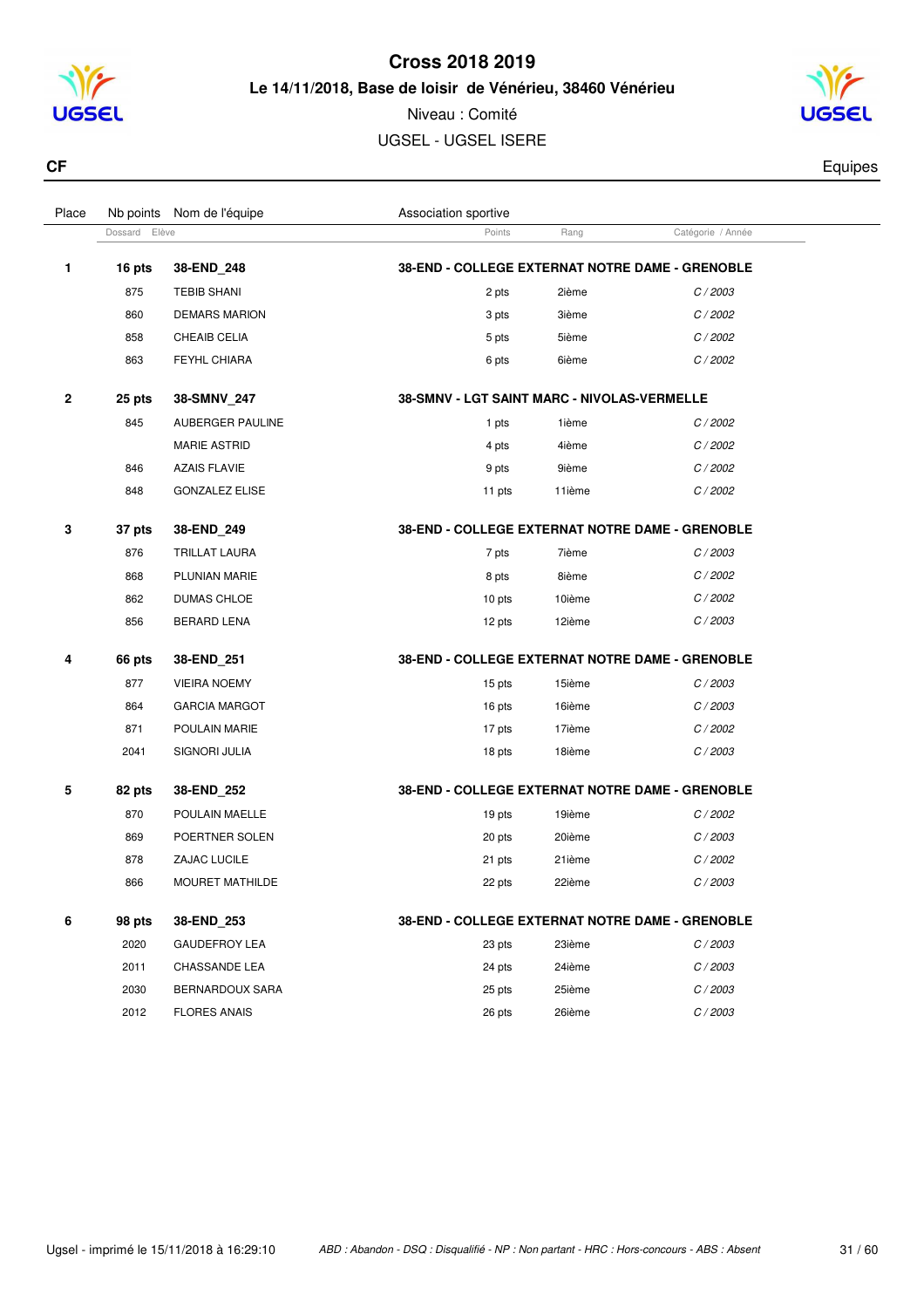

Niveau : Comité

UGSEL - UGSEL ISERE



**CF** Equipes **CF** Equipes **CF** 

| Place        | Nb points     | Nom de l'équipe       | Association sportive                            |        |                   |  |
|--------------|---------------|-----------------------|-------------------------------------------------|--------|-------------------|--|
|              | Dossard Elève |                       | Points                                          | Rang   | Catégorie / Année |  |
| 1            | 16 pts        | 38-END_248            | 38-END - COLLEGE EXTERNAT NOTRE DAME - GRENOBLE |        |                   |  |
|              | 875           | <b>TEBIB SHANI</b>    | 2 pts                                           | 2ième  | C/2003            |  |
|              | 860           | <b>DEMARS MARION</b>  | 3 pts                                           | 3ième  | C/2002            |  |
|              | 858           | CHEAIB CELIA          | 5 pts                                           | 5ième  | C/2002            |  |
|              | 863           | FEYHL CHIARA          | 6 pts                                           | 6ième  | C/2002            |  |
| $\mathbf{2}$ | 25 pts        | 38-SMNV_247           | 38-SMNV - LGT SAINT MARC - NIVOLAS-VERMELLE     |        |                   |  |
|              | 845           | AUBERGER PAULINE      | 1 pts                                           | 1ième  | C/2002            |  |
|              |               | <b>MARIE ASTRID</b>   | 4 pts                                           | 4ième  | C/2002            |  |
|              | 846           | <b>AZAIS FLAVIE</b>   | 9 pts                                           | 9ième  | C/2002            |  |
|              | 848           | <b>GONZALEZ ELISE</b> | 11 pts                                          | 11ième | C/2002            |  |
| 3            | 37 pts        | 38-END_249            | 38-END - COLLEGE EXTERNAT NOTRE DAME - GRENOBLE |        |                   |  |
|              | 876           | <b>TRILLAT LAURA</b>  | 7 pts                                           | 7ième  | C/2003            |  |
|              | 868           | PLUNIAN MARIE         | 8 pts                                           | 8ième  | C/2002            |  |
|              | 862           | <b>DUMAS CHLOE</b>    | 10 pts                                          | 10ième | C/2002            |  |
|              | 856           | <b>BERARD LENA</b>    | 12 pts                                          | 12ième | C/2003            |  |
| 4            | 66 pts        | 38-END_251            | 38-END - COLLEGE EXTERNAT NOTRE DAME - GRENOBLE |        |                   |  |
|              | 877           | <b>VIEIRA NOEMY</b>   | 15 pts                                          | 15ième | C/2003            |  |
|              | 864           | <b>GARCIA MARGOT</b>  | 16 pts                                          | 16ième | C/2003            |  |
|              | 871           | POULAIN MARIE         | 17 pts                                          | 17ième | C/2002            |  |
|              | 2041          | SIGNORI JULIA         | 18 pts                                          | 18ième | C/2003            |  |
| 5            | 82 pts        | 38-END 252            | 38-END - COLLEGE EXTERNAT NOTRE DAME - GRENOBLE |        |                   |  |
|              | 870           | POULAIN MAELLE        | 19 pts                                          | 19ième | C/2002            |  |
|              | 869           | POERTNER SOLEN        | 20 pts                                          | 20ième | C/2003            |  |
|              | 878           | ZAJAC LUCILE          | 21 pts                                          | 21ième | C/2002            |  |
|              | 866           | MOURET MATHILDE       | 22 pts                                          | 22ième | C/2003            |  |
| 6            | 98 pts        | 38-END_253            | 38-END - COLLEGE EXTERNAT NOTRE DAME - GRENOBLE |        |                   |  |
|              | 2020          | <b>GAUDEFROY LEA</b>  | 23 pts                                          | 23ième | C/2003            |  |
|              | 2011          | CHASSANDE LEA         | 24 pts                                          | 24ième | C/2003            |  |
|              | 2030          | BERNARDOUX SARA       | 25 pts                                          | 25ième | C/2003            |  |
|              | 2012          | <b>FLORES ANAIS</b>   | 26 pts                                          | 26ième | C/2003            |  |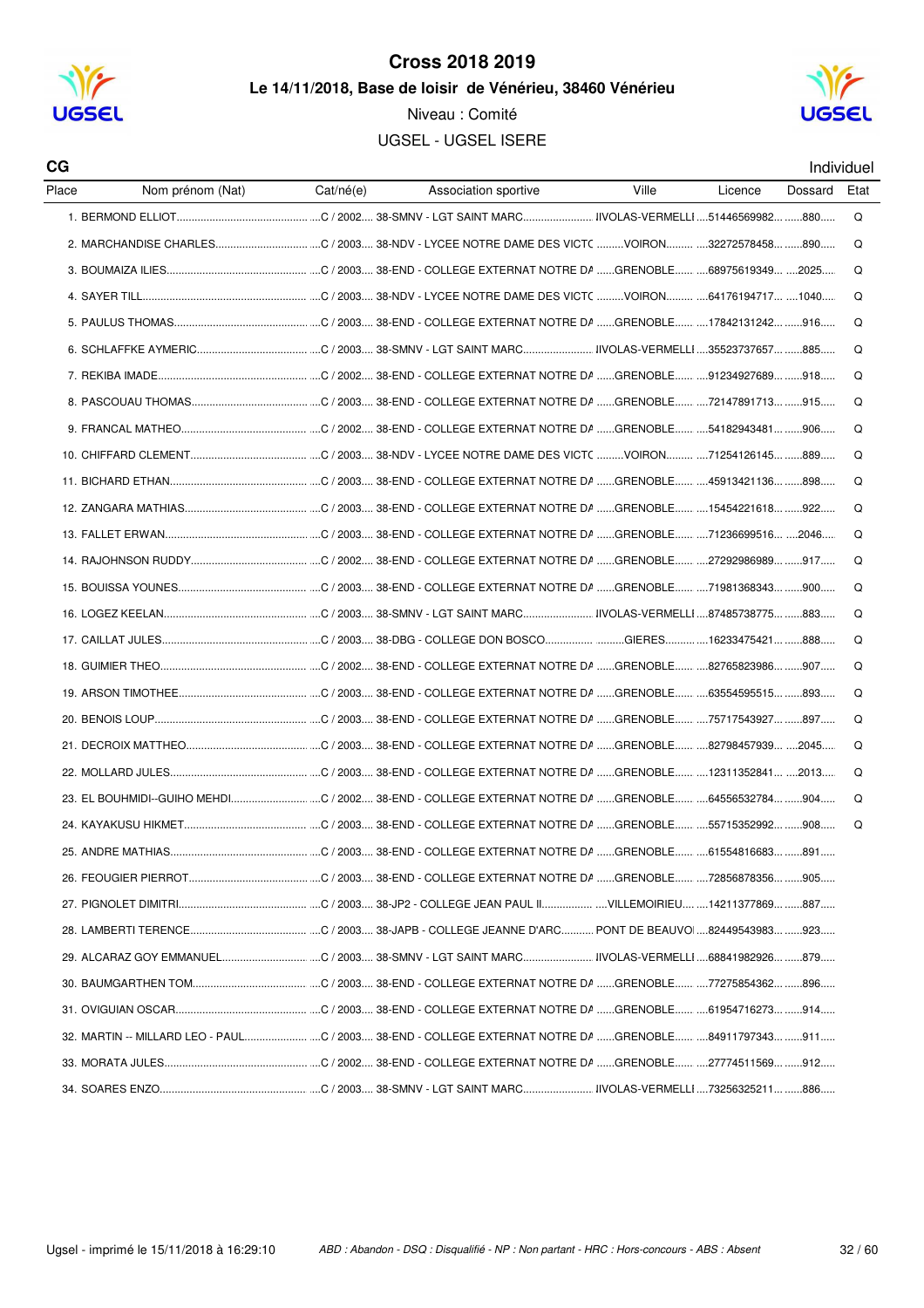

Niveau : Comité

**UGSEL - UGSEL ISERE** 



Individuel

| CG    |                                                                                                      |           |                      |       |         |         | Individue |
|-------|------------------------------------------------------------------------------------------------------|-----------|----------------------|-------|---------|---------|-----------|
| Place | Nom prénom (Nat)                                                                                     | Cat/né(e) | Association sportive | Ville | Licence | Dossard | Etat      |
|       |                                                                                                      |           |                      |       |         |         | Q         |
|       |                                                                                                      |           |                      |       |         |         | Q         |
|       |                                                                                                      |           |                      |       |         |         | Q         |
|       |                                                                                                      |           |                      |       |         |         | Q         |
|       |                                                                                                      |           |                      |       |         |         | Q         |
|       |                                                                                                      |           |                      |       |         |         | Q         |
|       |                                                                                                      |           |                      |       |         |         | Q         |
|       |                                                                                                      |           |                      |       |         |         | Q         |
|       |                                                                                                      |           |                      |       |         |         | Q         |
|       |                                                                                                      |           |                      |       |         |         | Q         |
|       |                                                                                                      |           |                      |       |         |         | Q         |
|       |                                                                                                      |           |                      |       |         |         | Q         |
|       |                                                                                                      |           |                      |       |         |         | Q         |
|       |                                                                                                      |           |                      |       |         |         | Q         |
|       |                                                                                                      |           |                      |       |         |         | Q         |
|       |                                                                                                      |           |                      |       |         |         | Q         |
|       |                                                                                                      |           |                      |       |         |         | Q         |
|       |                                                                                                      |           |                      |       |         |         | Q         |
|       |                                                                                                      |           |                      |       |         |         | Q         |
|       |                                                                                                      |           |                      |       |         |         | Q         |
|       |                                                                                                      |           |                      |       |         |         | Q         |
|       |                                                                                                      |           |                      |       |         |         | Q         |
|       | 23. EL BOUHMIDI--GUIHO MEHDIC / 2002 38-END - COLLEGE EXTERNAT NOTRE DA GRENOBLE 64556532784 904     |           |                      |       |         |         | Q         |
|       |                                                                                                      |           |                      |       |         |         | Q         |
|       |                                                                                                      |           |                      |       |         |         |           |
|       |                                                                                                      |           |                      |       |         |         |           |
|       |                                                                                                      |           |                      |       |         |         |           |
|       |                                                                                                      |           |                      |       |         |         |           |
|       |                                                                                                      |           |                      |       |         |         |           |
|       |                                                                                                      |           |                      |       |         |         |           |
|       |                                                                                                      |           |                      |       |         |         |           |
|       | 32. MARTIN -- MILLARD LEO - PAULC / 2003 38-END - COLLEGE EXTERNAT NOTRE DA GRENOBLE 84911797343 911 |           |                      |       |         |         |           |
|       |                                                                                                      |           |                      |       |         |         |           |
|       |                                                                                                      |           |                      |       |         |         |           |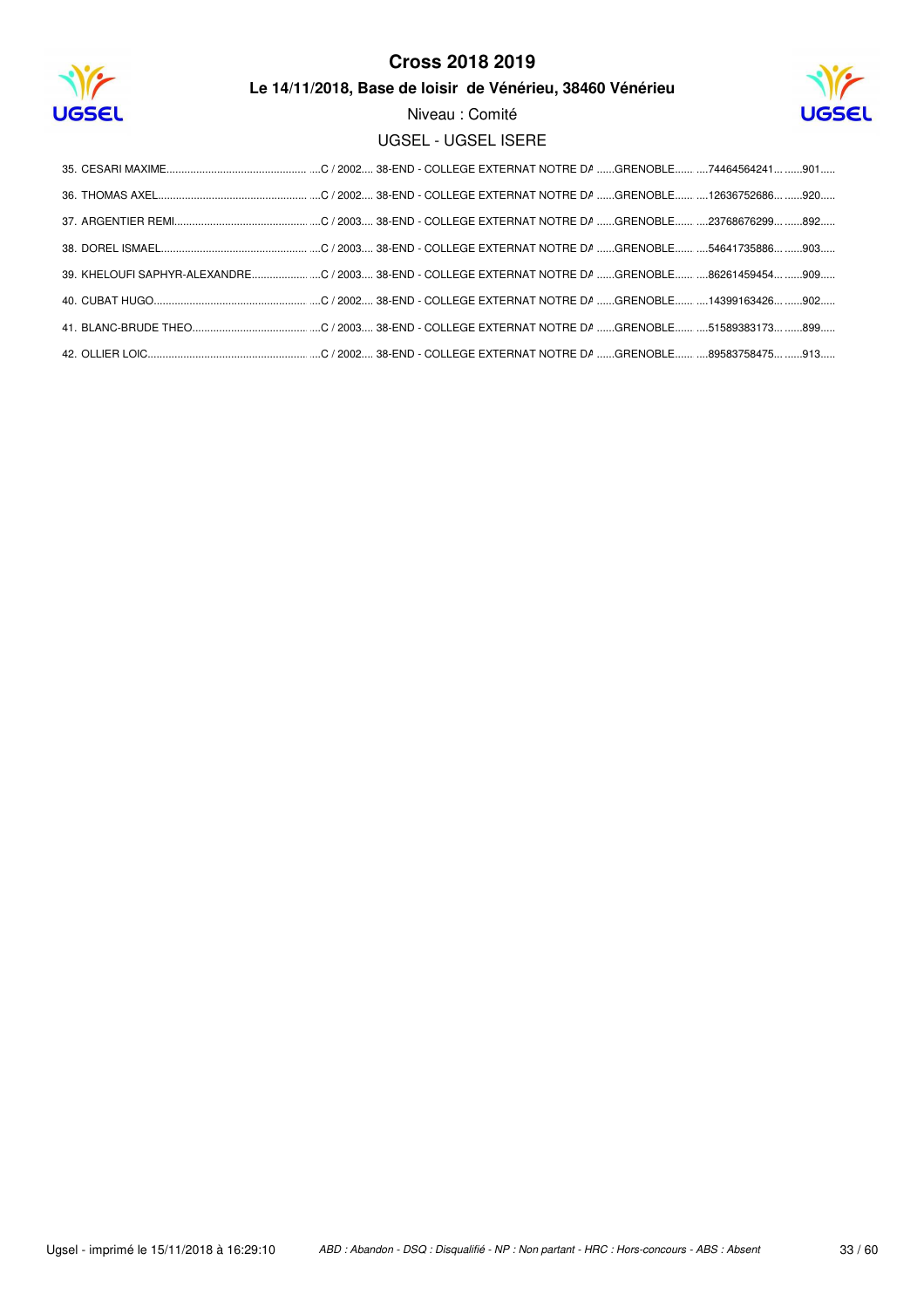

Le 14/11/2018, Base de loisir de Vénérieu, 38460 Vénérieu



Niveau : Comité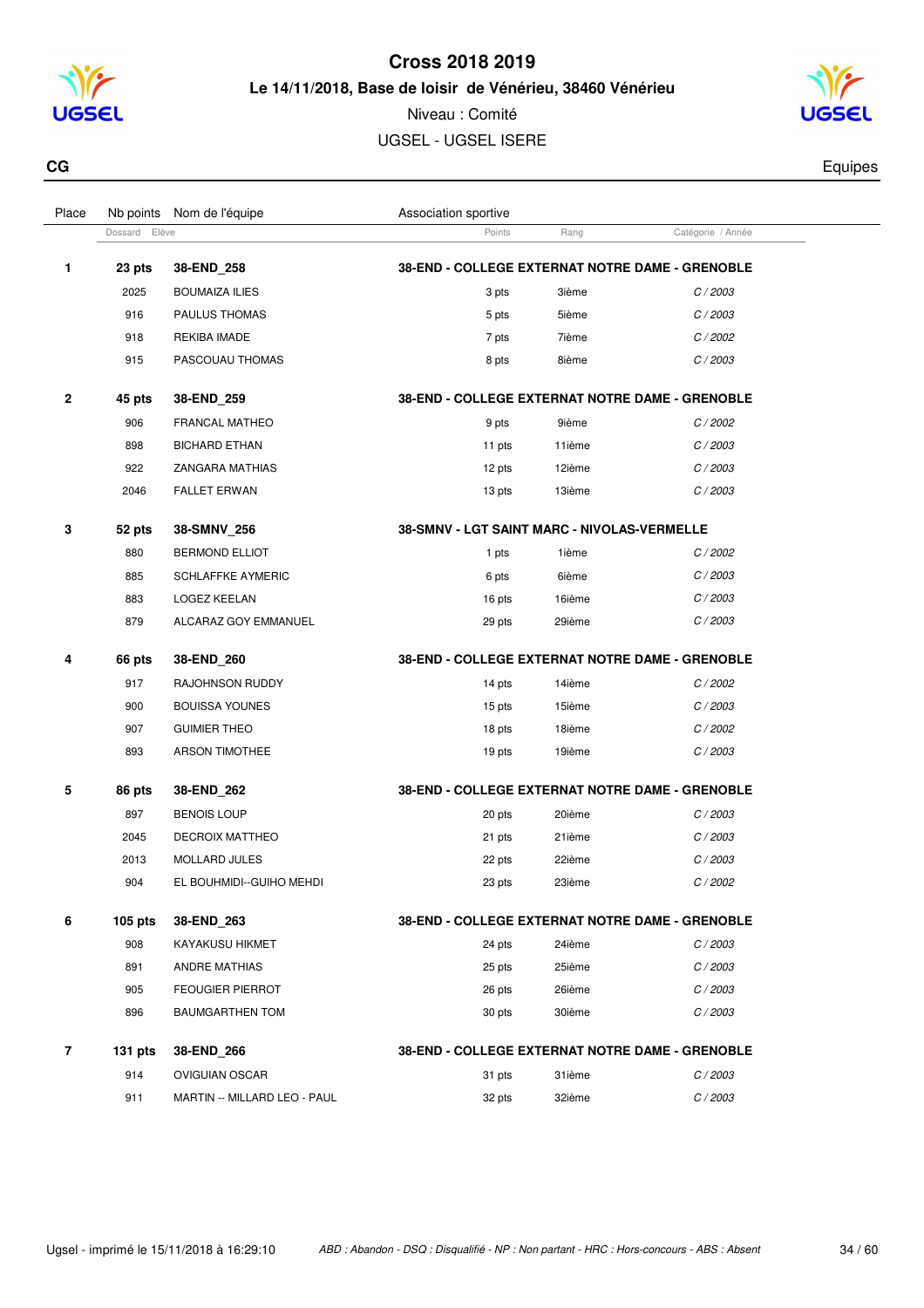



| CG | Equipes |
|----|---------|

|                | Dossard Elève |                              | Points                                          | Rang   | Catégorie / Année |  |
|----------------|---------------|------------------------------|-------------------------------------------------|--------|-------------------|--|
| 1              | 23 pts        | 38-END_258                   | 38-END - COLLEGE EXTERNAT NOTRE DAME - GRENOBLE |        |                   |  |
|                | 2025          | <b>BOUMAIZA ILIES</b>        | 3 pts                                           | 3ième  | C/2003            |  |
|                | 916           | <b>PAULUS THOMAS</b>         | 5 pts                                           | 5ième  | C/2003            |  |
|                | 918           | REKIBA IMADE                 | 7 pts                                           | 7ième  | C/2002            |  |
|                | 915           | PASCOUAU THOMAS              | 8 pts                                           | 8ième  | C/2003            |  |
| $\mathbf{2}$   | 45 pts        | 38-END 259                   | 38-END - COLLEGE EXTERNAT NOTRE DAME - GRENOBLE |        |                   |  |
|                | 906           | <b>FRANCAL MATHEO</b>        | 9 pts                                           | 9ième  | C/2002            |  |
|                | 898           | <b>BICHARD ETHAN</b>         | 11 pts                                          | 11ième | C/2003            |  |
|                | 922           | ZANGARA MATHIAS              | 12 pts                                          | 12ième | C/2003            |  |
|                | 2046          | <b>FALLET ERWAN</b>          | 13 pts                                          | 13ième | C/2003            |  |
| 3              | 52 pts        | 38-SMNV_256                  | 38-SMNV - LGT SAINT MARC - NIVOLAS-VERMELLE     |        |                   |  |
|                | 880           | <b>BERMOND ELLIOT</b>        | 1 pts                                           | 1ième  | C/2002            |  |
|                | 885           | <b>SCHLAFFKE AYMERIC</b>     | 6 pts                                           | 6ième  | C/2003            |  |
|                | 883           | <b>LOGEZ KEELAN</b>          | 16 pts                                          | 16ième | C/2003            |  |
|                | 879           | ALCARAZ GOY EMMANUEL         | 29 pts                                          | 29ième | C/2003            |  |
| 4              | 66 pts        | 38-END_260                   | 38-END - COLLEGE EXTERNAT NOTRE DAME - GRENOBLE |        |                   |  |
|                | 917           | RAJOHNSON RUDDY              | 14 pts                                          | 14ième | C/2002            |  |
|                | 900           | <b>BOUISSA YOUNES</b>        | 15 pts                                          | 15ième | C/2003            |  |
|                | 907           | <b>GUIMIER THEO</b>          | 18 pts                                          | 18ième | C/2002            |  |
|                | 893           | <b>ARSON TIMOTHEE</b>        | 19 pts                                          | 19ième | C/2003            |  |
| 5              | 86 pts        | 38-END_262                   | 38-END - COLLEGE EXTERNAT NOTRE DAME - GRENOBLE |        |                   |  |
|                | 897           | <b>BENOIS LOUP</b>           | 20 pts                                          | 20ième | C/2003            |  |
|                | 2045          | DECROIX MATTHEO              | 21 pts                                          | 21ième | C/2003            |  |
|                | 2013          | <b>MOLLARD JULES</b>         | 22 pts                                          | 22ième | C/2003            |  |
|                | 904           | EL BOUHMIDI--GUIHO MEHDI     | 23 pts                                          | 23ième | C/2002            |  |
| 6              | $105$ pts     | 38-END_263                   | 38-END - COLLEGE EXTERNAT NOTRE DAME - GRENOBLE |        |                   |  |
|                | 908           | KAYAKUSU HIKMET              | 24 pts                                          | 24ième | C/2003            |  |
|                | 891           | <b>ANDRE MATHIAS</b>         | 25 pts                                          | 25ième | C/2003            |  |
|                | 905           | <b>FEOUGIER PIERROT</b>      | 26 pts                                          | 26ième | C/2003            |  |
|                | 896           | <b>BAUMGARTHEN TOM</b>       | 30 pts                                          | 30ième | C/2003            |  |
| $\overline{7}$ | $131$ pts     | 38-END_266                   | 38-END - COLLEGE EXTERNAT NOTRE DAME - GRENOBLE |        |                   |  |
|                | 914           | <b>OVIGUIAN OSCAR</b>        | 31 pts                                          | 31ième | C/2003            |  |
|                | 911           | MARTIN -- MILLARD LEO - PAUL | 32 pts                                          | 32ième | C/2003            |  |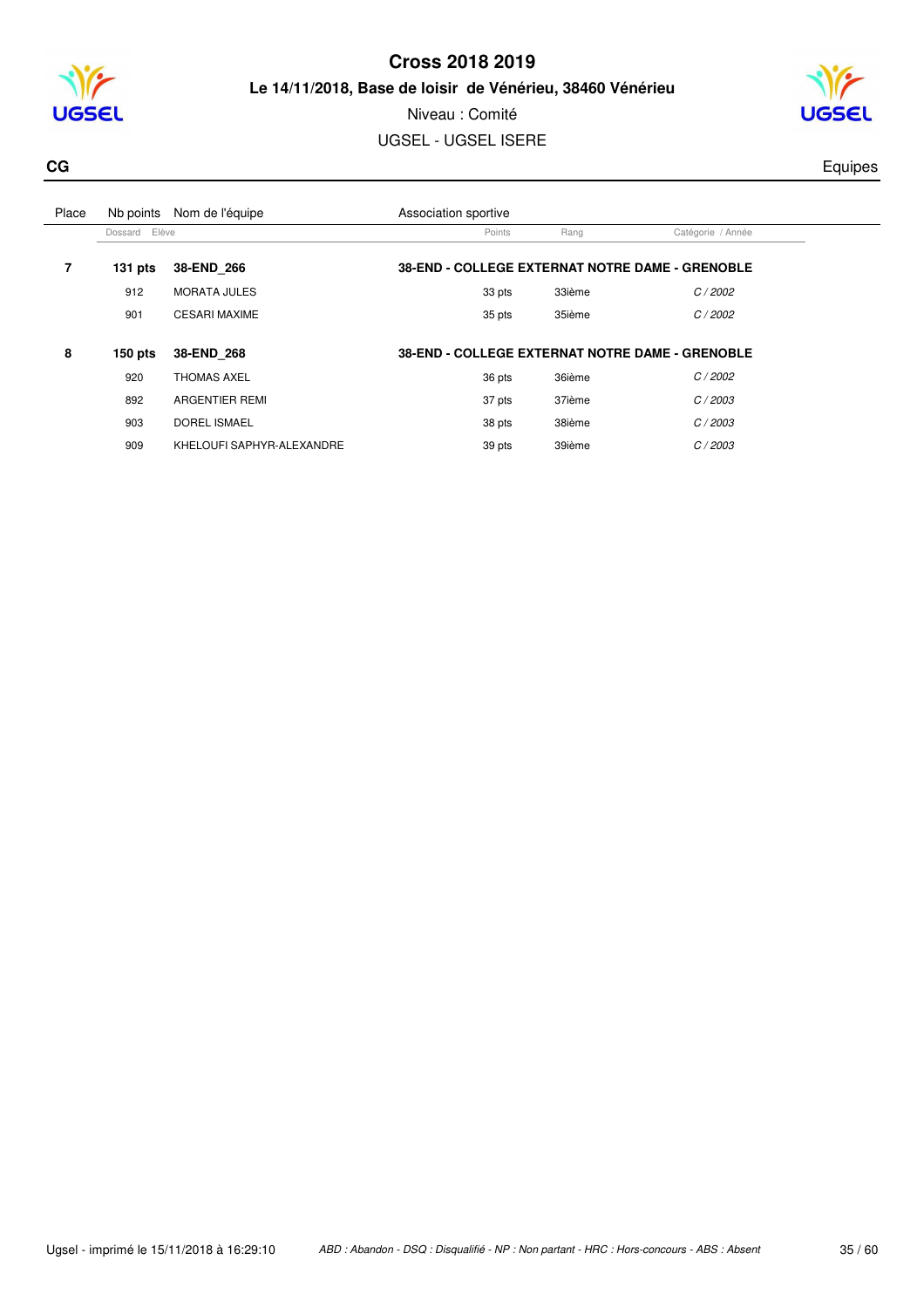



Niveau : Comité UGSEL - UGSEL ISERE

**CG** Equipes **CG** Equipes **CG** 

| Place | Nb points        | Nom de l'équipe           | Association sportive |        |                                                        |
|-------|------------------|---------------------------|----------------------|--------|--------------------------------------------------------|
|       | Elève<br>Dossard |                           | Points               | Rang   | Catégorie / Année                                      |
|       |                  |                           |                      |        |                                                        |
| 7     | $131$ pts        | 38-END 266                |                      |        | <b>38-END - COLLEGE EXTERNAT NOTRE DAME - GRENOBLE</b> |
|       | 912              | <b>MORATA JULES</b>       | 33 pts               | 33ième | C/2002                                                 |
|       | 901              | <b>CESARI MAXIME</b>      | 35 pts               | 35ième | C/2002                                                 |
|       |                  |                           |                      |        |                                                        |
| 8     | $150$ pts        | 38-END 268                |                      |        | <b>38-END - COLLEGE EXTERNAT NOTRE DAME - GRENOBLE</b> |
|       | 920              | <b>THOMAS AXEL</b>        | 36 pts               | 36ième | C/2002                                                 |
|       | 892              | <b>ARGENTIER REMI</b>     | 37 pts               | 37ième | C/2003                                                 |
|       | 903              | <b>DOREL ISMAEL</b>       | 38 pts               | 38ième | C/2003                                                 |
|       | 909              | KHELOUFI SAPHYR-ALEXANDRE | 39 pts               | 39ième | C/2003                                                 |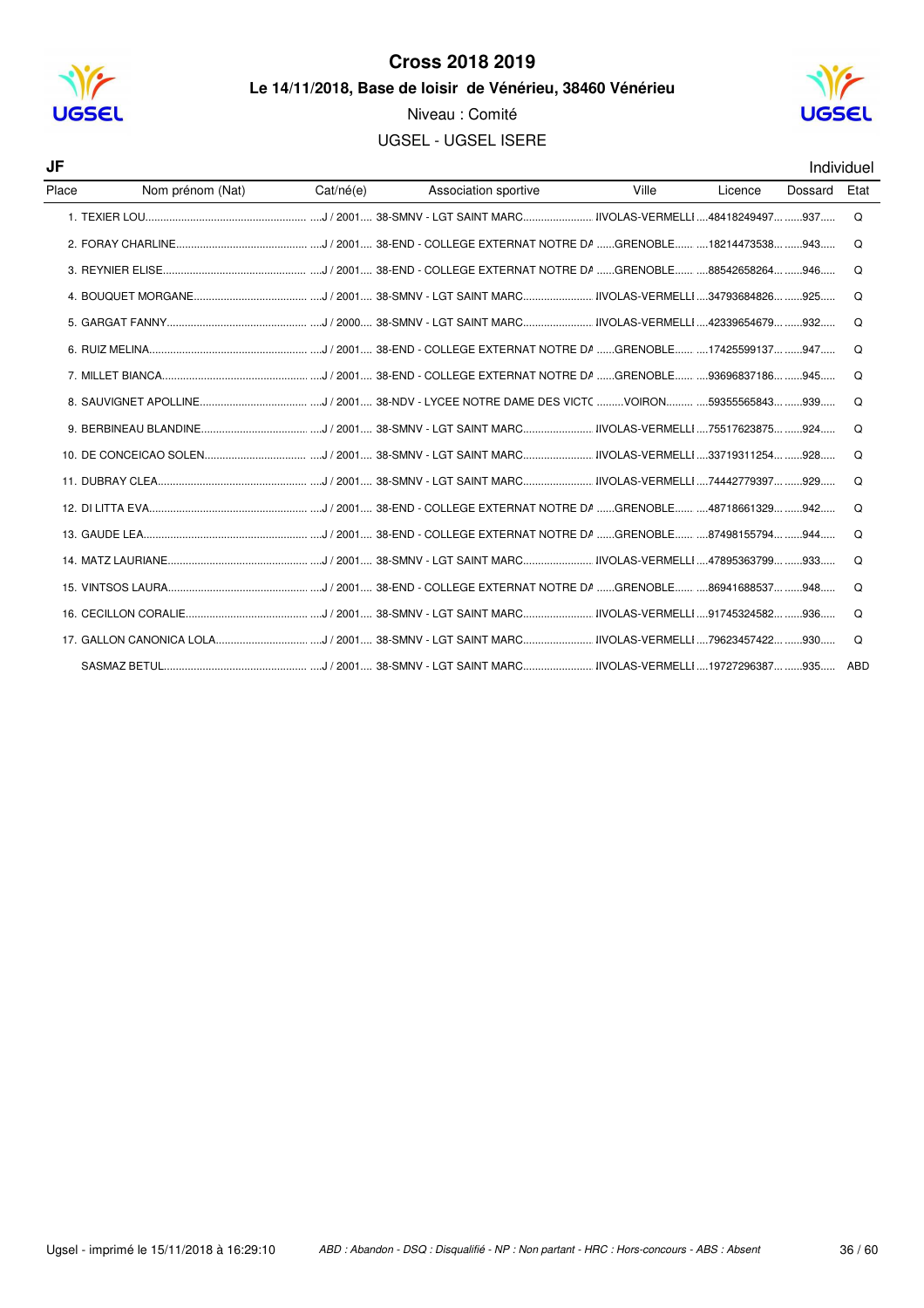

Niveau : Comité

**UGSEL - UGSEL ISERE** 



| JF    |                  |           |                      |       |         |         | Individuel |
|-------|------------------|-----------|----------------------|-------|---------|---------|------------|
| Place | Nom prénom (Nat) | Cat/né(e) | Association sportive | Ville | Licence | Dossard | Etat       |
|       |                  |           |                      |       |         |         | $\Omega$   |
|       |                  |           |                      |       |         |         | Q          |
|       |                  |           |                      |       |         |         | O          |
|       |                  |           |                      |       |         |         | O          |
|       |                  |           |                      |       |         |         | O          |
|       |                  |           |                      |       |         |         | O          |
|       |                  |           |                      |       |         |         | $\Omega$   |
|       |                  |           |                      |       |         |         | O          |
|       |                  |           |                      |       |         |         | O          |
|       |                  |           |                      |       |         |         | O          |
|       |                  |           |                      |       |         |         | O          |
|       |                  |           |                      |       |         |         | O          |
|       |                  |           |                      |       |         |         | O          |
|       |                  |           |                      |       |         |         | $\Omega$   |
|       |                  |           |                      |       |         |         | O          |
|       |                  |           |                      |       |         |         | $\Omega$   |
|       |                  |           |                      |       |         |         | Q          |
|       |                  |           |                      |       |         |         | ABD        |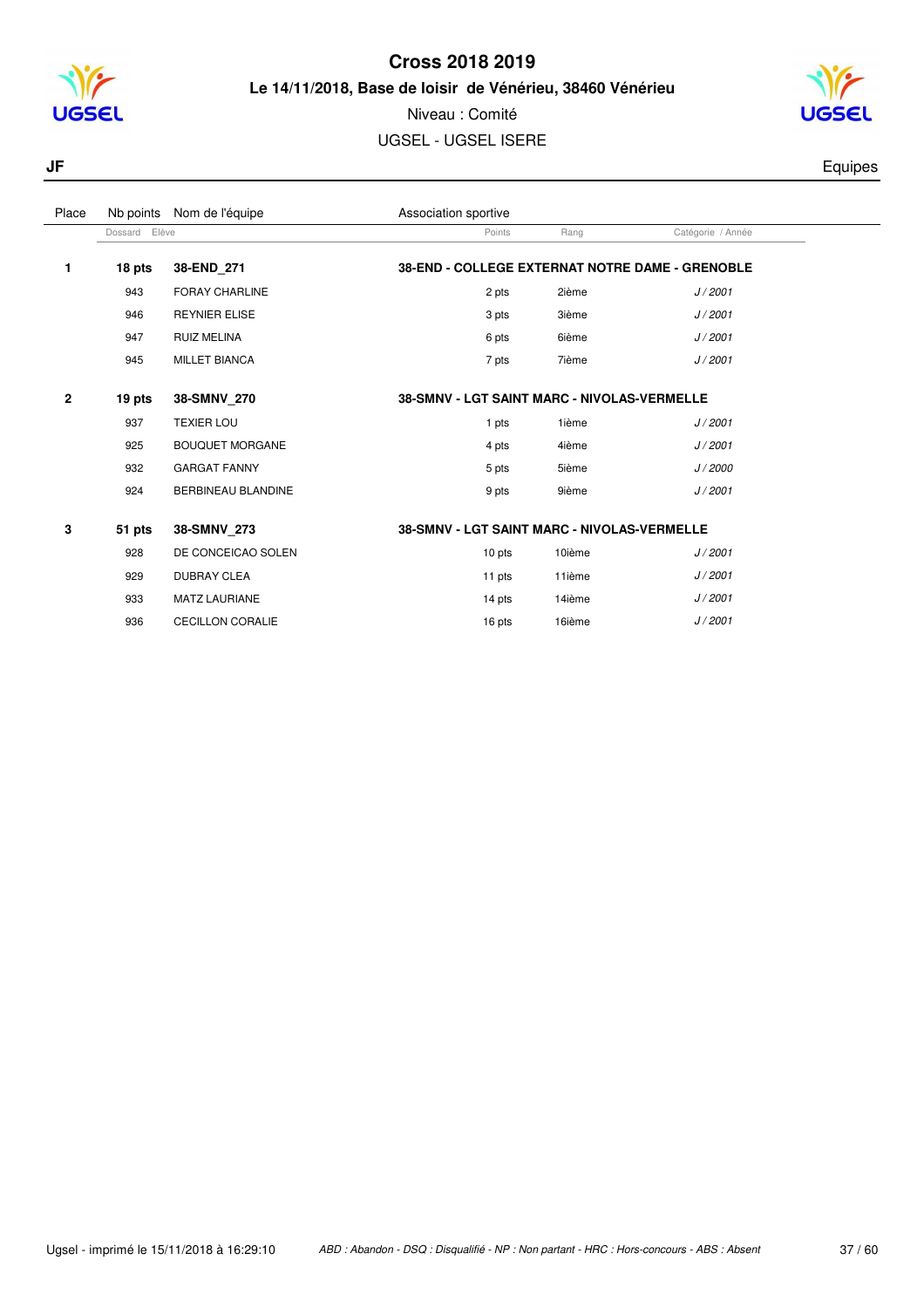

Niveau : Comité

UGSEL - UGSEL ISERE



**JF** Equipes

| Place        | Nb points        | Nom de l'équipe           | Association sportive                            |                                             |                   |  |  |
|--------------|------------------|---------------------------|-------------------------------------------------|---------------------------------------------|-------------------|--|--|
|              | Elève<br>Dossard |                           | Points                                          | Rang                                        | Catégorie / Année |  |  |
| 1            | 18 pts           | 38-END 271                | 38-END - COLLEGE EXTERNAT NOTRE DAME - GRENOBLE |                                             |                   |  |  |
|              | 943              | <b>FORAY CHARLINE</b>     | 2 pts                                           | 2ième                                       | J/2001            |  |  |
|              | 946              | <b>REYNIER ELISE</b>      | 3 pts                                           | 3ième                                       | J/2001            |  |  |
|              | 947              | <b>RUIZ MELINA</b>        | 6 pts                                           | 6ième                                       | J/2001            |  |  |
|              | 945              | <b>MILLET BIANCA</b>      | 7 pts                                           | 7ième                                       | J/2001            |  |  |
| $\mathbf{2}$ | 19 pts           | 38-SMNV 270               |                                                 | 38-SMNV - LGT SAINT MARC - NIVOLAS-VERMELLE |                   |  |  |
|              | 937              | <b>TEXIER LOU</b>         | 1 pts                                           | 1ième                                       | J/2001            |  |  |
|              | 925              | <b>BOUQUET MORGANE</b>    | 4 pts                                           | 4ième                                       | J/2001            |  |  |
|              | 932              | <b>GARGAT FANNY</b>       | 5 pts                                           | 5ième                                       | J/2000            |  |  |
|              | 924              | <b>BERBINEAU BLANDINE</b> | 9 pts                                           | 9ième                                       | J/2001            |  |  |
| 3            | 51 pts           | 38-SMNV 273               | 38-SMNV - LGT SAINT MARC - NIVOLAS-VERMELLE     |                                             |                   |  |  |
|              | 928              | DE CONCEICAO SOLEN        | 10 pts                                          | 10ième                                      | J/2001            |  |  |
|              | 929              | <b>DUBRAY CLEA</b>        | 11 pts                                          | 11ième                                      | J/2001            |  |  |
|              | 933              | <b>MATZ LAURIANE</b>      | 14 pts                                          | 14ième                                      | J/2001            |  |  |
|              | 936              | <b>CECILLON CORALIE</b>   | 16 pts                                          | 16ième                                      | J/2001            |  |  |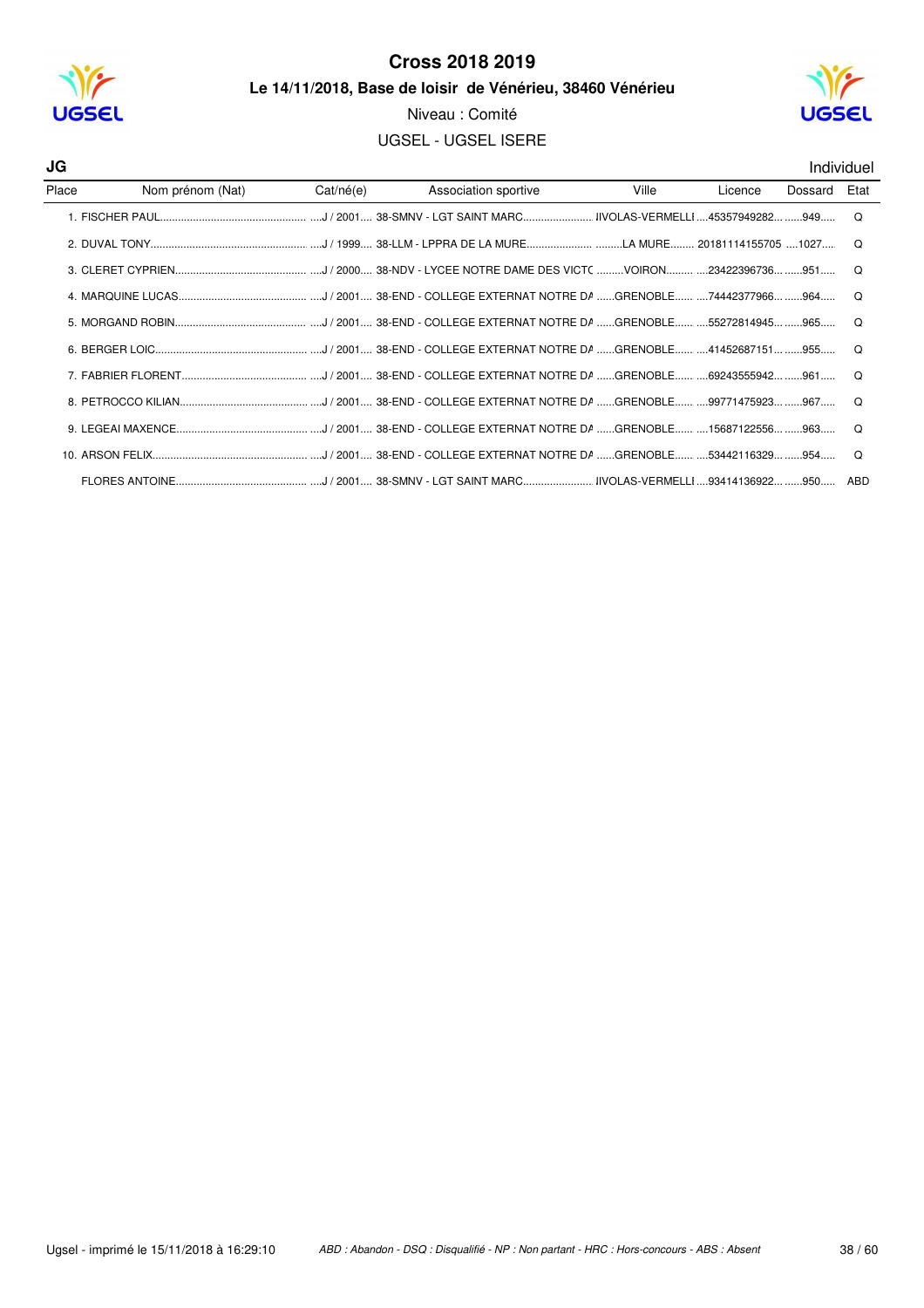

Niveau : Comité

**UGSEL - UGSEL ISERE** 



| JG    |                  |           |                      |       |         |         | Individuel |
|-------|------------------|-----------|----------------------|-------|---------|---------|------------|
| Place | Nom prénom (Nat) | Cat/né(e) | Association sportive | Ville | Licence | Dossard | Etat       |
|       |                  |           |                      |       |         |         | $\Omega$   |
|       |                  |           |                      |       |         |         | $\Omega$   |
|       |                  |           |                      |       |         |         |            |
|       |                  |           |                      |       |         |         |            |
|       |                  |           |                      |       |         |         |            |
|       |                  |           |                      |       |         |         |            |
|       |                  |           |                      |       |         |         |            |
|       |                  |           |                      |       |         |         | $\Omega$   |
|       |                  |           |                      |       |         |         | ∩          |
|       |                  |           |                      |       |         |         | $\Omega$   |
|       |                  |           |                      |       |         |         | ABD        |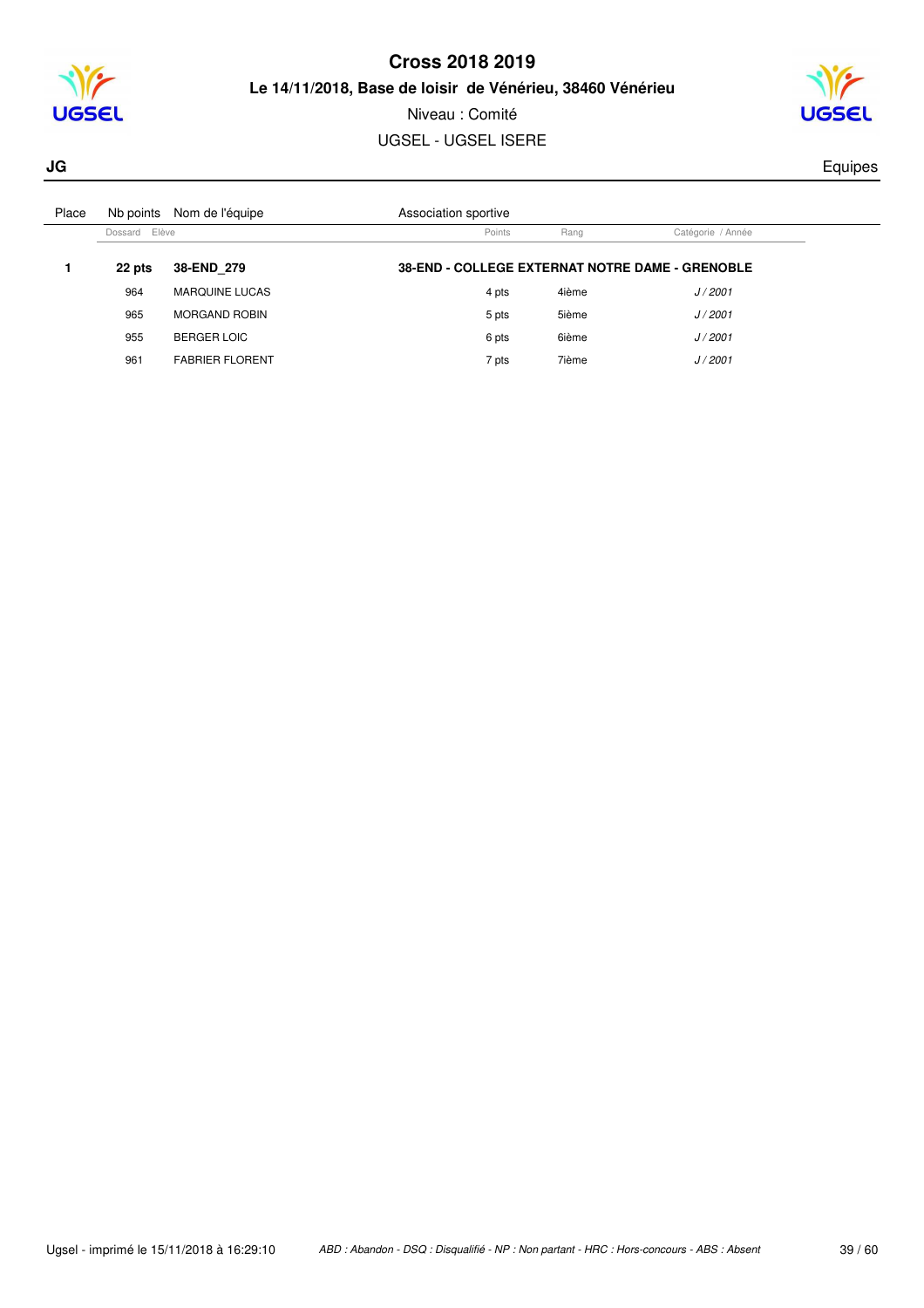



# Niveau : Comité

UGSEL - UGSEL ISERE

**JG** Equipes

| Place | Nb points                             | Nom de l'équipe        | Association sportive                                   |       |                   |
|-------|---------------------------------------|------------------------|--------------------------------------------------------|-------|-------------------|
|       | Dossard Elève<br>38-END 279<br>22 pts |                        | Points<br>Rang                                         |       | Catégorie / Année |
|       |                                       |                        | <b>38-END - COLLEGE EXTERNAT NOTRE DAME - GRENOBLE</b> |       |                   |
|       | 964                                   | <b>MARQUINE LUCAS</b>  | 4 pts                                                  | 4ième | J/2001            |
|       | 965                                   | <b>MORGAND ROBIN</b>   | 5 pts                                                  | 5ième | J/2001            |
|       | 955                                   | <b>BERGER LOIC</b>     | 6 pts                                                  | 6ième | J/2001            |
|       | 961                                   | <b>FABRIER FLORENT</b> | 7 pts                                                  | 7ième | J/2001            |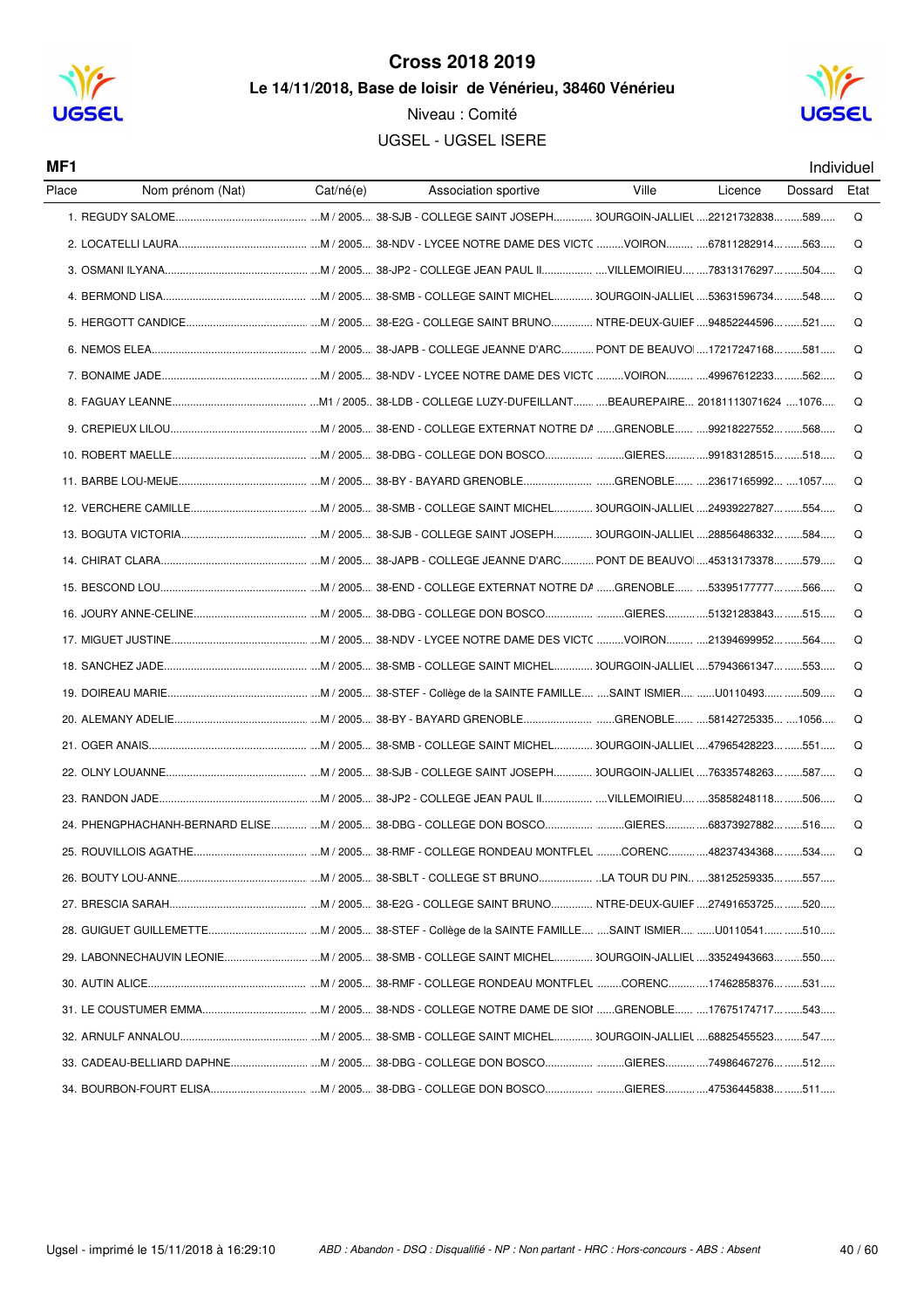

MF1

## **Cross 2018 2019** Le 14/11/2018, Base de loisir de Vénérieu, 38460 Vénérieu

Niveau : Comité

**UGSEL - UGSEL ISERE** 



Individuel

| Place | Nom prénom (Nat) | Cat/né(e) | Association sportive | Ville | Licence | Dossard | Eta |
|-------|------------------|-----------|----------------------|-------|---------|---------|-----|
|       |                  |           |                      |       |         |         | Q   |
|       |                  |           |                      |       |         |         | Q   |
|       |                  |           |                      |       |         |         | Q   |
|       |                  |           |                      |       |         |         | Q   |
|       |                  |           |                      |       |         |         | Q   |
|       |                  |           |                      |       |         |         | Q   |
|       |                  |           |                      |       |         |         | Q   |
|       |                  |           |                      |       |         |         | Q   |
|       |                  |           |                      |       |         |         | Q   |
|       |                  |           |                      |       |         |         | Q   |
|       |                  |           |                      |       |         |         | Q   |
|       |                  |           |                      |       |         |         | Q   |
|       |                  |           |                      |       |         |         | Q   |
|       |                  |           |                      |       |         |         | Q   |
|       |                  |           |                      |       |         |         | Q   |
|       |                  |           |                      |       |         |         | Q   |
|       |                  |           |                      |       |         |         | Q   |
|       |                  |           |                      |       |         |         | Q   |
|       |                  |           |                      |       |         |         | Q   |
|       |                  |           |                      |       |         |         | Q   |
|       |                  |           |                      |       |         |         | Q   |
|       |                  |           |                      |       |         |         | Q   |
|       |                  |           |                      |       |         |         | Q   |
|       |                  |           |                      |       |         |         | Q   |
|       |                  |           |                      |       |         |         | Q   |
|       |                  |           |                      |       |         |         |     |
|       |                  |           |                      |       |         |         |     |
|       |                  |           |                      |       |         |         |     |
|       |                  |           |                      |       |         |         |     |
|       |                  |           |                      |       |         |         |     |
|       |                  |           |                      |       |         |         |     |
|       |                  |           |                      |       |         |         |     |
|       |                  |           |                      |       |         |         |     |
|       |                  |           |                      |       |         |         |     |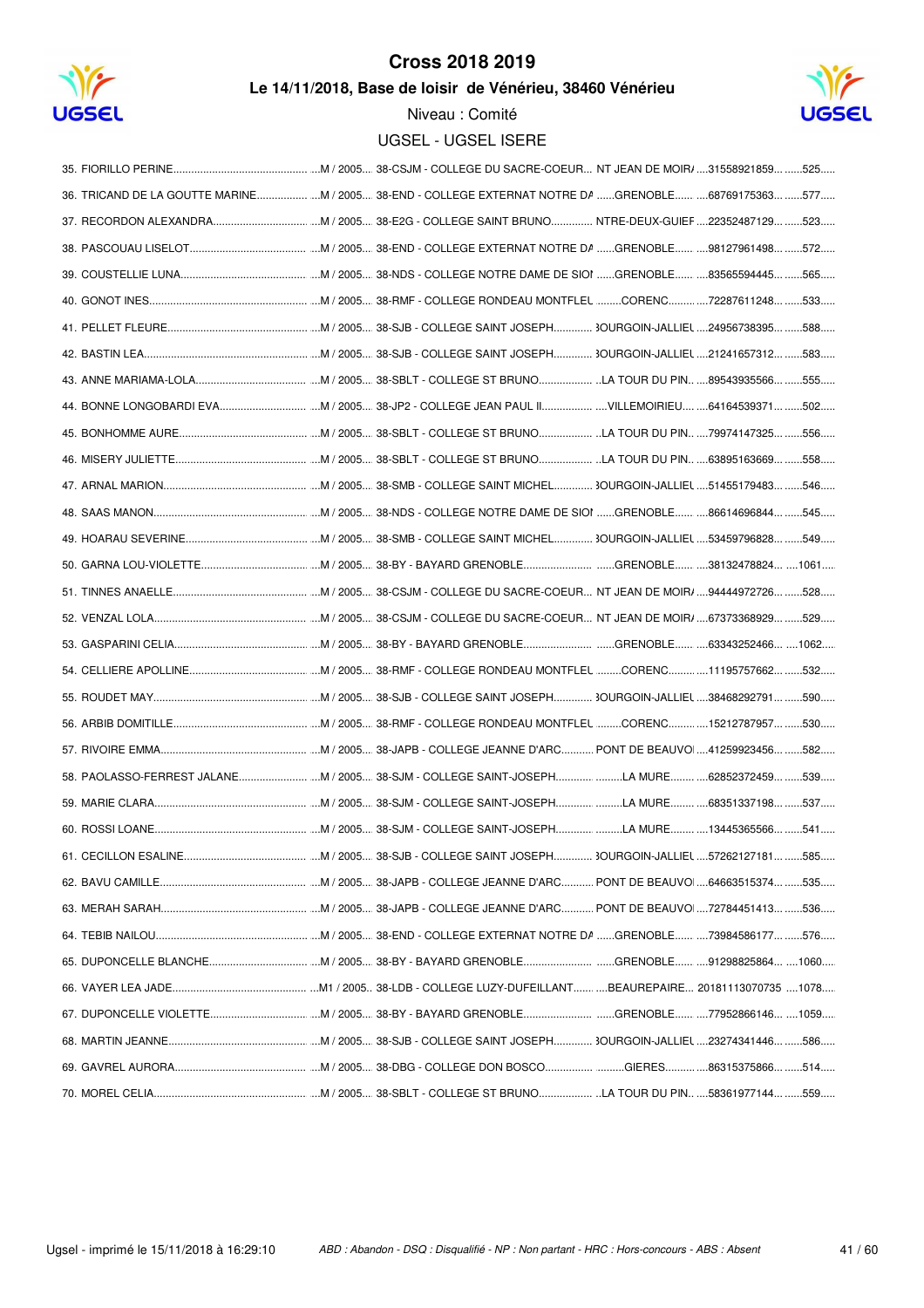

Le 14/11/2018, Base de loisir de Vénérieu, 38460 Vénérieu



| 36. TRICAND DE LA GOUTTE MARINE M / 2005 38-END - COLLEGE EXTERNAT NOTRE DA GRENOBLE 68769175363 577 |
|------------------------------------------------------------------------------------------------------|
|                                                                                                      |
|                                                                                                      |
|                                                                                                      |
|                                                                                                      |
|                                                                                                      |
|                                                                                                      |
|                                                                                                      |
|                                                                                                      |
|                                                                                                      |
|                                                                                                      |
|                                                                                                      |
|                                                                                                      |
|                                                                                                      |
|                                                                                                      |
|                                                                                                      |
|                                                                                                      |
|                                                                                                      |
|                                                                                                      |
|                                                                                                      |
|                                                                                                      |
|                                                                                                      |
|                                                                                                      |
|                                                                                                      |
|                                                                                                      |
|                                                                                                      |
|                                                                                                      |
|                                                                                                      |
|                                                                                                      |
|                                                                                                      |
|                                                                                                      |
|                                                                                                      |
|                                                                                                      |
|                                                                                                      |
|                                                                                                      |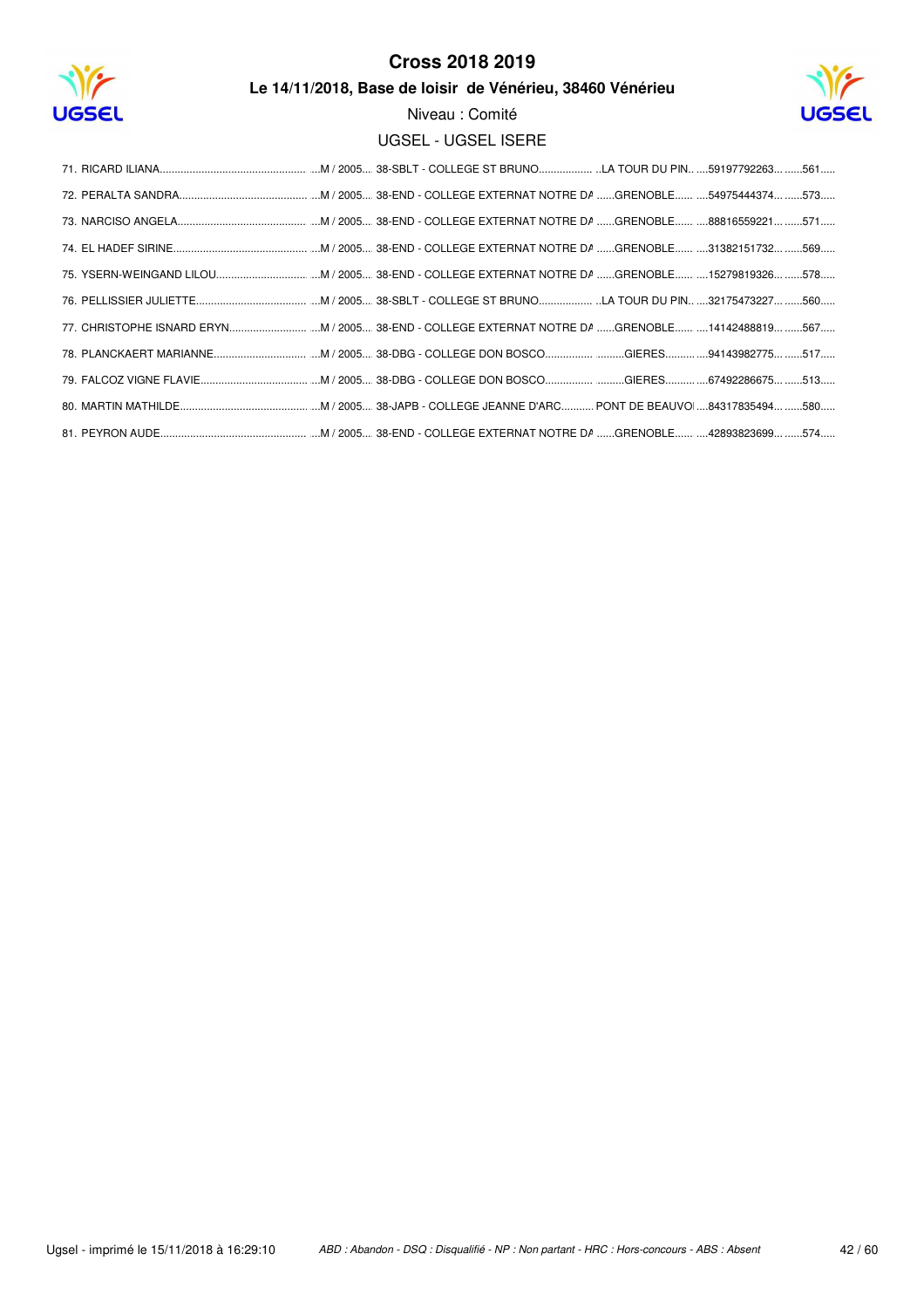

Le 14/11/2018, Base de loisir de Vénérieu, 38460 Vénérieu

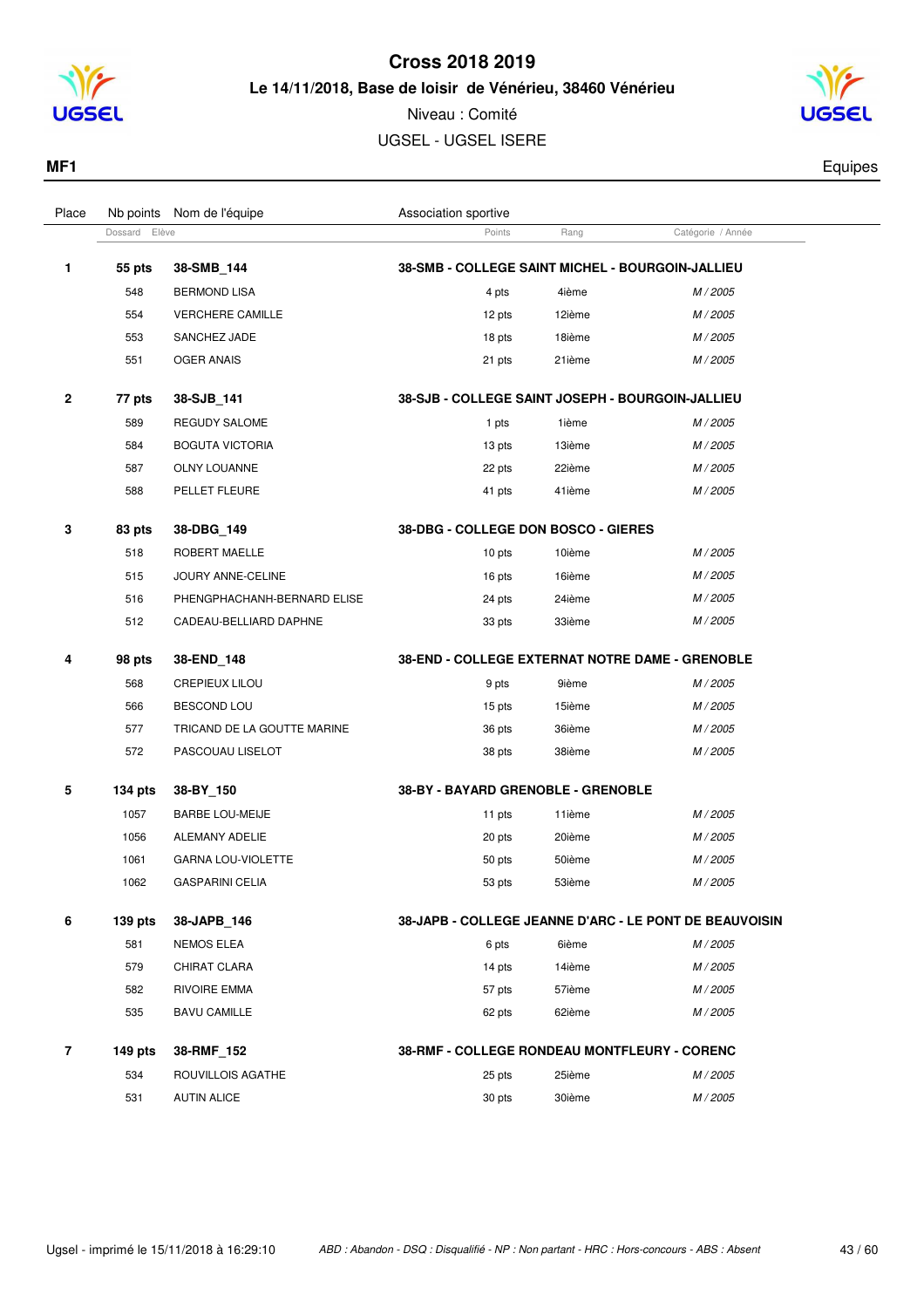

Niveau : Comité

UGSEL - UGSEL ISERE

Dossard Elève **Points** Rang Catégorie / Année

Place Nb points Nom de l'équipe  $\blacksquare$  Association sportive



**MF1** Equipes

| 1 | 55 pts    | 38-SMB 144                  | 38-SMB - COLLEGE SAINT MICHEL - BOURGOIN-JALLIEU       |
|---|-----------|-----------------------------|--------------------------------------------------------|
|   | 548       | <b>BERMOND LISA</b>         | M / 2005<br>4ième<br>4 pts                             |
|   | 554       | <b>VERCHERE CAMILLE</b>     | 12ième<br>M / 2005<br>12 pts                           |
|   | 553       | SANCHEZ JADE                | M / 2005<br>18 pts<br>18ième                           |
|   | 551       | <b>OGER ANAIS</b>           | 21 pts<br>21ième<br>M / 2005                           |
| 2 | 77 pts    | 38-SJB 141                  | 38-SJB - COLLEGE SAINT JOSEPH - BOURGOIN-JALLIEU       |
|   | 589       | <b>REGUDY SALOME</b>        | M / 2005<br>1 pts<br>1ième                             |
|   | 584       | <b>BOGUTA VICTORIA</b>      | M / 2005<br>13ième<br>13 pts                           |
|   | 587       | <b>OLNY LOUANNE</b>         | 22ième<br>M / 2005<br>22 pts                           |
|   | 588       | PELLET FLEURE               | M / 2005<br>41ième<br>41 pts                           |
| 3 | 83 pts    | 38-DBG 149                  | 38-DBG - COLLEGE DON BOSCO - GIERES                    |
|   | 518       | ROBERT MAELLE               | M / 2005<br>10 pts<br>10ième                           |
|   | 515       | JOURY ANNE-CELINE           | M / 2005<br>16 pts<br>16ième                           |
|   | 516       | PHENGPHACHANH-BERNARD ELISE | 24ième<br>M / 2005<br>24 pts                           |
|   | 512       | CADEAU-BELLIARD DAPHNE      | M / 2005<br>33 pts<br>33ième                           |
| 4 | 98 pts    | 38-END 148                  | 38-END - COLLEGE EXTERNAT NOTRE DAME - GRENOBLE        |
|   | 568       | <b>CREPIEUX LILOU</b>       | M / 2005<br>9 pts<br>9ième                             |
|   | 566       | <b>BESCOND LOU</b>          | M / 2005<br>15 pts<br>15ième                           |
|   | 577       | TRICAND DE LA GOUTTE MARINE | M / 2005<br>36ième<br>36 pts                           |
|   | 572       | PASCOUAU LISELOT            | M / 2005<br>38ième<br>38 pts                           |
| 5 | 134 pts   | 38-BY 150                   | 38-BY - BAYARD GRENOBLE - GRENOBLE                     |
|   | 1057      | <b>BARBE LOU-MEIJE</b>      | M / 2005<br>11ième<br>11 pts                           |
|   | 1056      | ALEMANY ADELIE              | 20 pts<br>20ième<br>M / 2005                           |
|   | 1061      | <b>GARNA LOU-VIOLETTE</b>   | 50ième<br>M / 2005<br>50 pts                           |
|   | 1062      | <b>GASPARINI CELIA</b>      | M / 2005<br>53ième<br>53 pts                           |
| 6 | $139$ pts | 38-JAPB 146                 | 38-JAPB - COLLEGE JEANNE D'ARC - LE PONT DE BEAUVOISIN |

581 NEMOS ELEA 6pts 6ième M/2005 579 CHIRAT CLARA 14 pts 14ième M / 2005 RIVOIRE EMMA 57 pts 57ième M / 2005 535 BAVU CAMILLE **1999 12005** 62 pts 62ième M / 2005

#### **149 pts 38-RMF\_152 38-RMF - COLLEGE RONDEAU MONTFLEURY - CORENC** 534 ROUVILLOIS AGATHE **25 pts** 25ième M / 2005 531 AUTIN ALICE **30** pts 30ième M / 2005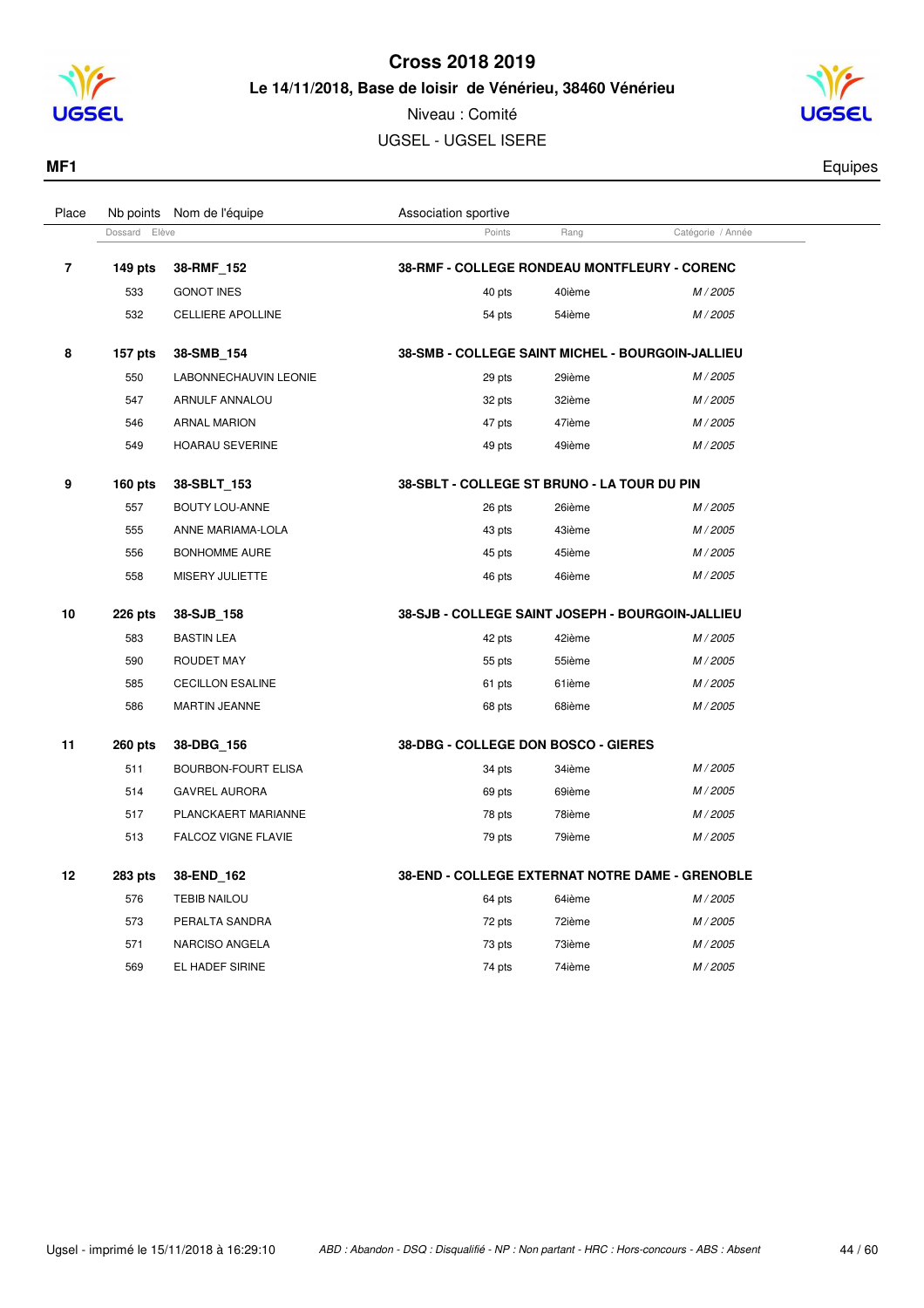

## **Cross 2018 2019 Le 14/11/2018, Base de loisir de Vénérieu, 38460 Vénérieu**

Niveau : Comité

UGSEL - UGSEL ISERE



**MF1** Equipes

| Place | Nb points        | Nom de l'équipe          | Association sportive                                    |        |                   |  |
|-------|------------------|--------------------------|---------------------------------------------------------|--------|-------------------|--|
|       | Elève<br>Dossard |                          | Points                                                  | Rang   | Catégorie / Année |  |
|       | 149 pts          | 38-RMF 152               | 38-RMF - COLLEGE RONDEAU MONTFLEURY - CORENC            |        |                   |  |
|       | 533              | <b>GONOT INES</b>        | 40 pts                                                  | 40ième | M / 2005          |  |
|       | 532              | <b>CELLIERE APOLLINE</b> | 54 pts                                                  | 54ième | M / 2005          |  |
| 8     | 157 $pts$        | 38-SMB 154               | <b>38-SMB - COLLEGE SAINT MICHEL - BOURGOIN-JALLIEU</b> |        |                   |  |
|       | 550              | LABONNECHAUVIN LEONIE    | 29 pts                                                  | 29ième | M / 2005          |  |

|    | 547            | <b>ARNULF ANNALOU</b>      | M / 2005<br>32 pts<br>32ième                     |
|----|----------------|----------------------------|--------------------------------------------------|
|    | 546            | <b>ARNAL MARION</b>        | M / 2005<br>47 pts<br>47ième                     |
|    | 549            | HOARAU SEVERINE            | M / 2005<br>49 pts<br>49ième                     |
| 9  | <b>160 pts</b> | 38-SBLT 153                | 38-SBLT - COLLEGE ST BRUNO - LA TOUR DU PIN      |
|    | 557            | <b>BOUTY LOU-ANNE</b>      | M / 2005<br>26ième<br>26 pts                     |
|    | 555            | ANNE MARIAMA-LOLA          | M / 2005<br>43 pts<br>43ième                     |
|    | 556            | <b>BONHOMME AURE</b>       | M / 2005<br>45 pts<br>45ième                     |
|    | 558            | MISERY JULIETTE            | M / 2005<br>46 pts<br>46ième                     |
| 10 | <b>226 pts</b> | 38-SJB 158                 | 38-SJB - COLLEGE SAINT JOSEPH - BOURGOIN-JALLIEU |
|    | 583            | <b>BASTIN LEA</b>          | M / 2005<br>42 pts<br>42ième                     |
|    | 590            | ROUDET MAY                 | M / 2005<br>55 pts<br>55ième                     |
|    | 585            | <b>CECILLON ESALINE</b>    | 61 pts<br>61ième<br>M / 2005                     |
|    | 586            | <b>MARTIN JEANNE</b>       | 68ième<br>M / 2005<br>68 pts                     |
| 11 | <b>260 pts</b> | 38-DBG 156                 | 38-DBG - COLLEGE DON BOSCO - GIERES              |
|    | 511            | <b>BOURBON-FOURT ELISA</b> | M / 2005<br>34ième<br>34 pts                     |
|    | 514            | <b>GAVREL AURORA</b>       | 69 pts<br>69ième<br>M / 2005                     |
|    | 517            | PLANCKAERT MARIANNE        | M / 2005<br>78 pts<br>78ième                     |
|    | 513            | <b>FALCOZ VIGNE FLAVIE</b> | 79ième<br>M / 2005<br>79 pts                     |
| 12 | 283 pts        | 38-END 162                 | 38-END - COLLEGE EXTERNAT NOTRE DAME - GRENOBLE  |
|    | 576            | <b>TEBIB NAILOU</b>        | 64 pts<br>64ième<br>M / 2005                     |
|    | 573            | PERALTA SANDRA             | M / 2005<br>72 pts<br>72ième                     |
|    | 571            | NARCISO ANGELA             | 73ième<br>M / 2005<br>73 pts                     |
|    | 569            | EL HADEF SIRINE            | 74 pts<br>74ième<br>M / 2005                     |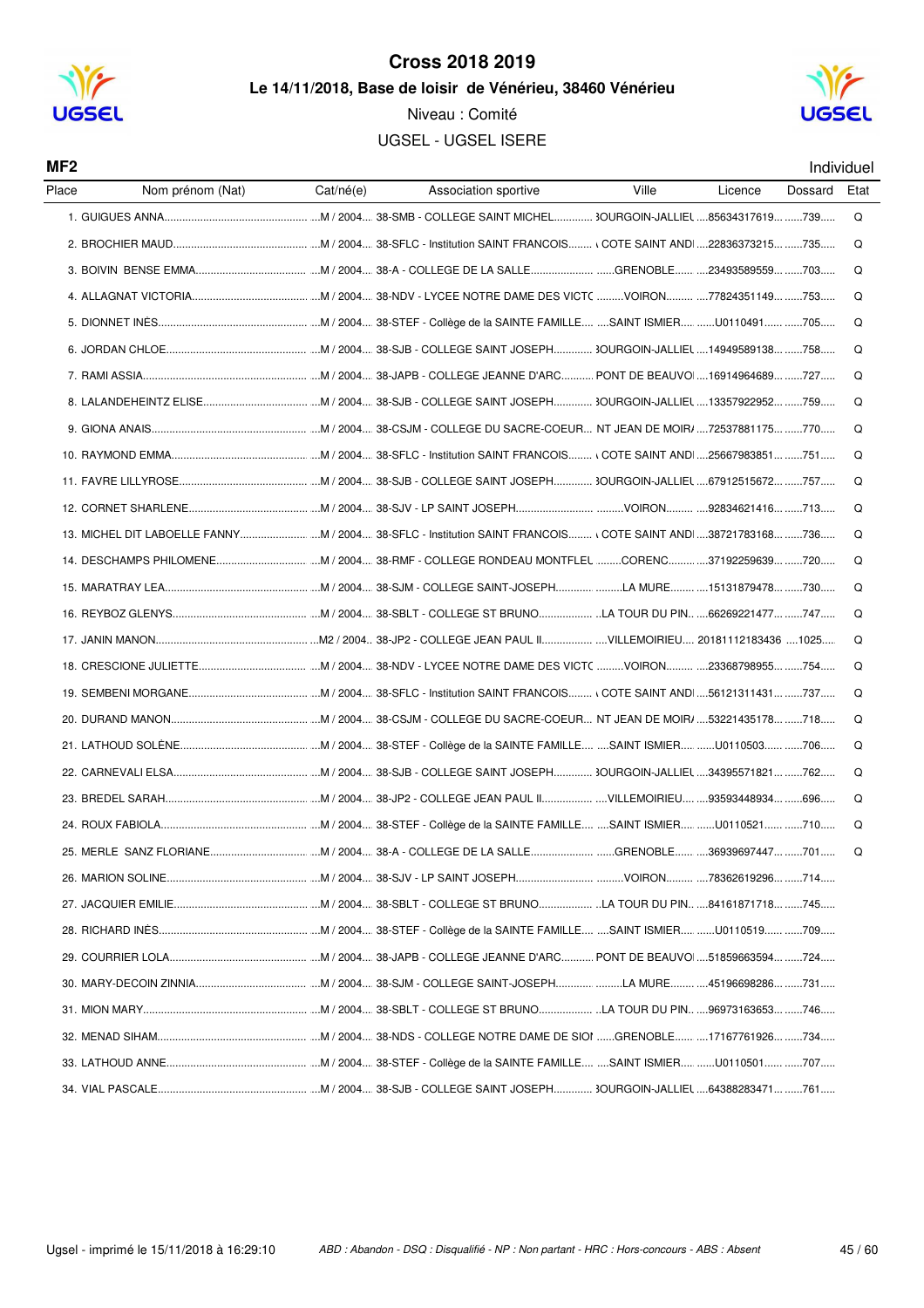

Niveau : Comité

**UGSEL - UGSEL ISERE** 



Individuel

| MF <sub>2</sub> |                          |           |                                     |       |                           | Individue |     |
|-----------------|--------------------------|-----------|-------------------------------------|-------|---------------------------|-----------|-----|
| Place           | Nom prénom (Nat)         | Cat/né(e) | Association sportive                | Ville | Licence                   | Dossard   | Eta |
|                 |                          |           |                                     |       |                           |           | Q   |
|                 |                          |           |                                     |       |                           |           | Q   |
|                 |                          |           |                                     |       |                           |           | Q   |
|                 |                          |           |                                     |       |                           |           | Q   |
|                 |                          |           |                                     |       |                           |           | Q   |
|                 |                          |           |                                     |       |                           |           | Q   |
|                 |                          |           |                                     |       |                           |           | Q   |
|                 |                          |           |                                     |       |                           |           | Q   |
|                 |                          |           |                                     |       |                           |           | Q   |
|                 |                          |           |                                     |       |                           |           | Q   |
|                 |                          |           |                                     |       |                           |           | Q   |
|                 |                          |           |                                     |       |                           |           | Q   |
|                 |                          |           |                                     |       |                           |           | Q   |
|                 |                          |           |                                     |       |                           |           | Q   |
|                 |                          |           |                                     |       |                           |           | Q   |
|                 |                          |           |                                     |       |                           |           | Q   |
|                 |                          |           |                                     |       |                           |           | Q   |
|                 |                          |           |                                     |       |                           |           | Q   |
|                 |                          |           |                                     |       |                           |           | Q   |
|                 |                          |           |                                     |       |                           |           | Q   |
|                 |                          |           |                                     |       |                           |           | Q   |
|                 |                          |           |                                     |       |                           |           | Q   |
|                 |                          |           |                                     |       |                           |           | Q   |
|                 |                          |           |                                     |       |                           |           | Q   |
|                 | 25. MERLE SANZ FLORIANE. |           | M / 2004 38-A - COLLEGE DE LA SALLE |       | .GRENOBLE 36939697447 701 |           | Q   |
|                 |                          |           |                                     |       |                           |           |     |
|                 |                          |           |                                     |       |                           |           |     |
|                 |                          |           |                                     |       |                           |           |     |
|                 |                          |           |                                     |       |                           |           |     |
|                 |                          |           |                                     |       |                           |           |     |
|                 |                          |           |                                     |       |                           |           |     |
|                 |                          |           |                                     |       |                           |           |     |
|                 |                          |           |                                     |       |                           |           |     |
|                 |                          |           |                                     |       |                           |           |     |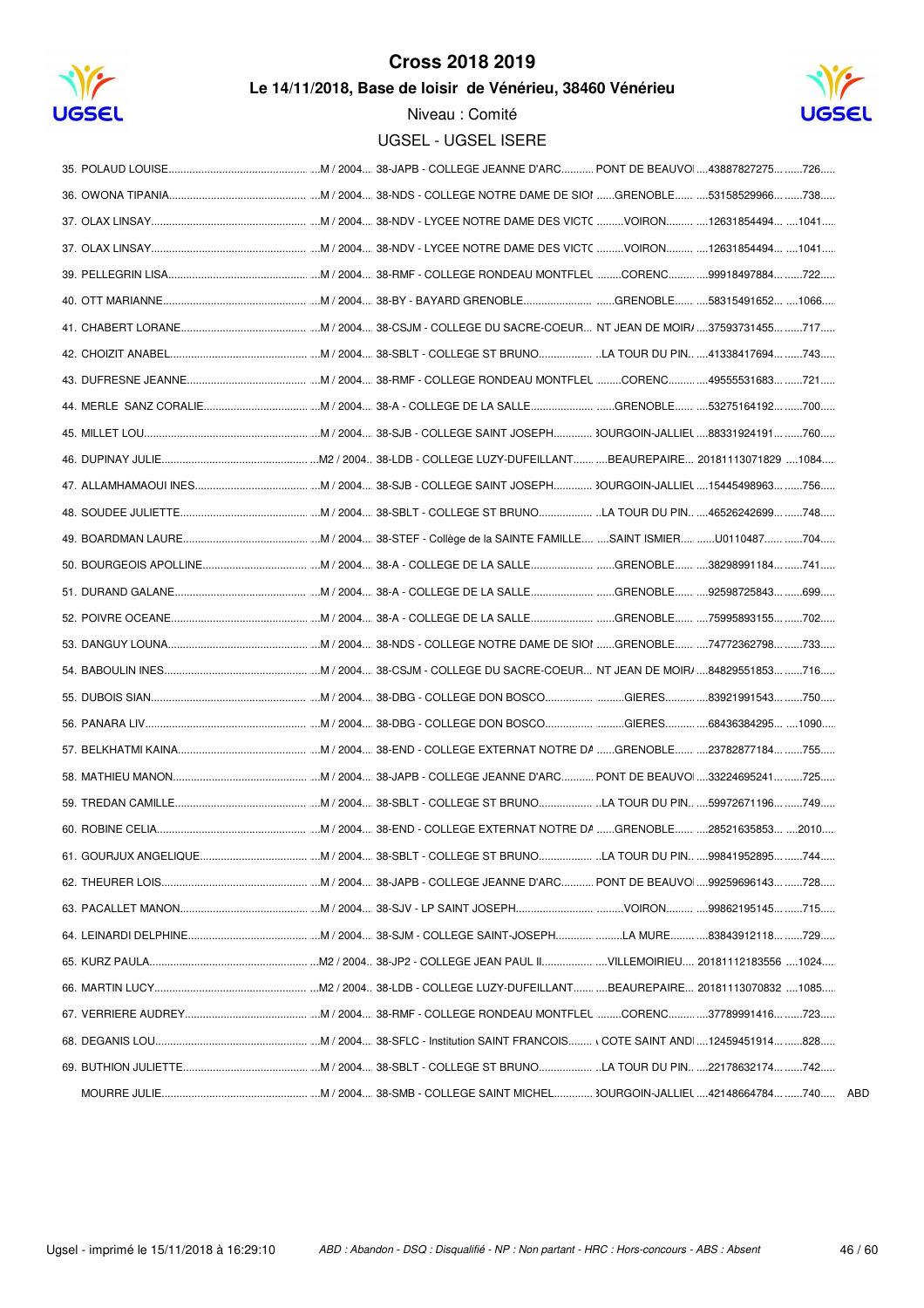

Le 14/11/2018, Base de loisir de Vénérieu, 38460 Vénérieu



|  | MOURRE JULIE………………………………………………M / 2004…. 38-SMB - COLLEGE SAINT MICHEL…………. 3OURGOIN-JALLIEL ….42148664784… ……740…… ABD |
|--|-------------------------------------------------------------------------------------------------------------------------|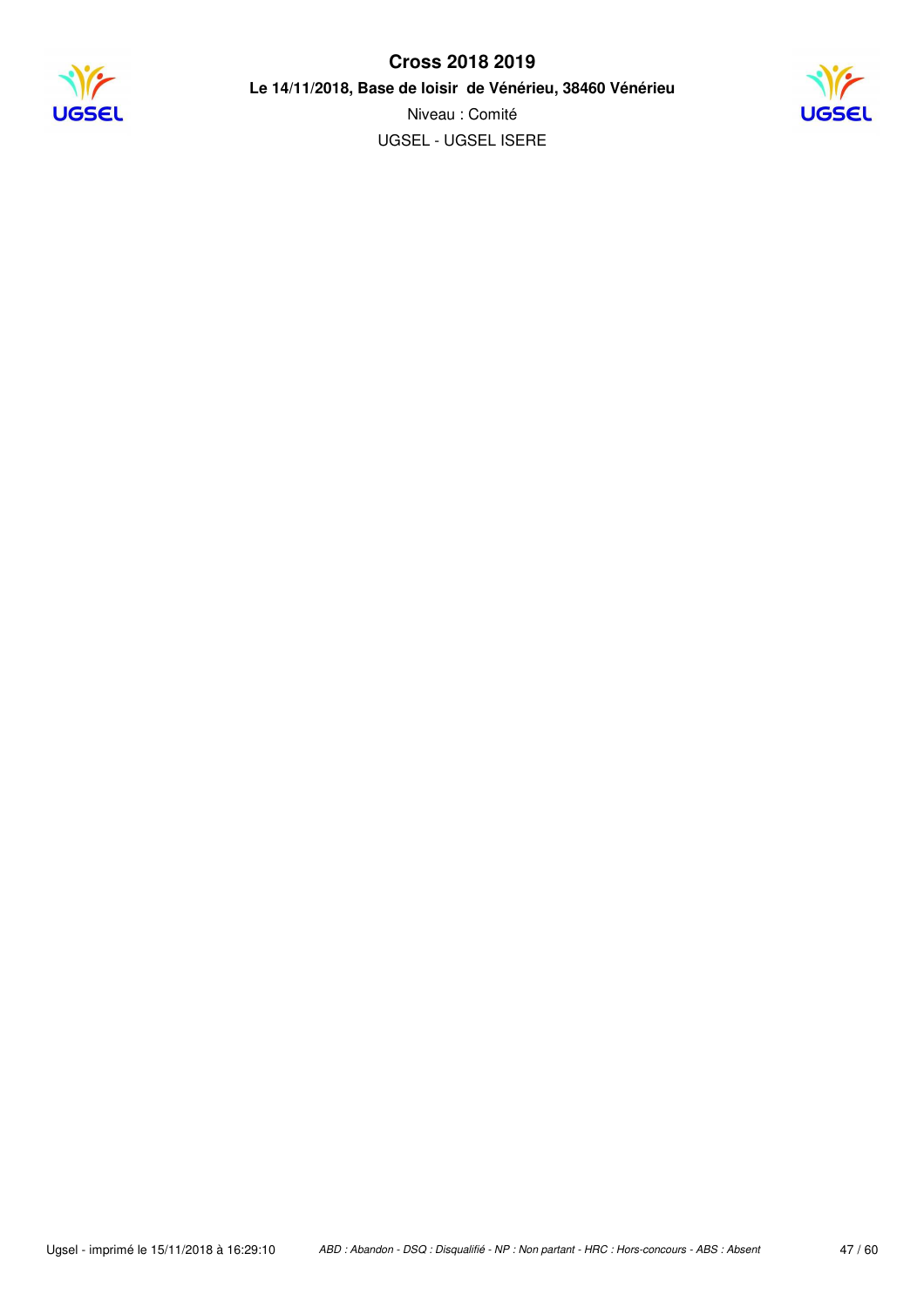

UGSEL - UGSEL ISERE

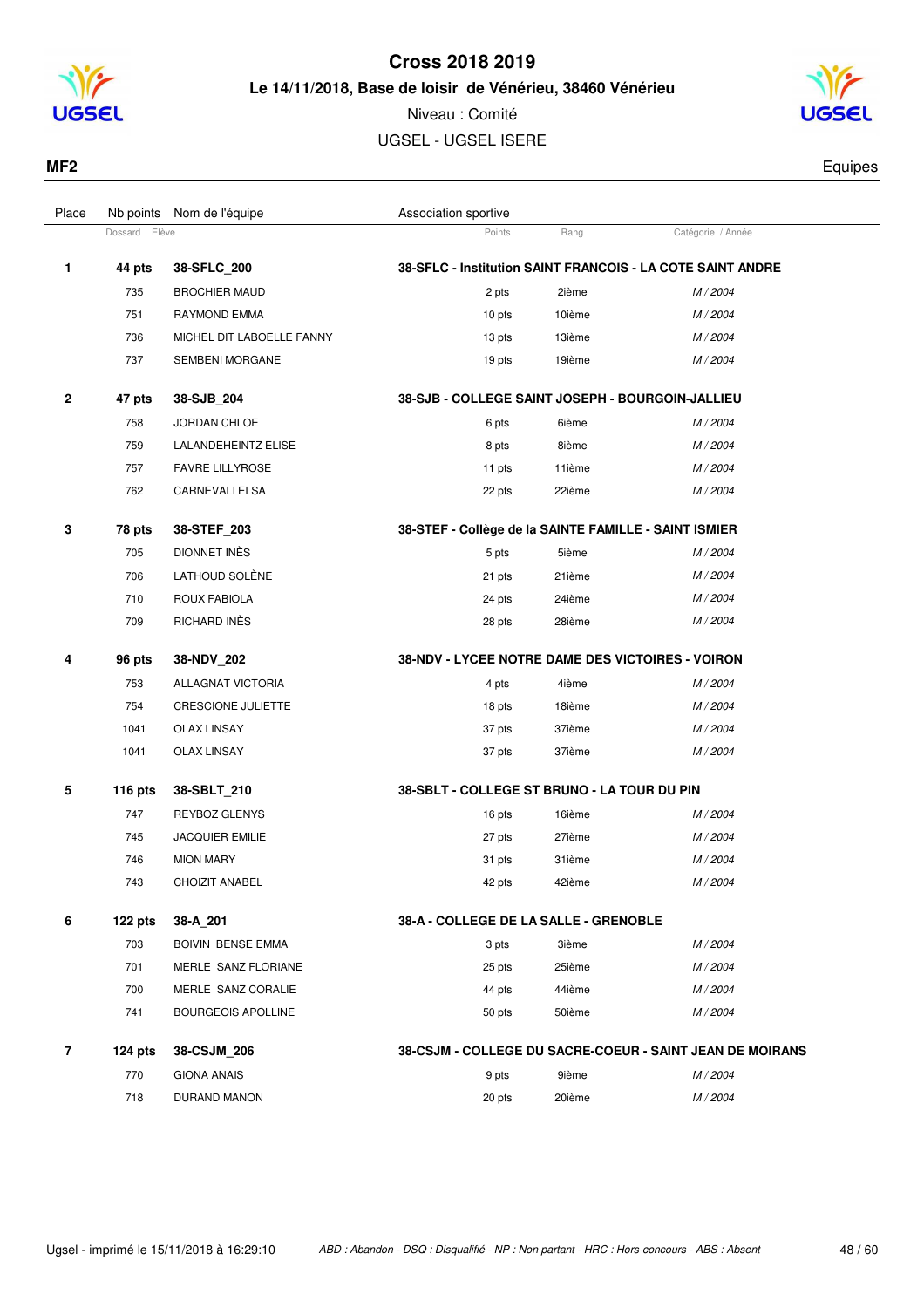



| MF <sub>2</sub> | $\overline{\phantom{0}}$<br>−auioe |
|-----------------|------------------------------------|
|                 |                                    |

| Place       | Nb points        | Nom de l'équipe           | Association sportive                                  |        |                                                            |  |
|-------------|------------------|---------------------------|-------------------------------------------------------|--------|------------------------------------------------------------|--|
|             | Elève<br>Dossard |                           | Points                                                | Rang   | Catégorie / Année                                          |  |
| 1           | 44 pts           | 38-SFLC_200               |                                                       |        | 38-SFLC - Institution SAINT FRANCOIS - LA COTE SAINT ANDRE |  |
|             | 735              | <b>BROCHIER MAUD</b>      | 2 pts                                                 | 2ième  | M / 2004                                                   |  |
|             | 751              | RAYMOND EMMA              | 10 pts                                                | 10ième | M / 2004                                                   |  |
|             | 736              | MICHEL DIT LABOELLE FANNY | 13 pts                                                | 13ième | M / 2004                                                   |  |
|             | 737              | SEMBENI MORGANE           | 19 pts                                                | 19ième | M / 2004                                                   |  |
| $\mathbf 2$ | 47 pts           | 38-SJB_204                | 38-SJB - COLLEGE SAINT JOSEPH - BOURGOIN-JALLIEU      |        |                                                            |  |
|             | 758              | <b>JORDAN CHLOE</b>       | 6 pts                                                 | 6ième  | M / 2004                                                   |  |
|             | 759              | LALANDEHEINTZ ELISE       | 8 pts                                                 | 8ième  | M / 2004                                                   |  |
|             | 757              | <b>FAVRE LILLYROSE</b>    | 11 pts                                                | 11ième | M / 2004                                                   |  |
|             | 762              | CARNEVALI ELSA            | 22 pts                                                | 22ième | M / 2004                                                   |  |
| 3           | 78 pts           | 38-STEF_203               | 38-STEF - Collège de la SAINTE FAMILLE - SAINT ISMIER |        |                                                            |  |
|             | 705              | DIONNET INÈS              | 5 pts                                                 | 5ième  | M / 2004                                                   |  |
|             | 706              | LATHOUD SOLÈNE            | 21 pts                                                | 21ième | M / 2004                                                   |  |
|             | 710              | ROUX FABIOLA              | 24 pts                                                | 24ième | M / 2004                                                   |  |
|             | 709              | RICHARD INÈS              | 28 pts                                                | 28ième | M / 2004                                                   |  |
| 4           | 96 pts           | 38-NDV_202                | 38-NDV - LYCEE NOTRE DAME DES VICTOIRES - VOIRON      |        |                                                            |  |
|             | 753              | ALLAGNAT VICTORIA         | 4 pts                                                 | 4ième  | M / 2004                                                   |  |
|             | 754              | <b>CRESCIONE JULIETTE</b> | 18 pts                                                | 18ième | M / 2004                                                   |  |
|             | 1041             | <b>OLAX LINSAY</b>        | 37 pts                                                | 37ième | M / 2004                                                   |  |
|             | 1041             | <b>OLAX LINSAY</b>        | 37 pts                                                | 37ième | M / 2004                                                   |  |
| 5           | 116 pts          | 38-SBLT_210               | 38-SBLT - COLLEGE ST BRUNO - LA TOUR DU PIN           |        |                                                            |  |
|             | 747              | REYBOZ GLENYS             | 16 pts                                                | 16ième | M / 2004                                                   |  |
|             | 745              | <b>JACQUIER EMILIE</b>    | 27 pts                                                | 27ième | M / 2004                                                   |  |
|             | 746              | <b>MION MARY</b>          | 31 pts                                                | 31ième | M / 2004                                                   |  |
|             | 743              | <b>CHOIZIT ANABEL</b>     | 42 pts                                                | 42ième | M / 2004                                                   |  |
| 6           | 122 pts          | 38-A_201                  | 38-A - COLLEGE DE LA SALLE - GRENOBLE                 |        |                                                            |  |
|             | 703              | <b>BOIVIN BENSE EMMA</b>  | 3 pts                                                 | 3ième  | M / 2004                                                   |  |
|             | 701              | MERLE SANZ FLORIANE       | 25 pts                                                | 25ième | M / 2004                                                   |  |
|             | 700              | MERLE SANZ CORALIE        | 44 pts                                                | 44ième | M / 2004                                                   |  |
|             | 741              | <b>BOURGEOIS APOLLINE</b> | 50 pts                                                | 50ième | M / 2004                                                   |  |
| 7           | $124$ pts        | 38-CSJM_206               |                                                       |        | 38-CSJM - COLLEGE DU SACRE-COEUR - SAINT JEAN DE MOIRANS   |  |
|             | 770              | <b>GIONA ANAIS</b>        | 9 pts                                                 | 9ième  | M / 2004                                                   |  |
|             | 718              | DURAND MANON              | 20 pts                                                | 20ième | M / 2004                                                   |  |
|             |                  |                           |                                                       |        |                                                            |  |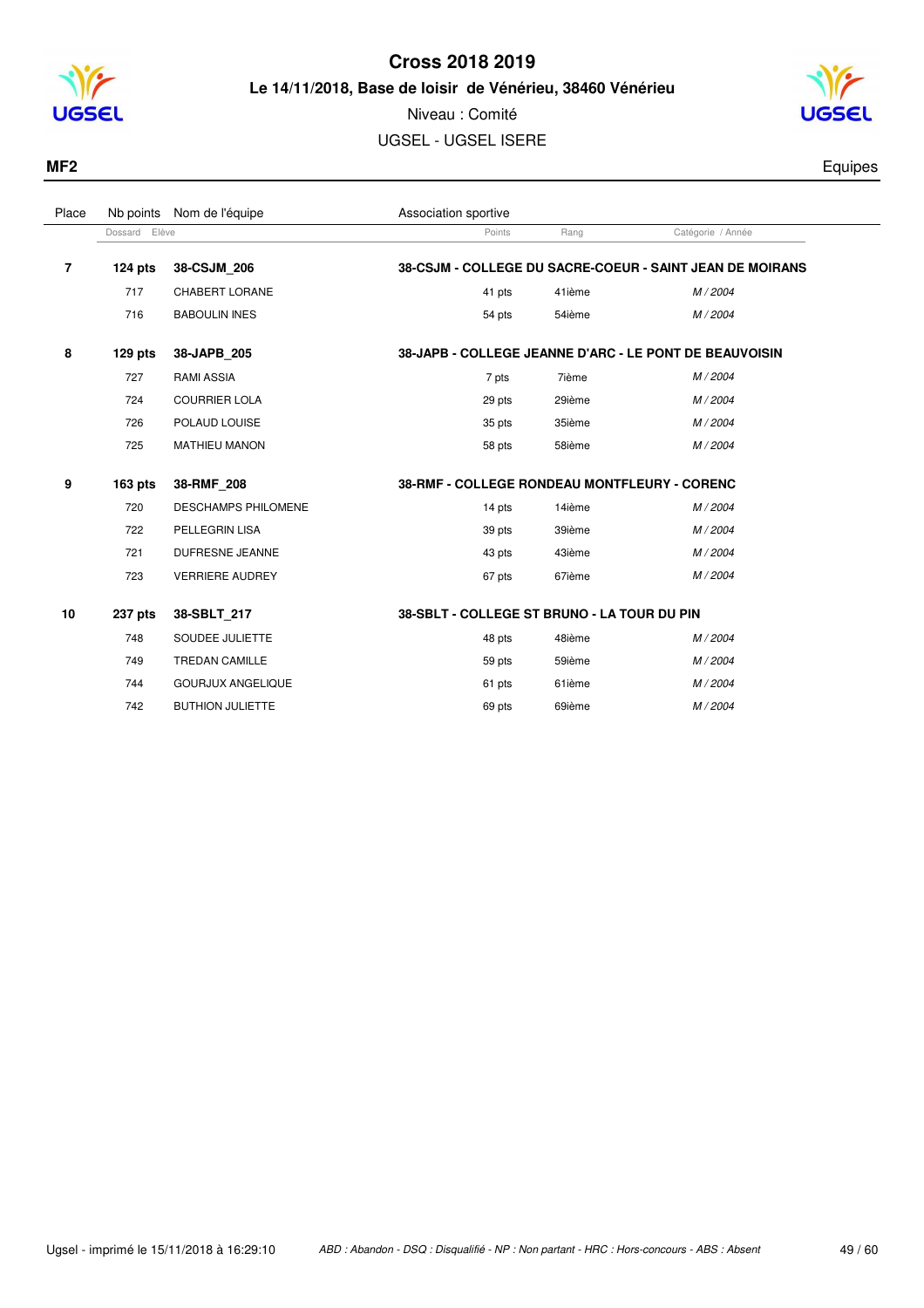

Niveau : Comité

UGSEL - UGSEL ISERE



**MF2** Equipes

| Place          |               | Nb points Nom de l'équipe  | Association sportive                         |        |                                                          |  |
|----------------|---------------|----------------------------|----------------------------------------------|--------|----------------------------------------------------------|--|
|                | Dossard Elève |                            | Points                                       | Rang   | Catégorie / Année                                        |  |
| $\overline{7}$ | 124 pts       | 38-CSJM 206                |                                              |        | 38-CSJM - COLLEGE DU SACRE-COEUR - SAINT JEAN DE MOIRANS |  |
|                | 717           | <b>CHABERT LORANE</b>      | 41 pts                                       | 41ième | M / 2004                                                 |  |
|                | 716           | <b>BABOULIN INES</b>       | 54 pts                                       | 54ième | M / 2004                                                 |  |
| 8              | $129$ pts     | 38-JAPB_205                |                                              |        | 38-JAPB - COLLEGE JEANNE D'ARC - LE PONT DE BEAUVOISIN   |  |
|                | 727           | <b>RAMI ASSIA</b>          | 7 pts                                        | 7ième  | M / 2004                                                 |  |
|                | 724           | <b>COURRIER LOLA</b>       | 29 pts                                       | 29ième | M / 2004                                                 |  |
|                | 726           | POLAUD LOUISE              | 35 pts                                       | 35ième | M / 2004                                                 |  |
|                | 725           | <b>MATHIEU MANON</b>       | 58 pts                                       | 58ième | M / 2004                                                 |  |
| 9              | 163 pts       | 38-RMF 208                 | 38-RMF - COLLEGE RONDEAU MONTFLEURY - CORENC |        |                                                          |  |
|                | 720           | <b>DESCHAMPS PHILOMENE</b> | 14 pts                                       | 14ième | M / 2004                                                 |  |
|                | 722           | PELLEGRIN LISA             | 39 pts                                       | 39ième | M / 2004                                                 |  |
|                | 721           | DUFRESNE JEANNE            | 43 pts                                       | 43ième | M / 2004                                                 |  |
|                | 723           | <b>VERRIERE AUDREY</b>     | 67 pts                                       | 67ième | M / 2004                                                 |  |
| 10             | 237 pts       | 38-SBLT 217                | 38-SBLT - COLLEGE ST BRUNO - LA TOUR DU PIN  |        |                                                          |  |
|                | 748           | SOUDEE JULIETTE            | 48 pts                                       | 48ième | M / 2004                                                 |  |
|                | 749           | TREDAN CAMILLE             | 59 pts                                       | 59ième | M / 2004                                                 |  |
|                | 744           | <b>GOURJUX ANGELIQUE</b>   | 61 pts                                       | 61ième | M / 2004                                                 |  |
|                | 742           | <b>BUTHION JULIETTE</b>    | 69 pts                                       | 69ième | M / 2004                                                 |  |
|                |               |                            |                                              |        |                                                          |  |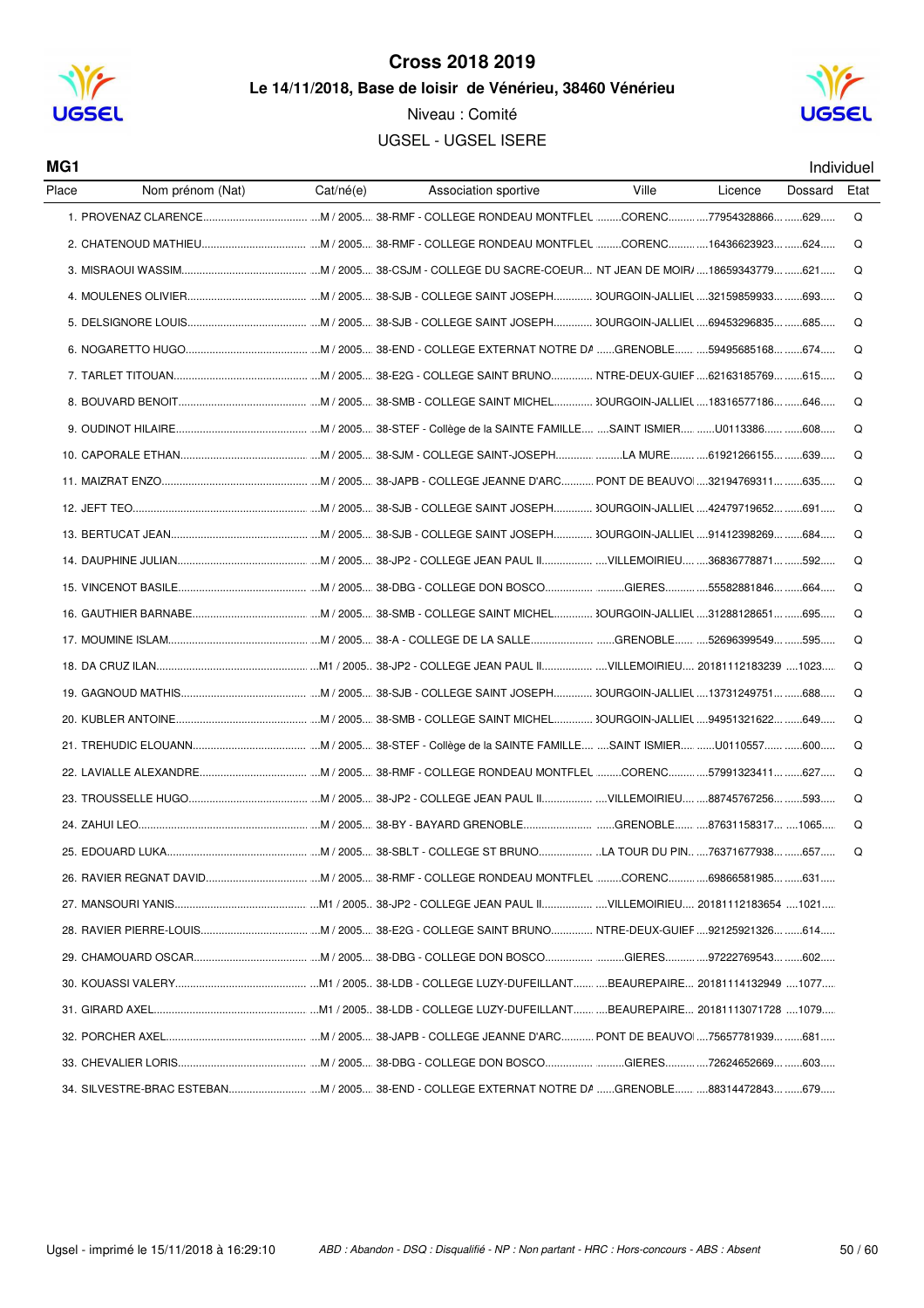

Nom prénom (Nat)

MG<sub>1</sub>

Place

#### Cross 2018 2019 Le 14/11/2018. Base de loisir de Vénérieu, 38460 Vénérieu

Niveau: Comité

UGSEL - UGSEL ISERE

Association sportive

Ville

Licence

Cat/né(e)



Individuel

Dossard

Etat

1 PROVENAZ CI ARENCE ........ ...M / 2005.... 38-RMF - COLLEGE RONDEAU MONTFLEL .........CORENC......... ...77954328866... ......629.....  $\Omega$ Q 3 MISRAOLII WASSIM .......... ...M / 2005.... 38-CSJM - COLLEGE DU SACRE-COEUR... NT JEAN DE MOIR/ ....18659343779... .......621...  $\Omega$  $\Omega$  $\Omega$ 6 NOGARETTO HUGO  $\Omega$  $\Omega$ 8. BOUVARD BENOIT........  $\Omega$  $\Omega$  $\Omega$  $\Omega$ M / 2005 38-S.IR - COLLEGE SAINT JOSEPH 3OLIRGOIN-JALLIEL 42479719652 691 12 JEET TEO  $\Omega$  $\Omega$ 14 DAUPHINE IIII IAN  $\Omega$ Q ∩ 17. MOUMINE ISLAM.. ....................................M / 2005.... 38-A - COLLEGE DE LA SALLE.......................GRENOBLE...... ...52696399549... ......595..... Q Q 19 GAGNOLID MATHIS  $\Omega$  $\Omega$ 21. TREHUDIC ELOUANN..  $\Omega$ 22 LAVIALLE ALEXANDRE MIZONS 38-RME - COLLEGE RONDEALL MONTELEL CORENC 57991323411 627  $\Omega$  $\Omega$  $\Omega$ 25 EDOUARD LUKA  $\Omega$ 27 MANSOLIRI YANIS 2012 1021 M1 / 2005 38-JP2 - COLLEGE JEAN PALIL II VILLEMOIRIELL 20181112183654 1021 28 RAVIER PIERRE-LOUIS 614 M / 2005 38-F2G - COLLEGE SAINT RRUNO NTRE-DEUX-GUIFF 92125921326 614 30 KOHASSI VALERY 31 GIRARD AXEL 2013113071728 1079 32 PORCHER AXEL 33. CHEVALIER LORIS. ................ ....M / 2005.... 38-DBG - COLLEGE DON BOSCO........... ... .........GIERES......... ....72624652669... ......603.....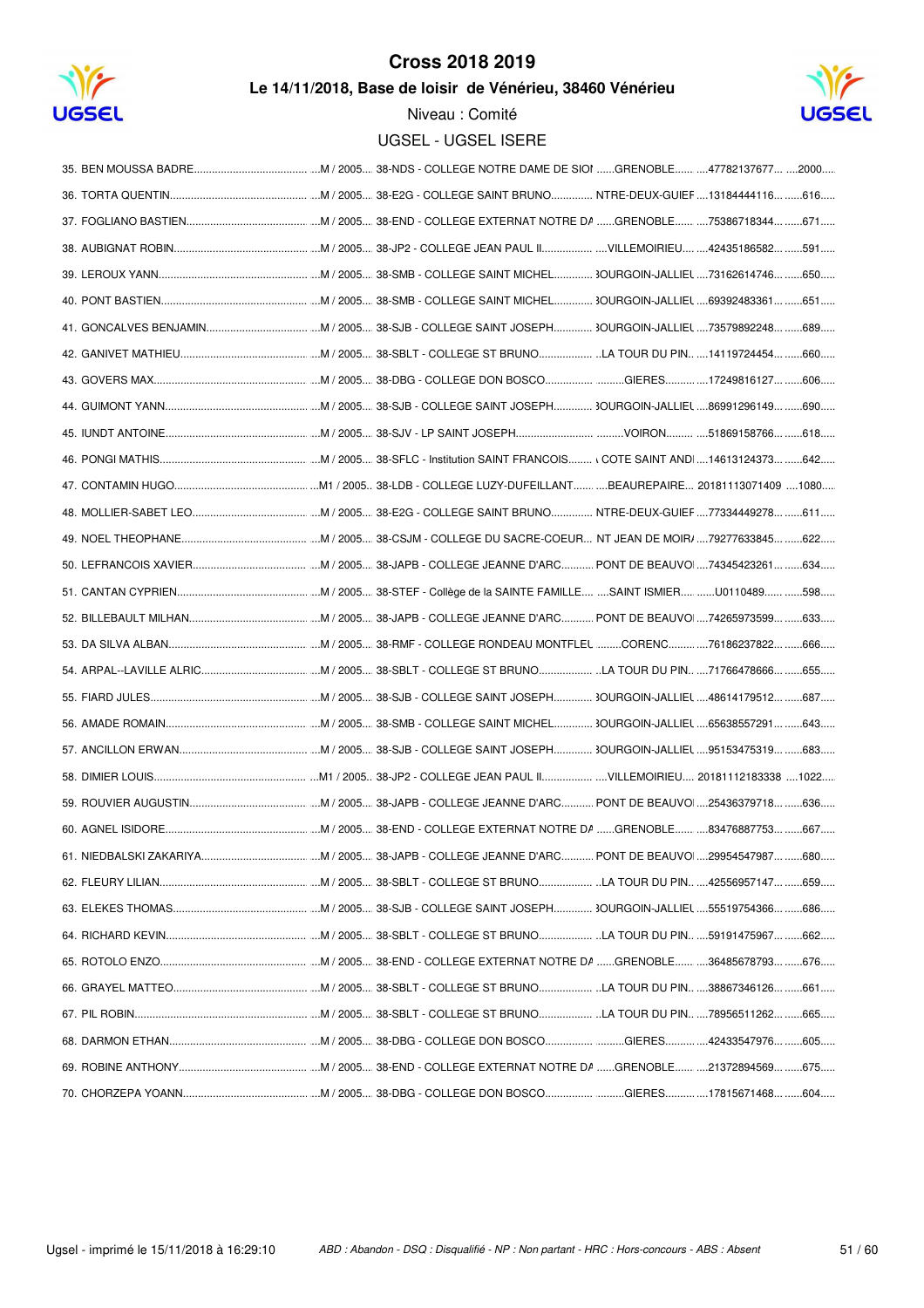

Le 14/11/2018, Base de loisir de Vénérieu, 38460 Vénérieu

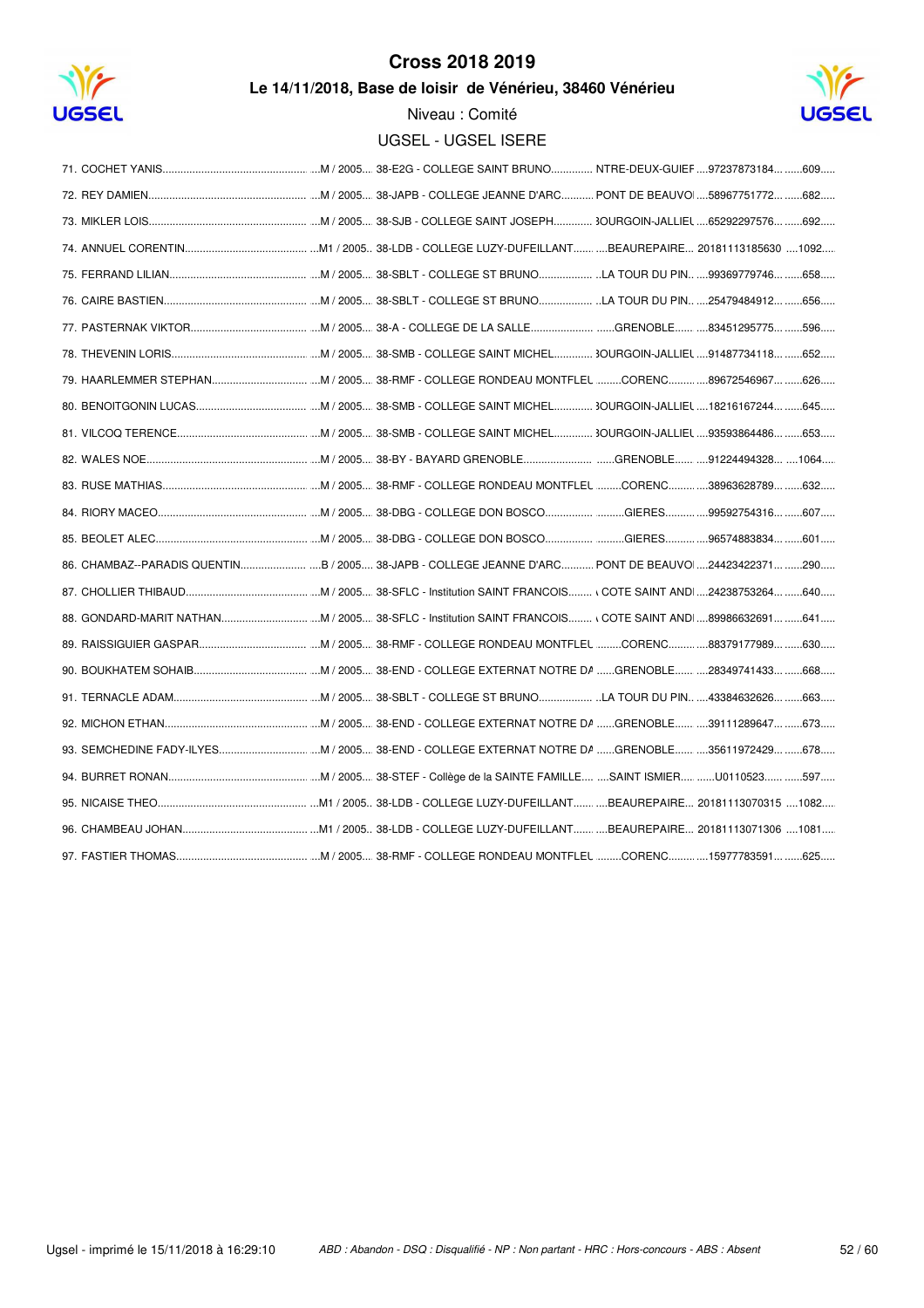

Le 14/11/2018, Base de loisir de Vénérieu, 38460 Vénérieu



| 86. CHAMBAZ--PARADIS QUENTINB / 2005 38-JAPB - COLLEGE JEANNE D'ARC PONT DE BEAUVO 24423422371 290 |
|----------------------------------------------------------------------------------------------------|
|                                                                                                    |
|                                                                                                    |
|                                                                                                    |
|                                                                                                    |
|                                                                                                    |
|                                                                                                    |
|                                                                                                    |
|                                                                                                    |
|                                                                                                    |
|                                                                                                    |
|                                                                                                    |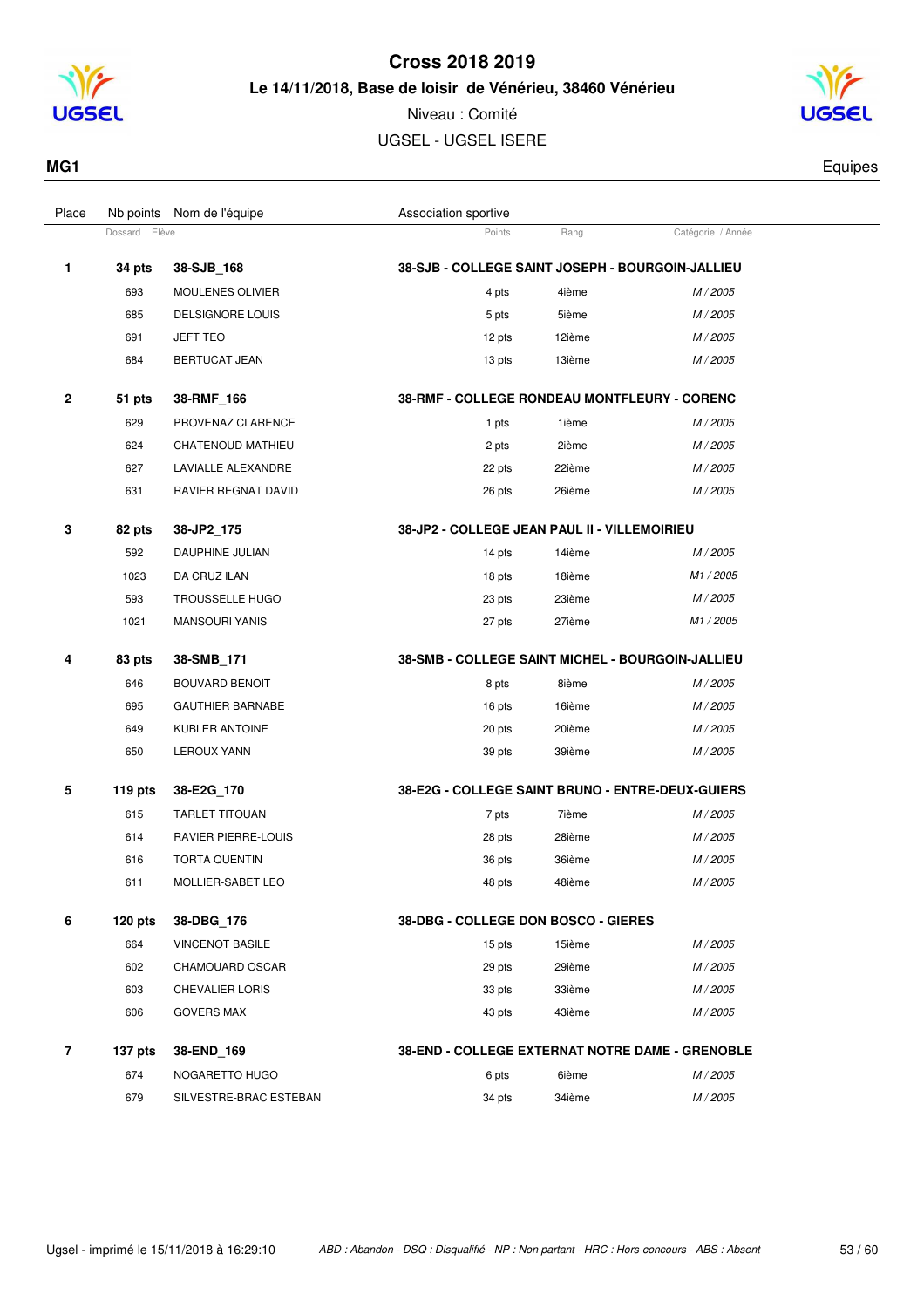

Niveau : Comité





| Place        |                  | Nb points Nom de l'équipe | Association sportive                             |        |                   |  |
|--------------|------------------|---------------------------|--------------------------------------------------|--------|-------------------|--|
|              | Elève<br>Dossard |                           | Points                                           | Rang   | Catégorie / Année |  |
| 1            | 34 pts           | 38-SJB_168                | 38-SJB - COLLEGE SAINT JOSEPH - BOURGOIN-JALLIEU |        |                   |  |
|              | 693              | MOULENES OLIVIER          | 4 pts                                            | 4ième  | M / 2005          |  |
|              | 685              | <b>DELSIGNORE LOUIS</b>   | 5 pts                                            | 5ième  | M / 2005          |  |
|              | 691              | <b>JEFT TEO</b>           | 12 pts                                           | 12ième | M / 2005          |  |
|              | 684              | BERTUCAT JEAN             | 13 pts                                           | 13ième | M / 2005          |  |
| $\mathbf{2}$ | 51 pts           | 38-RMF_166                | 38-RMF - COLLEGE RONDEAU MONTFLEURY - CORENC     |        |                   |  |
|              | 629              | PROVENAZ CLARENCE         | 1 pts                                            | 1ième  | M / 2005          |  |
|              | 624              | CHATENOUD MATHIEU         | 2 pts                                            | 2ième  | M / 2005          |  |
|              | 627              | LAVIALLE ALEXANDRE        | 22 pts                                           | 22ième | M / 2005          |  |
|              | 631              | RAVIER REGNAT DAVID       | 26 pts                                           | 26ième | M / 2005          |  |
| 3            | 82 pts           | 38-JP2_175                | 38-JP2 - COLLEGE JEAN PAUL II - VILLEMOIRIEU     |        |                   |  |
|              | 592              | DAUPHINE JULIAN           | 14 pts                                           | 14ième | M / 2005          |  |
|              | 1023             | DA CRUZ ILAN              | 18 pts                                           | 18ième | M1 / 2005         |  |
|              | 593              | <b>TROUSSELLE HUGO</b>    | 23 pts                                           | 23ième | M / 2005          |  |
|              | 1021             | <b>MANSOURI YANIS</b>     | 27 pts                                           | 27ième | M1 / 2005         |  |
| 4            | 83 pts           | 38-SMB_171                | 38-SMB - COLLEGE SAINT MICHEL - BOURGOIN-JALLIEU |        |                   |  |
|              | 646              | <b>BOUVARD BENOIT</b>     | 8 pts                                            | 8ième  | M / 2005          |  |
|              | 695              | <b>GAUTHIER BARNABE</b>   | 16 pts                                           | 16ième | M / 2005          |  |
|              | 649              | KUBLER ANTOINE            | 20 pts                                           | 20ième | M / 2005          |  |
|              | 650              | <b>LEROUX YANN</b>        | 39 pts                                           | 39ième | M / 2005          |  |
| 5            | 119 pts          | 38-E2G_170                | 38-E2G - COLLEGE SAINT BRUNO - ENTRE-DEUX-GUIERS |        |                   |  |
|              | 615              | <b>TARLET TITOUAN</b>     | 7 pts                                            | 7ième  | M / 2005          |  |
|              | 614              | RAVIER PIERRE-LOUIS       | 28 pts                                           | 28ième | M / 2005          |  |
|              | 616              | <b>TORTA QUENTIN</b>      | 36 pts                                           | 36ième | M / 2005          |  |
|              | 611              | MOLLIER-SABET LEO         | 48 pts                                           | 48ième | M / 2005          |  |
| 6            | $120$ pts        | 38-DBG_176                | 38-DBG - COLLEGE DON BOSCO - GIERES              |        |                   |  |
|              | 664              | <b>VINCENOT BASILE</b>    | 15 pts                                           | 15ième | M / 2005          |  |
|              | 602              | CHAMOUARD OSCAR           | 29 pts                                           | 29ième | M / 2005          |  |
|              | 603              | CHEVALIER LORIS           | 33 pts                                           | 33ième | M / 2005          |  |
|              | 606              | <b>GOVERS MAX</b>         | 43 pts                                           | 43ième | M / 2005          |  |
| 7            | 137 pts          | 38-END_169                | 38-END - COLLEGE EXTERNAT NOTRE DAME - GRENOBLE  |        |                   |  |
|              | 674              | NOGARETTO HUGO            | 6 pts                                            | 6ième  | M / 2005          |  |
|              | 679              | SILVESTRE-BRAC ESTEBAN    | 34 pts                                           | 34ième | M / 2005          |  |
|              |                  |                           |                                                  |        |                   |  |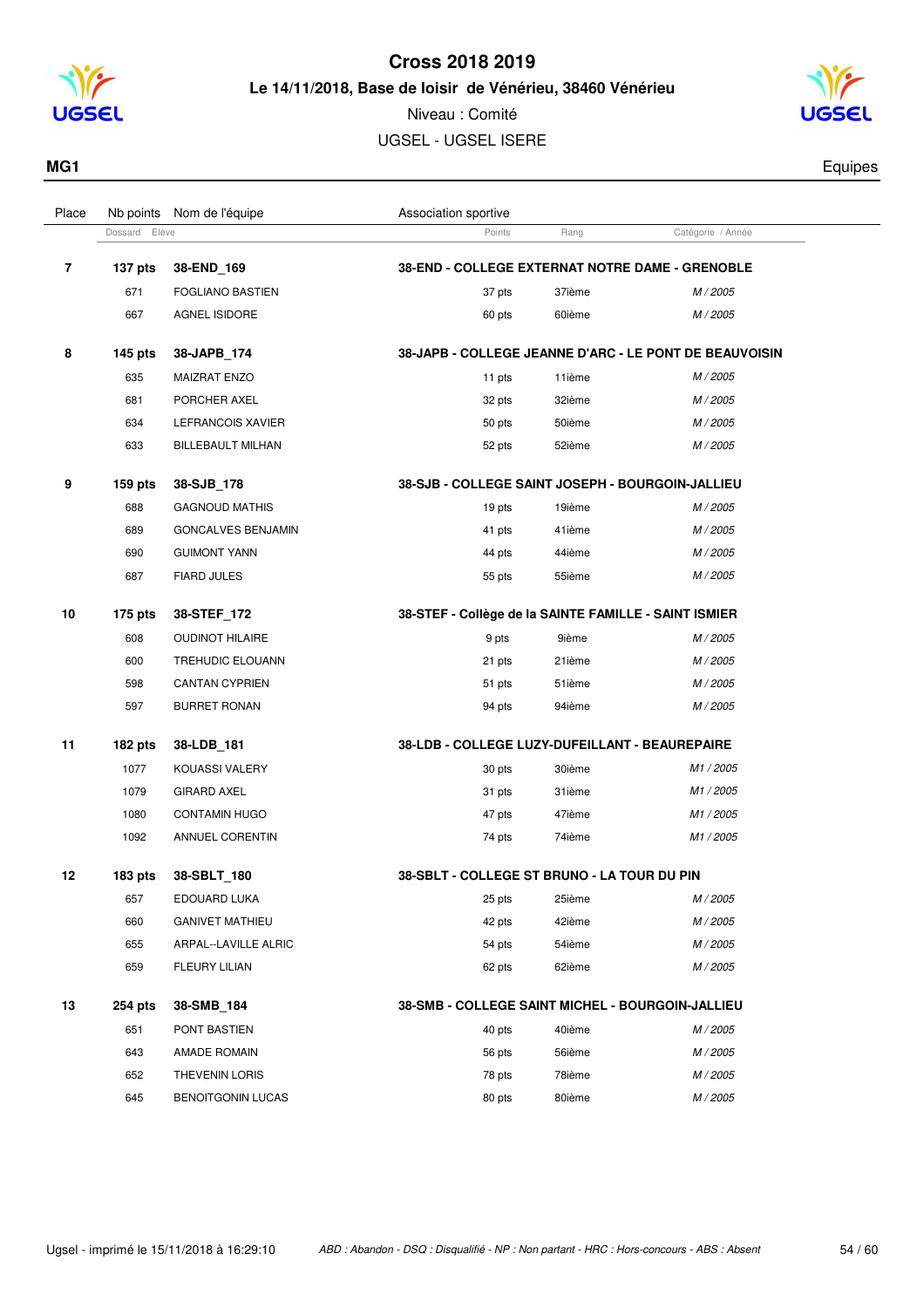

Niveau : Comité

UGSEL - UGSEL ISERE

Place Nb points Nom de l'équipe  $\blacksquare$  Association sportive

635 MAIZRAT ENZO 681 PORCHER AXEL 634 LEFRANCOIS XAVIER 633 BILLEBAULT MILHAN

**137 pts 38-END 169 38-END 169 38-END - COLLEGE EXTERNATE** 



**MG1** Equipes

| points     | Nom de l'équipe         | Association sportive                            |        |                   |
|------------|-------------------------|-------------------------------------------------|--------|-------------------|
| sard Elève |                         | Points                                          | Rang   | Catégorie / Année |
| 37 pts     | 38-END 169              | 38-END - COLLEGE EXTERNAT NOTRE DAME - GRENOBLE |        |                   |
| 671        | <b>FOGLIANO BASTIEN</b> | 37 pts                                          | 37ième | M / 2005          |
| 667        | AGNEL ISIDORE           | 60 pts                                          | 60ième | M / 2005          |
|            |                         |                                                 |        |                   |

## **145 pts 38-JAPB\_174 38-JAPB - COLLEGE JEANNE D'ARC - LE PONT DE BEAUVOISIN**

| 11 pts | 11ième | M / 2005 |
|--------|--------|----------|
| 32 pts | 32ième | M / 2005 |
| 50 pts | 50ième | M / 2005 |
| 52 pts | 52ième | M / 2005 |

#### **159 pts 38-SJB\_178 38-SJB - COLLEGE SAINT JOSEPH - BOURGOIN-JALLIEU**

| 688 | <b>GAGNOUD MATHIS</b>     | 19 pts | 19ième | M / 2005 |
|-----|---------------------------|--------|--------|----------|
| 689 | <b>GONCALVES BENJAMIN</b> | 41 pts | 41ième | M / 2005 |
| 690 | <b>GUIMONT YANN</b>       | 44 pts | 44ième | M / 2005 |
| 687 | <b>FIARD JULES</b>        | 55 pts | 55ième | M / 2005 |
|     |                           |        |        |          |

#### **175 pts 38-STEF\_172 38-STEF - Collège de la SAINTE FAMILLE - SAINT ISMIER**

| 608 | <b>OUDINOT HILAIRE</b> | 9 pts  | 9ième  | M / 2005 |
|-----|------------------------|--------|--------|----------|
| 600 | TREHUDIC ELOUANN       | 21 pts | 21ième | M / 2005 |
| 598 | <b>CANTAN CYPRIEN</b>  | 51 pts | 51ième | M / 2005 |
| 597 | <b>BURRET RONAN</b>    | 94 pts | 94ième | M / 2005 |
|     |                        |        |        |          |

#### **182 pts 38-LDB\_181 38-LDB - COLLEGE LUZY-DUFEILLANT - BEAUREPAIRE**

| 1077 | KOUASSI VALERY       | 30 pts | 30ième | M1/2005 |
|------|----------------------|--------|--------|---------|
| 1079 | <b>GIRARD AXEL</b>   | 31 pts | 31ième | M1/2005 |
| 1080 | <b>CONTAMIN HUGO</b> | 47 pts | 47ième | M1/2005 |
| 1092 | ANNUEL CORENTIN      | 74 pts | 74ième | M1/2005 |

## **183 pts 38-SBLT\_180 38-SBLT - COLLEGE ST BRUNO - LA TOUR DU PIN** EDOUARD LUKA 25 pts 25ième M / 2005 GANIVET MATHIEU 42 pts 42ième M / 2005 655 ARPAL--LAVILLE ALRIC **1990 1200 1200 1200 1200 130 14** pts 54ième M / 2005 FLEURY LILIAN 62 pts 62ième M / 2005 **254 pts 38-SMB\_184 38-SMB - COLLEGE SAINT MICHEL - BOURGOIN-JALLIEU** PONT BASTIEN 40 pts 40ième M / 2005 AMADE ROMAIN 56 pts 56ième M / 2005

652 THEVENIN LORIS **1989 12005** 78 pts 78ième M / 2005 645 BENOITGONIN LUCAS 60 pts 80 pts 80ième M/2005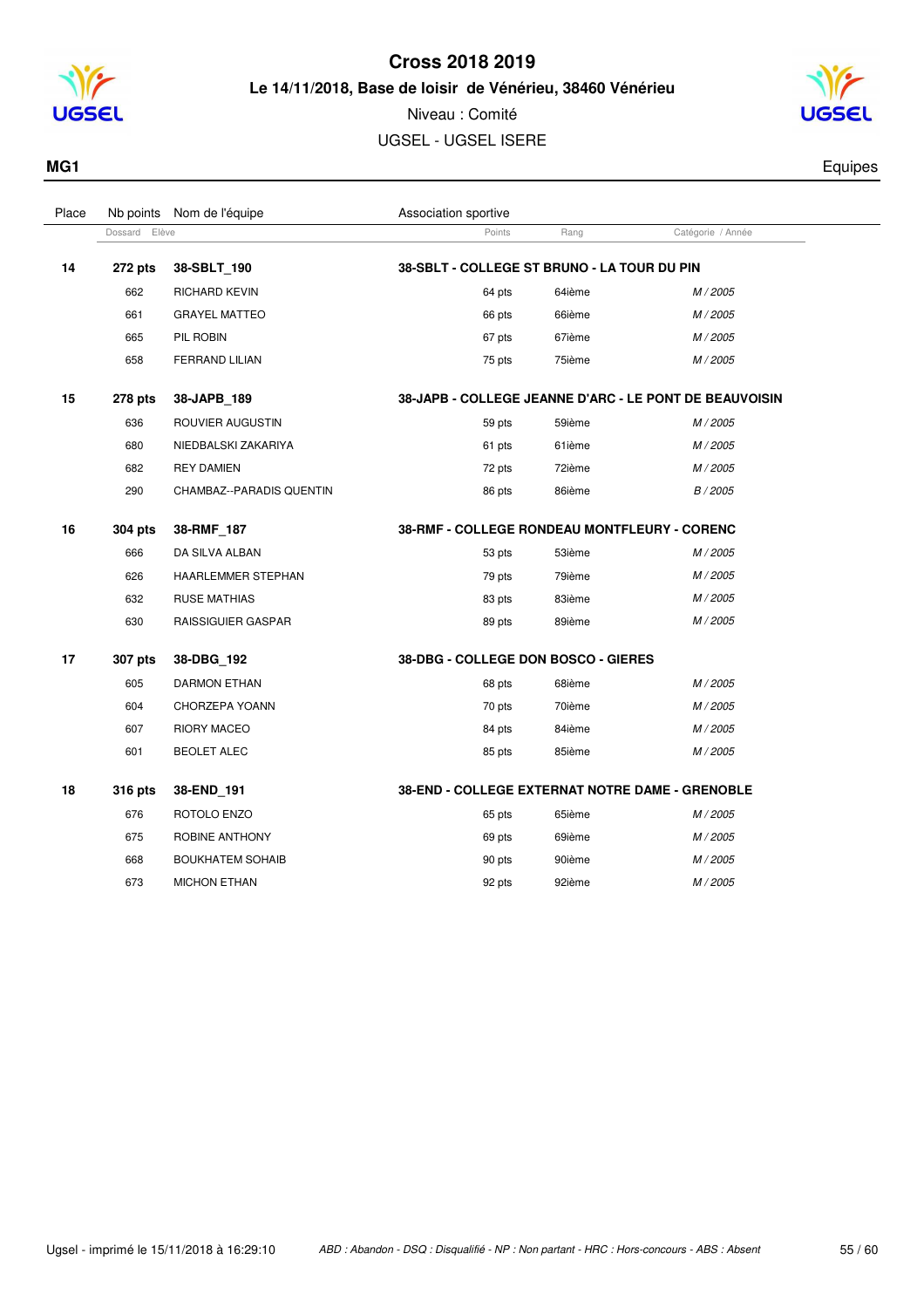

Niveau : Comité

UGSEL - UGSEL ISERE



**MG1** Equipes

| Place | Nb points        | Nom de l'équipe           | Association sportive                            |        |                                                        |  |
|-------|------------------|---------------------------|-------------------------------------------------|--------|--------------------------------------------------------|--|
|       | Elève<br>Dossard |                           | Points                                          | Rang   | Catégorie / Année                                      |  |
| 14    | <b>272 pts</b>   | 38-SBLT_190               | 38-SBLT - COLLEGE ST BRUNO - LA TOUR DU PIN     |        |                                                        |  |
|       | 662              | <b>RICHARD KEVIN</b>      | 64 pts                                          | 64ième | M / 2005                                               |  |
|       | 661              | <b>GRAYEL MATTEO</b>      | 66 pts                                          | 66ième | M / 2005                                               |  |
|       | 665              | PIL ROBIN                 | 67 pts                                          | 67ième | M / 2005                                               |  |
|       | 658              | <b>FERRAND LILIAN</b>     | 75 pts                                          | 75ième | M / 2005                                               |  |
| 15    | 278 pts          | 38-JAPB_189               |                                                 |        | 38-JAPB - COLLEGE JEANNE D'ARC - LE PONT DE BEAUVOISIN |  |
|       | 636              | ROUVIER AUGUSTIN          | 59 pts                                          | 59ième | M / 2005                                               |  |
|       | 680              | NIEDBALSKI ZAKARIYA       | 61 pts                                          | 61ième | M / 2005                                               |  |
|       | 682              | <b>REY DAMIEN</b>         | 72 pts                                          | 72ième | M / 2005                                               |  |
|       | 290              | CHAMBAZ--PARADIS QUENTIN  | 86 pts                                          | 86ième | B / 2005                                               |  |
| 16    | 304 pts          | 38-RMF_187                | 38-RMF - COLLEGE RONDEAU MONTFLEURY - CORENC    |        |                                                        |  |
|       | 666              | DA SILVA ALBAN            | 53 pts                                          | 53ième | M / 2005                                               |  |
|       | 626              | HAARLEMMER STEPHAN        | 79 pts                                          | 79ième | M / 2005                                               |  |
|       | 632              | <b>RUSE MATHIAS</b>       | 83 pts                                          | 83ième | M / 2005                                               |  |
|       | 630              | <b>RAISSIGUIER GASPAR</b> | 89 pts                                          | 89ième | M / 2005                                               |  |
| 17    | 307 pts          | 38-DBG_192                | 38-DBG - COLLEGE DON BOSCO - GIERES             |        |                                                        |  |
|       | 605              | <b>DARMON ETHAN</b>       | 68 pts                                          | 68ième | M / 2005                                               |  |
|       | 604              | CHORZEPA YOANN            | 70 pts                                          | 70ième | M / 2005                                               |  |
|       | 607              | <b>RIORY MACEO</b>        | 84 pts                                          | 84ième | M / 2005                                               |  |
|       | 601              | <b>BEOLET ALEC</b>        | 85 pts                                          | 85ième | M / 2005                                               |  |
| 18    | 316 pts          | 38-END 191                | 38-END - COLLEGE EXTERNAT NOTRE DAME - GRENOBLE |        |                                                        |  |
|       | 676              | ROTOLO ENZO               | 65 pts                                          | 65ième | M / 2005                                               |  |
|       | 675              | ROBINE ANTHONY            | 69 pts                                          | 69ième | M / 2005                                               |  |
|       | 668              | <b>BOUKHATEM SOHAIB</b>   | 90 pts                                          | 90ième | M / 2005                                               |  |
|       | 673              | <b>MICHON ETHAN</b>       | 92 pts                                          | 92ième | M / 2005                                               |  |
|       |                  |                           |                                                 |        |                                                        |  |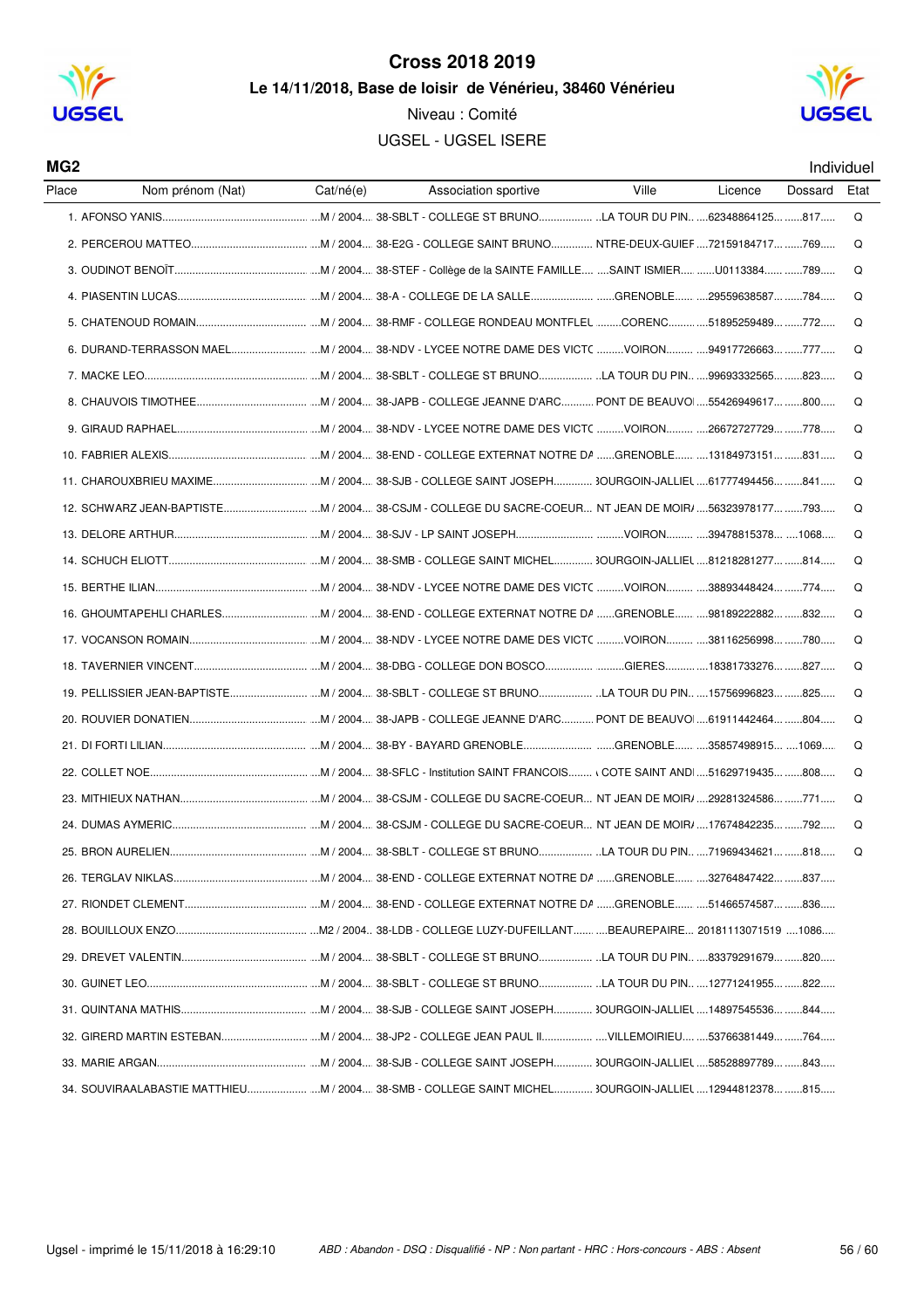

MG<sub>2</sub>

#### Cross 2018 2019 Le 14/11/2018. Base de loisir de Vénérieu, 38460 Vénérieu

Niveau: Comité

UGSEL - UGSEL ISERE



#### Individuel Place Nom prénom (Nat) Cat/né(e) Ville Licence Dossard Etat Association sportive 1 AFONSO YANIS ............M / 2004.... 38-SBLT - COLLEGE ST BRUNO.................... LA TOUR DU PIN.. ....62348864125.... .....817.....  $\Omega$ Q 3 OUDINOT BENOIT .... ....M / 2004.... 38-STEF - Collège de la SAINTE FAMILLE.... ....SAINT ISMIER.... ......U0113384...... ......789...  $\Omega$  $\Omega$ 5 CHATENOUD ROMAIN M / 2004 38-RMF - COLLEGE RONDEAU MONTELEL CORENC 51895259489 772  $\Omega$  $\Omega$  $\Omega$  $\Omega$  $\Omega$ ………………………M / 2004.… 38-END - COLLEGE EXTERNAT NOTRE DA ……GRENOBLE…… …13184973151… ……831..... 10 FABRIER ALEXIS  $\Omega$  $\Omega$ 12 SCHWARZ JEAN-RAPTISTE M / 2004 38-CSJM - COLLEGE DU SACRE-COELIR NT JEAN DE MOIR 56323978177 793  $\Omega$  $\Omega$ 14 SCHLICH ELIOTT  $\Omega$ **15. BERTHE ILIAN..........** .........................M / 2004.... 38-NDV - LYCEE NOTRE DAME DES VICTC .........VOIRON.......... ...38893448424... ......774..... Q ∩ 17. VOCANSON ROMAIN.. Q Q  $\Omega$  $\Omega$ 21. DI FORTI LILIAN.  $\Omega$ 22 COLLET NOF CONTROL COLLET NOTE: NUMBER ON A SEARCH AND STRESS AND STRESS AND STRESS ARE NOTE: NOTE: SAINT AND 51629719435 AND  $\Omega$  $\Omega$  $\Omega$ 25 BRON ALIBELIEN  $\Omega$ 28 BOULLOUX ENZO M2 / 2004 38-LDB - COLLEGE LUZY-DUFFILLANT BEAUREPAIRE 20181113071519 1086 30 GUINET LEO 31 OUINTANA MATHIS **And ASS AND A SEAR** COLLEGE SAINT JOSEPH 30 URGOIN-JALLIFI 14897545536 844 33. MARIE ARGAN... ....................M / 2004.... 38-SJB - COLLEGE SAINT JOSEPH.............. 3OURGOIN-JALLIEL ....58528897789... ......843.....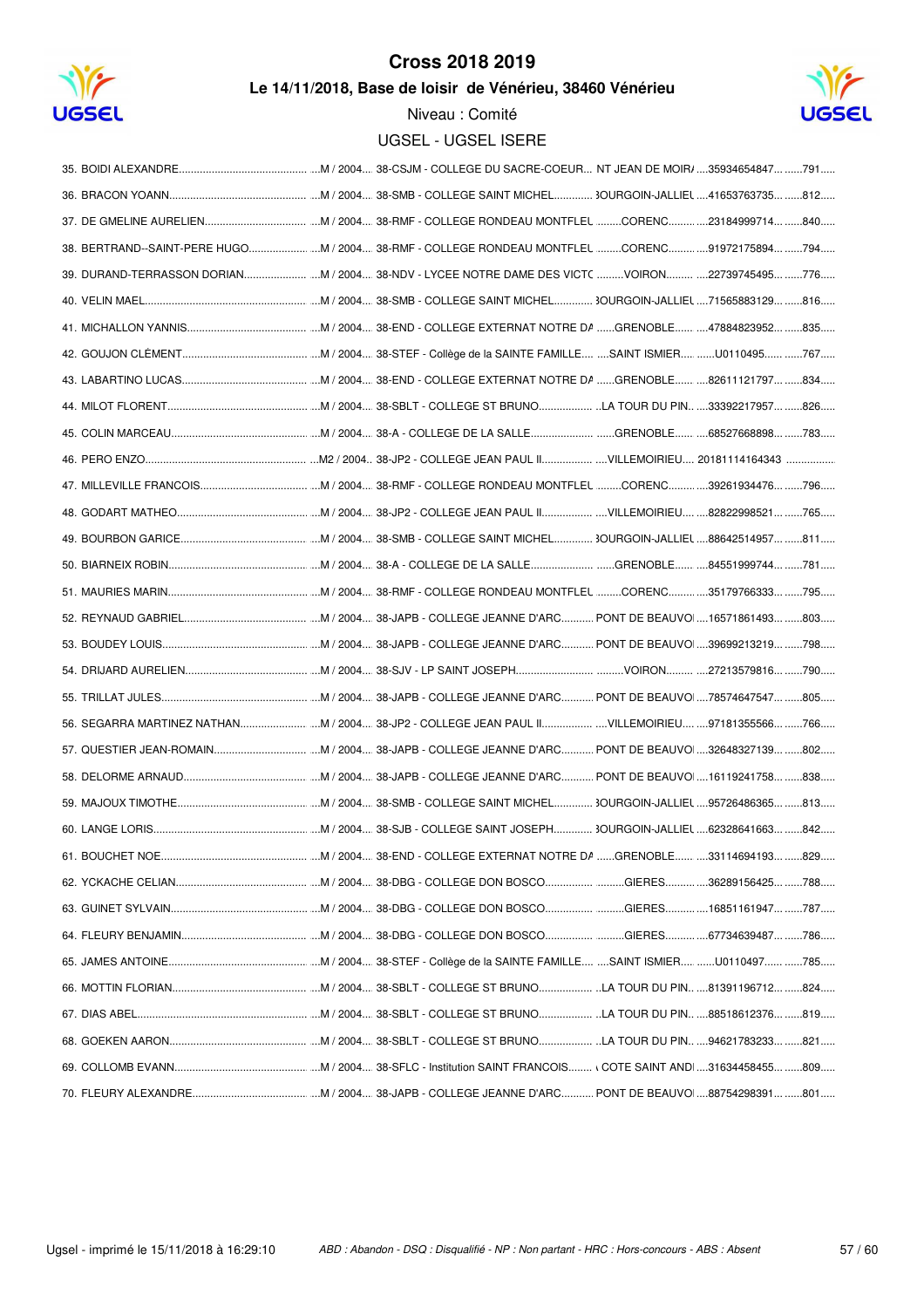

Le 14/11/2018, Base de loisir de Vénérieu, 38460 Vénérieu



| 39. DURAND-TERRASSON DORIAN M / 2004 38-NDV - LYCEE NOTRE DAME DES VICT( VOIRON 22739745495 776 |
|-------------------------------------------------------------------------------------------------|
|                                                                                                 |
|                                                                                                 |
|                                                                                                 |
|                                                                                                 |
|                                                                                                 |
|                                                                                                 |
|                                                                                                 |
|                                                                                                 |
|                                                                                                 |
|                                                                                                 |
|                                                                                                 |
|                                                                                                 |
|                                                                                                 |
|                                                                                                 |
|                                                                                                 |
|                                                                                                 |
|                                                                                                 |
|                                                                                                 |
|                                                                                                 |
|                                                                                                 |
|                                                                                                 |
|                                                                                                 |
|                                                                                                 |
|                                                                                                 |
|                                                                                                 |
|                                                                                                 |
|                                                                                                 |
|                                                                                                 |
|                                                                                                 |
|                                                                                                 |
|                                                                                                 |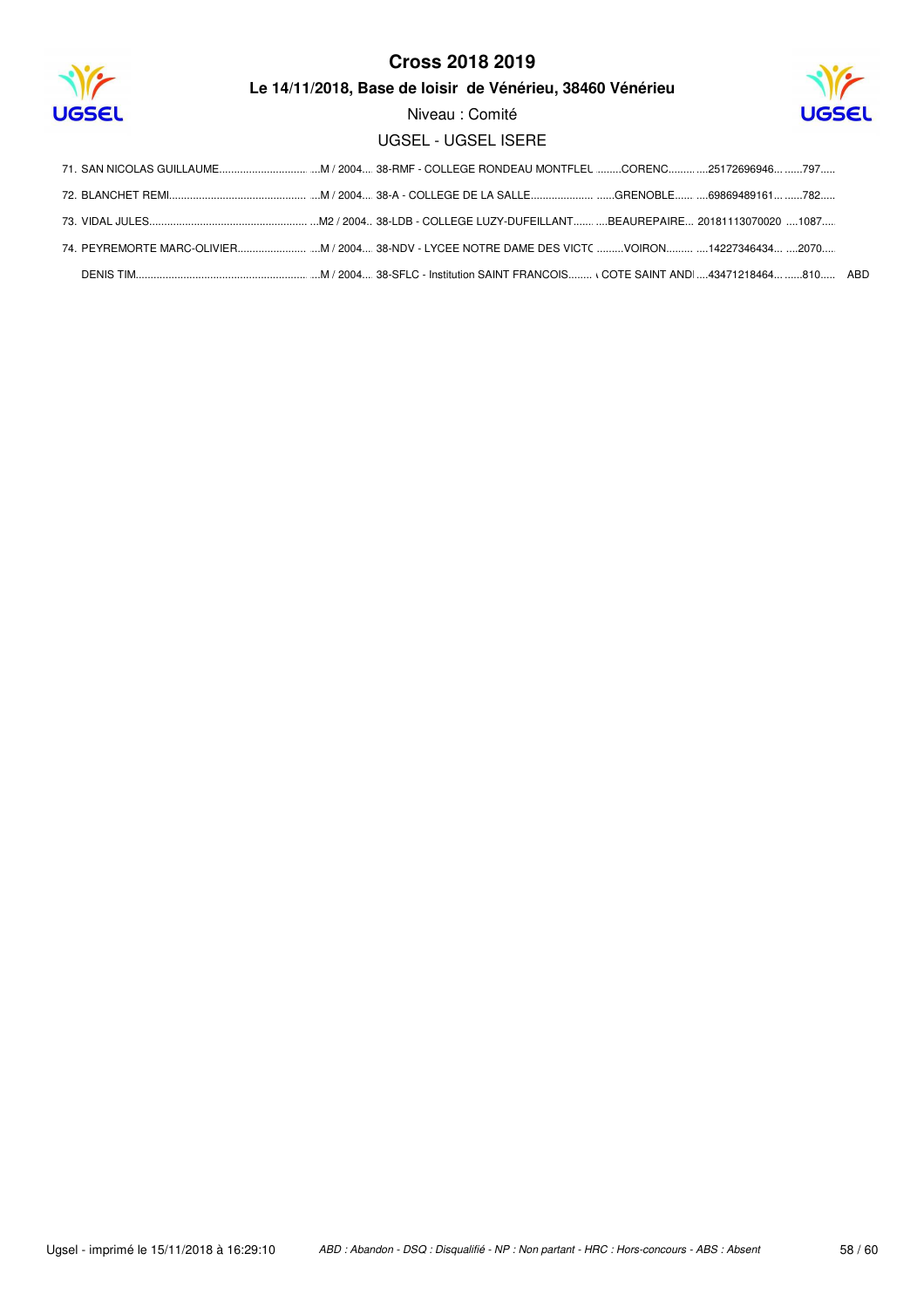

Le 14/11/2018, Base de loisir de Vénérieu, 38460 Vénérieu



Niveau : Comité

**UGSEL - UGSEL ISERE**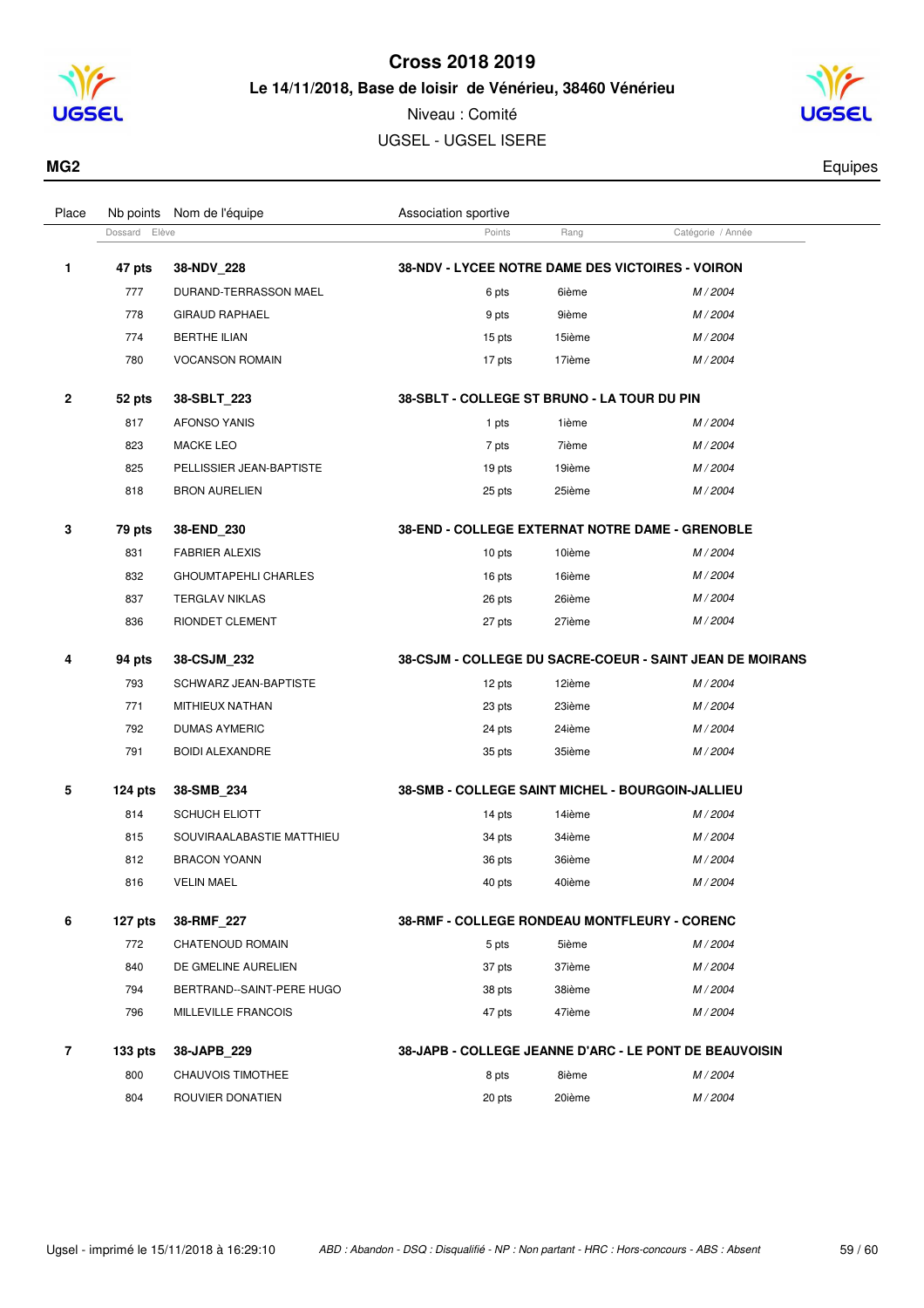

Niveau : Comité

UGSEL - UGSEL ISERE

Dossard Elève **Points** Rang Catégorie / Année

Place Nb points Nom de l'équipe  $\blacksquare$  Association sportive

772 CHATENOUD ROMAIN 840 DE GMELINE AURELIEN 794 BERTRAND--SAINT-PERE HUGO

796 MILLEVILLE FRANCOIS



**MG2** Equipes

| 1 | 47 pts    | 38-NDV 228                  | 38-NDV - LYCEE NOTRE DAME DES VICTOIRES - VOIRON |        |                                                          |  |
|---|-----------|-----------------------------|--------------------------------------------------|--------|----------------------------------------------------------|--|
|   | 777       | DURAND-TERRASSON MAEL       | 6 pts                                            | 6ième  | M / 2004                                                 |  |
|   | 778       | <b>GIRAUD RAPHAEL</b>       | 9 pts                                            | 9ième  | M / 2004                                                 |  |
|   | 774       | <b>BERTHE ILIAN</b>         | 15 pts                                           | 15ième | M / 2004                                                 |  |
|   | 780       | <b>VOCANSON ROMAIN</b>      | 17 pts                                           | 17ième | M / 2004                                                 |  |
| 2 | 52 pts    | 38-SBLT 223                 | 38-SBLT - COLLEGE ST BRUNO - LA TOUR DU PIN      |        |                                                          |  |
|   | 817       | <b>AFONSO YANIS</b>         | 1 pts                                            | 1ième  | M / 2004                                                 |  |
|   | 823       | <b>MACKE LEO</b>            | 7 pts                                            | 7ième  | M / 2004                                                 |  |
|   | 825       | PELLISSIER JEAN-BAPTISTE    | 19 pts                                           | 19ième | M / 2004                                                 |  |
|   | 818       | <b>BRON AURELIEN</b>        | 25 pts                                           | 25ième | M / 2004                                                 |  |
| 3 | 79 pts    | 38-END 230                  | 38-END - COLLEGE EXTERNAT NOTRE DAME - GRENOBLE  |        |                                                          |  |
|   | 831       | <b>FABRIER ALEXIS</b>       | 10 pts                                           | 10ième | M / 2004                                                 |  |
|   | 832       | <b>GHOUMTAPEHLI CHARLES</b> | 16 pts                                           | 16ième | M / 2004                                                 |  |
|   | 837       | <b>TERGLAV NIKLAS</b>       | 26 pts                                           | 26ième | M / 2004                                                 |  |
|   | 836       | <b>RIONDET CLEMENT</b>      | 27 pts                                           | 27ième | M / 2004                                                 |  |
| 4 | 94 pts    | 38-CSJM 232                 |                                                  |        | 38-CSJM - COLLEGE DU SACRE-COEUR - SAINT JEAN DE MOIRANS |  |
|   | 793       | SCHWARZ JEAN-BAPTISTE       | 12 pts                                           | 12ième | M / 2004                                                 |  |
|   | 771       | <b>MITHIEUX NATHAN</b>      | 23 pts                                           | 23ième | M / 2004                                                 |  |
|   | 792       | <b>DUMAS AYMERIC</b>        | 24 pts                                           | 24ième | M / 2004                                                 |  |
|   | 791       | <b>BOIDI ALEXANDRE</b>      | 35 pts                                           | 35ième | M / 2004                                                 |  |
| 5 | $124$ pts | 38-SMB 234                  | 38-SMB - COLLEGE SAINT MICHEL - BOURGOIN-JALLIEU |        |                                                          |  |
|   | 814       | <b>SCHUCH ELIOTT</b>        | 14 pts                                           | 14ième | M / 2004                                                 |  |

| 014 | <b>SUNUUN ELIUTT</b>      | 14 DIS | 1461116 | 101 / 2004 |
|-----|---------------------------|--------|---------|------------|
| 815 | SOUVIRAALABASTIE MATTHIEU | 34 pts | 34ième  | M / 2004   |
| 812 | <b>BRACON YOANN</b>       | 36 pts | 36ième  | M / 2004   |
| 816 | <b>VELIN MAEL</b>         | 40 pts | 40ième  | M / 2004   |
|     |                           |        |         |            |

|  | 127 pts 38-RMF 227 | <b>38-RMF - COLLEGE RONDEAU MONTFLEURY - CORENC</b> |
|--|--------------------|-----------------------------------------------------|
|  |                    |                                                     |

| 5 pts  | 5ième  | M / 2004 |
|--------|--------|----------|
| 37 pts | 37ième | M / 2004 |
| 38 pts | 38ième | M / 2004 |
| 47 pts | 47ième | M / 2004 |
|        |        |          |

#### **133 pts 38-JAPB\_229 38-JAPB - COLLEGE JEANNE D'ARC - LE PONT DE BEAUVOISIN**

|     | _                 |        |        |          |
|-----|-------------------|--------|--------|----------|
| 800 | CHAUVOIS TIMOTHEE | 8 pts  | 8ième  | M / 2004 |
| 804 | ROUVIER DONATIEN  | 20 pts | 20ième | M / 2004 |